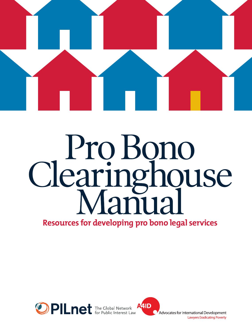

# earinghqu Resources for developing pro bono legal services

**Resources for developing pro bono legal services** 





Advocates for International Development **Lawyers Eradicating Poverty**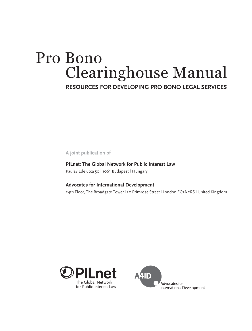# **RESOURCES FOR DEVELOPING PRO BONO LEGAL SERVICES** Pro Bono Clearinghouse Manual

**A joint publication of** 

**PILnet: The Global Network for Public Interest Law** Paulay Ede utca 50 **l** 1061 Budapest **l** Hungary

**Advocates for International Development** 24th Floor, The Broadgate Tower **l** 20 Primrose Street **l** London EC2A 2RS **l** United Kingdom



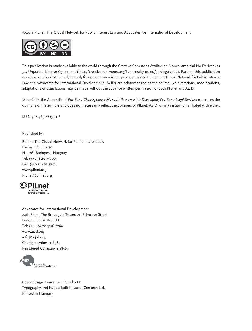©2011 PILnet: The Global Network for Public Interest Law and Advocates for International Development



This publication is made available to the world through the Creative Commons Attribution-Noncommercial-No Derivatives 3.0 Unported License Agreement (http://creativecommons.org/licenses/by-nc-nd/3.0/legalcode). Parts of this publication may be quoted or distributed, but only for non-commercial purposes, provided PILnet: The Global Network for Public Interest Law and Advocates for International Development (A4ID) are acknowledged as the source. No alterations, modifications, adaptations or translations may be made without the advance written permission of both PILnet and A4ID.

Material in the Appendix of *Pro Bono Clearinghouse Manual: Resources for Developing Pro Bono Legal Services* expresses the opinions of the authors and does not necessarily reflect the opinions of PILnet, A4ID, or any institution affiliated with either.

ISBN 978-963-88337-1-6

Published by:

PILnet: The Global Network for Public Interest Law Paulay Ede utca 50 H–1061 Budapest, Hungary Tel: (+36 1) 461-5700 Fax: (+36 1) 461-5701 www.pilnet.org PILnet@pilnet.org



Advocates for International Development 24th Floor, The Broadgate Tower, 20 Primrose Street London, EC2A 2RS, UK Tel: (+44 0) 20 3116 2798 www.a4id.org info@a4id.org Charity number 1118565 Registered Company 1118565



Cover design: Laura Baer l Studio LB Typography and layout: Judit Kovacs l Createch Ltd. Printed in Hungary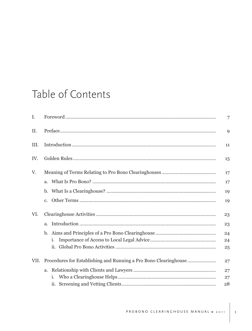## Table of Contents

| I.   |                                                                  | 7  |
|------|------------------------------------------------------------------|----|
| II.  |                                                                  | 9  |
| III. |                                                                  | 11 |
| IV.  |                                                                  | 15 |
| V.   |                                                                  | 17 |
|      |                                                                  | 17 |
|      |                                                                  | 19 |
|      | $c_{\cdot}$                                                      | 19 |
| VI.  |                                                                  |    |
|      | a.                                                               | 23 |
|      |                                                                  | 24 |
|      | i.                                                               | 24 |
|      | ii.                                                              | 25 |
| VII. | Procedures for Establishing and Running a Pro Bono Clearinghouse | 27 |
|      | a.                                                               | 27 |
|      | i.                                                               | 27 |
|      |                                                                  | 28 |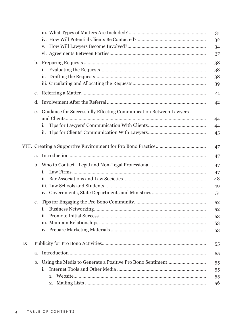|     |                |                                                                   | 31 |
|-----|----------------|-------------------------------------------------------------------|----|
|     |                |                                                                   | 32 |
|     |                |                                                                   | 34 |
|     |                |                                                                   | 37 |
|     |                |                                                                   | 38 |
|     |                | i.                                                                | 38 |
|     |                |                                                                   | 38 |
|     |                |                                                                   | 39 |
|     | c.             |                                                                   | 41 |
|     | d.             |                                                                   | 42 |
|     | e.             | Guidance for Successfully Effecting Communication Between Lawyers |    |
|     |                |                                                                   | 44 |
|     |                | $\mathbf{1}$ .                                                    | 44 |
|     |                | 11.                                                               | 45 |
|     |                |                                                                   | 47 |
|     | a.             |                                                                   | 47 |
|     |                |                                                                   | 47 |
|     |                | i.                                                                | 47 |
|     |                | ii.                                                               | 48 |
|     |                |                                                                   | 49 |
|     |                |                                                                   | 51 |
|     | c.             |                                                                   | 52 |
|     |                | i.                                                                | 52 |
|     |                | ii.                                                               | 53 |
|     |                |                                                                   | 53 |
|     |                |                                                                   | 53 |
|     |                |                                                                   |    |
| IX. |                |                                                                   | 55 |
|     | a.             |                                                                   | 55 |
|     | $\mathbf{b}$ . |                                                                   | 55 |
|     |                | i.                                                                | 55 |
|     |                |                                                                   | 55 |
|     |                |                                                                   | 56 |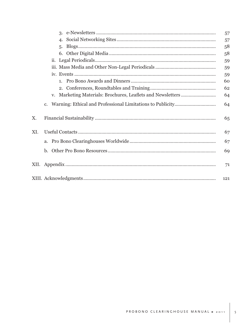|      |             | 57  |
|------|-------------|-----|
|      |             | 57  |
|      | 5.          | 58  |
|      |             | 58  |
|      | ii.         | 59  |
|      |             | 59  |
|      |             | 59  |
|      |             | 60  |
|      |             | 62  |
|      | V.          | 64  |
|      | $c_{\cdot}$ | 64  |
| X.   |             | 65  |
| XI.  |             | 67  |
|      |             | 67  |
|      |             | 69  |
| XII. |             | 71  |
|      |             | 121 |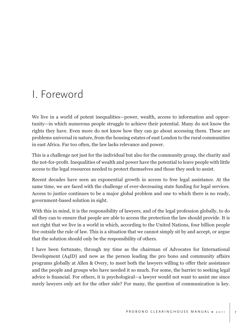## I. Foreword

We live in a world of potent inequalities—power, wealth, access to information and opportunity—in which numerous people struggle to achieve their potential. Many do not know the rights they have. Even more do not know how they can go about accessing them. These are problems universal in nature, from the housing estates of east London to the rural communities in east Africa. Far too often, the law lacks relevance and power.

This is a challenge not just for the individual but also for the community group, the charity and the not-for-profit. Inequalities of wealth and power have the potential to leave people with little access to the legal resources needed to protect themselves and those they seek to assist.

Recent decades have seen an exponential growth in access to free legal assistance. At the same time, we are faced with the challenge of ever-decreasing state funding for legal services. Access to justice continues to be a major global problem and one to which there is no ready, government-based solution in sight.

With this in mind, it is the responsibility of lawyers, and of the legal profession globally, to do all they can to ensure that people are able to access the protection the law should provide. It is not right that we live in a world in which, according to the United Nations, four billion people live outside the rule of law. This is a situation that we cannot simply sit by and accept, or argue that the solution should only be the responsibility of others.

I have been fortunate, through my time as the chairman of Advocates for International Development (A4ID) and now as the person leading the pro bono and community affairs programs globally at Allen & Overy, to meet both the lawyers willing to offer their assistance and the people and groups who have needed it so much. For some, the barrier to seeking legal advice is financial. For others, it is psychological—a lawyer would not want to assist me since surely lawyers only act for the other side? For many, the question of communication is key.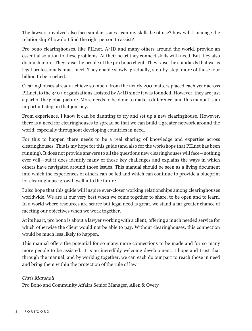The lawyers involved also face similar issues—can my skills be of use? how will I manage the relationship? how do I find the right person to assist?

Pro bono clearinghouses, like PILnet, A4ID and many others around the world, provide an essential solution to these problems. At their heart they connect skills with need. But they also do much more. They raise the profile of the pro bono client. They raise the standards that we as legal professionals must meet. They enable slowly, gradually, step-by-step, more of those four billion to be reached.

Clearinghouses already achieve so much, from the nearly 200 matters placed each year across PILnet, to the 340+ organizations assisted by A4ID since it was founded. However, they are just a part of the global picture. More needs to be done to make a difference, and this manual is an important step on that journey.

From experience, I know it can be daunting to try and set up a new clearinghouse. However, there is a need for clearinghouses to spread so that we can build a greater network around the world, especially throughout developing countries in need.

For this to happen there needs to be a real sharing of knowledge and expertise across clearinghouses. This is my hope for this guide (and also for the workshops that PILnet has been running). It does not provide answers to all the questions new clearinghouses will face—nothing ever will—but it does identify many of those key challenges and explains the ways in which others have navigated around those issues. This manual should be seen as a living document into which the experiences of others can be fed and which can continue to provide a blueprint for clearinghouse growth well into the future.

I also hope that this guide will inspire ever-closer working relationships among clearinghouses worldwide. We are at our very best when we come together to share, to be open and to learn. In a world where resources are scarce but legal need is great, we stand a far greater chance of meeting our objectives when we work together.

At its heart, pro bono is about a lawyer working with a client, offering a much needed service for which otherwise the client would not be able to pay. Without clearinghouses, this connection would be much less likely to happen.

This manual offers the potential for so many more connections to be made and for so many more people to be assisted. It is an incredibly welcome development. I hope and trust that through the manual, and by working together, we can each do our part to reach those in need and bring them within the protection of the rule of law.

*Chris Marshall*

Pro Bono and Community Affairs Senior Manager, Allen & Overy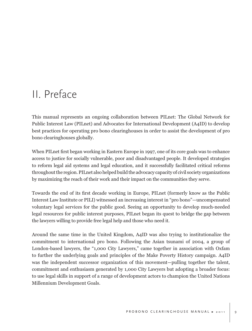## II. Preface

This manual represents an ongoing collaboration between PILnet: The Global Network for Public Interest Law (PILnet) and Advocates for International Development (A4ID) to develop best practices for operating pro bono clearinghouses in order to assist the development of pro bono clearinghouses globally.

When PILnet first began working in Eastern Europe in 1997, one of its core goals was to enhance access to justice for socially vulnerable, poor and disadvantaged people. It developed strategies to reform legal aid systems and legal education, and it successfully facilitated critical reforms throughout the region. PILnet also helped build the advocacy capacity of civil society organizations by maximizing the reach of their work and their impact on the communities they serve.

Towards the end of its first decade working in Europe, PILnet (formerly know as the Public Interest Law Institute or PILI) witnessed an increasing interest in "pro bono"—uncompensated voluntary legal services for the public good. Seeing an opportunity to develop much-needed legal resources for public interest purposes, PILnet began its quest to bridge the gap between the lawyers willing to provide free legal help and those who need it.

Around the same time in the United Kingdom, A4ID was also trying to institutionalize the commitment to international pro bono. Following the Asian tsunami of 2004, a group of London-based lawyers, the "1,000 City Lawyers," came together in association with Oxfam to further the underlying goals and principles of the Make Poverty History campaign. A4ID was the independent successor organization of this movement—pulling together the talent, commitment and enthusiasm generated by 1,000 City Lawyers but adopting a broader focus: to use legal skills in support of a range of development actors to champion the United Nations Millennium Development Goals.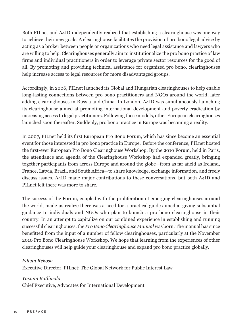Both PILnet and A4ID independently realized that establishing a clearinghouse was one way to achieve their new goals. A clearinghouse facilitates the provision of pro bono legal advice by acting as a broker between people or organizations who need legal assistance and lawyers who are willing to help. Clearinghouses generally aim to institutionalize the pro bono practice of law firms and individual practitioners in order to leverage private sector resources for the good of all. By promoting and providing technical assistance for organized pro bono, clearinghouses help increase access to legal resources for more disadvantaged groups.

Accordingly, in 2006, PILnet launched its Global and Hungarian clearinghouses to help enable long-lasting connections between pro bono practitioners and NGOs around the world, later adding clearinghouses in Russia and China. In London, A4ID was simultaneously launching its clearinghouse aimed at promoting international development and poverty eradication by increasing access to legal practitioners. Following these models, other European clearinghouses launched soon thereafter. Suddenly, pro bono practice in Europe was becoming a reality.

In 2007, PILnet held its first European Pro Bono Forum, which has since become an essential event for those interested in pro bono practice in Europe. Before the conference, PILnet hosted the first-ever European Pro Bono Clearinghouse Workshop. By the 2010 Forum, held in Paris, the attendance and agenda of the Clearinghouse Workshop had expanded greatly, bringing together participants from across Europe and around the globe—from as far afield as Ireland, France, Latvia, Brazil, and South Africa—to share knowledge, exchange information, and freely discuss issues. A4ID made major contributions to these conversations, but both A4ID and PILnet felt there was more to share.

The success of the Forum, coupled with the proliferation of emerging clearinghouses around the world, made us realize there was a need for a practical guide aimed at giving substantial guidance to individuals and NGOs who plan to launch a pro bono clearinghouse in their country. In an attempt to capitalize on our combined experience in establishing and running successful clearinghouses, the *Pro Bono Clearinghouse Manual* was born. The manual has since benefitted from the input of a number of fellow clearinghouses, particularly at the November 2010 Pro Bono Clearinghouse Workshop. We hope that learning from the experiences of other clearinghouses will help guide your clearinghouse and expand pro bono practice globally.

#### *Edwin Rekosh*

Executive Director, PILnet: The Global Network for Public Interest Law

#### *Yasmin Batliwala*

Chief Executive, Advocates for International Development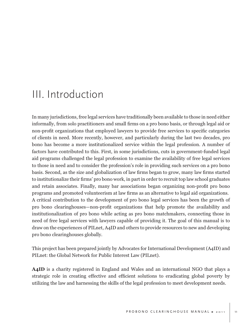### III. Introduction

In many jurisdictions, free legal services have traditionally been available to those in need either informally, from solo practitioners and small firms on a pro bono basis, or through legal aid or non-profit organizations that employed lawyers to provide free services to specific categories of clients in need. More recently, however, and particularly during the last two decades, pro bono has become a more institutionalized service within the legal profession. A number of factors have contributed to this. First, in some jurisdictions, cuts in government-funded legal aid programs challenged the legal profession to examine the availability of free legal services to those in need and to consider the profession's role in providing such services on a pro bono basis. Second, as the size and globalization of law firms began to grow, many law firms started to institutionalize their firms' pro bono work, in part in order to recruit top law school graduates and retain associates. Finally, many bar associations began organizing non-profit pro bono programs and promoted volunteerism at law firms as an alternative to legal aid organizations. A critical contribution to the development of pro bono legal services has been the growth of pro bono clearinghouses—non-profi t organizations that help promote the availability and institutionalization of pro bono while acting as pro bono matchmakers, connecting those in need of free legal services with lawyers capable of providing it. The goal of this manual is to draw on the experiences of PILnet, A4ID and others to provide resources to new and developing pro bono clearinghouses globally.

This project has been prepared jointly by Advocates for International Development (A4ID) and PILnet: the Global Network for Public Interest Law (PILnet).

**A4ID** is a charity registered in England and Wales and an international NGO that plays a strategic role in creating effective and efficient solutions to eradicating global poverty by utilizing the law and harnessing the skills of the legal profession to meet development needs.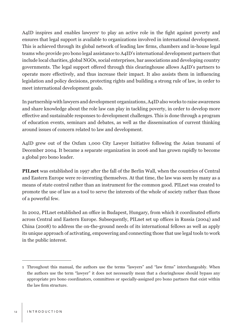A4ID inspires and enables lawyers<sup>1</sup> to play an active role in the fight against poverty and ensures that legal support is available to organizations involved in international development. This is achieved through its global network of leading law firms, chambers and in-house legal teams who provide pro bono legal assistance to A4ID's international development partners that include local charities, global NGOs, social enterprises, bar associations and developing country governments. The legal support offered through this clearinghouse allows A4ID's partners to operate more effectively, and thus increase their impact. It also assists them in influencing legislation and policy decisions, protecting rights and building a strong rule of law, in order to meet international development goals.

In partnership with lawyers and development organizations, A4ID also works to raise awareness and share knowledge about the role law can play in tackling poverty, in order to develop more effective and sustainable responses to development challenges. This is done through a program of education events, seminars and debates, as well as the dissemination of current thinking around issues of concern related to law and development.

A4ID grew out of the Oxfam 1,000 City Lawyer Initiative following the Asian tsunami of December 2004. It became a separate organization in 2006 and has grown rapidly to become a global pro bono leader.

**PILnet** was established in 1997 after the fall of the Berlin Wall, when the countries of Central and Eastern Europe were re-inventing themselves. At that time, the law was seen by many as a means of state control rather than an instrument for the common good. PILnet was created to promote the use of law as a tool to serve the interests of the whole of society rather than those of a powerful few.

In 2002, PILnet established an office in Budapest, Hungary, from which it coordinated efforts across Central and Eastern Europe. Subsequently, PILnet set up offices in Russia (2004) and China (2008) to address the on-the-ground needs of its international fellows as well as apply its unique approach of activating, empowering and connecting those that use legal tools to work in the public interest.

<sup>1</sup> Throughout this manual, the authors use the terms "lawyers" and "law firms" interchangeably. When the authors use the term "lawyer" it does not necessarily mean that a clearinghouse should bypass any appropriate pro bono coordinators, committees or specially-assigned pro bono partners that exist within the law firm structure.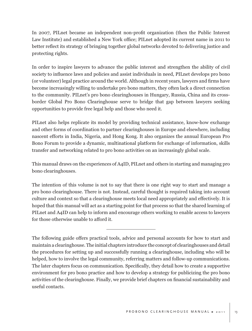In 2007, PILnet became an independent non-profit organization (then the Public Interest Law Institute) and established a New York office; PILnet adopted its current name in 2011 to better reflect its strategy of bringing together global networks devoted to delivering justice and protecting rights.

In order to inspire lawyers to advance the public interest and strengthen the ability of civil society to influence laws and policies and assist individuals in need, PILnet develops pro bono (or volunteer) legal practice around the world. Although in recent years, lawyers and firms have become increasingly willing to undertake pro bono matters, they often lack a direct connection to the community. PILnet's pro bono clearinghouses in Hungary, Russia, China and its crossborder Global Pro Bono Clearinghouse serve to bridge that gap between lawyers seeking opportunities to provide free legal help and those who need it.

PILnet also helps replicate its model by providing technical assistance, know-how exchange and other forms of coordination to partner clearinghouses in Europe and elsewhere, including nascent efforts in India, Nigeria, and Hong Kong. It also organizes the annual European Pro Bono Forum to provide a dynamic, multinational platform for exchange of information, skills transfer and networking related to pro bono activities on an increasingly global scale.

This manual draws on the experiences of A4ID, PILnet and others in starting and managing pro bono clearinghouses.

The intention of this volume is not to say that there is one right way to start and manage a pro bono clearinghouse. There is not. Instead, careful thought is required taking into account culture and context so that a clearinghouse meets local need appropriately and effectively. It is hoped that this manual will act as a starting point for that process so that the shared learning of PILnet and A4ID can help to inform and encourage others working to enable access to lawyers for those otherwise unable to afford it.

The following guide offers practical tools, advice and personal accounts for how to start and maintain a clearinghouse. The initial chapters introduce the concept of clearinghouses and detail the procedures for setting up and successfully running a clearinghouse, including who will be helped, how to involve the legal community, referring matters and follow-up communications. The later chapters focus on communication. Specifically, they detail how to create a supportive environment for pro bono practice and how to develop a strategy for publicizing the pro bono activities of the clearinghouse. Finally, we provide brief chapters on financial sustainability and useful contacts.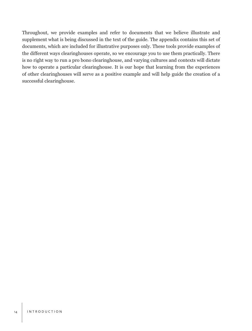Throughout, we provide examples and refer to documents that we believe illustrate and supplement what is being discussed in the text of the guide. The appendix contains this set of documents, which are included for illustrative purposes only. These tools provide examples of the different ways clearinghouses operate, so we encourage you to use them practically. There is no right way to run a pro bono clearinghouse, and varying cultures and contexts will dictate how to operate a particular clearinghouse. It is our hope that learning from the experiences of other clearinghouses will serve as a positive example and will help guide the creation of a successful clearinghouse.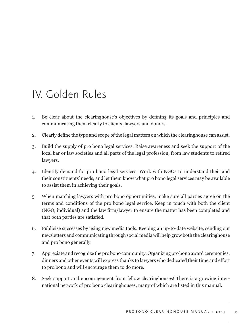## IV. Golden Rules

- 1. Be clear about the clearinghouse's objectives by defining its goals and principles and communicating them clearly to clients, lawyers and donors.
- 2. Clearly define the type and scope of the legal matters on which the clearinghouse can assist.
- 3. Build the supply of pro bono legal services. Raise awareness and seek the support of the local bar or law societies and all parts of the legal profession, from law students to retired lawyers.
- 4. Identify demand for pro bono legal services. Work with NGOs to understand their and their constituents' needs, and let them know what pro bono legal services may be available to assist them in achieving their goals.
- 5. When matching lawyers with pro bono opportunities, make sure all parties agree on the terms and conditions of the pro bono legal service. Keep in touch with both the client (NGO, individual) and the law firm/lawyer to ensure the matter has been completed and that both parties are satisfied.
- 6. Publicize successes by using new media tools. Keeping an up-to-date website, sending out newsletters and communicating through social media will help grow both the clearinghouse and pro bono generally.
- 7. Appreciate and recognize the pro bono community. Organizing pro bono award ceremonies, dinners and other events will express thanks to lawyers who dedicated their time and effort to pro bono and will encourage them to do more.
- 8. Seek support and encouragement from fellow clearinghouses! There is a growing international network of pro bono clearinghouses, many of which are listed in this manual.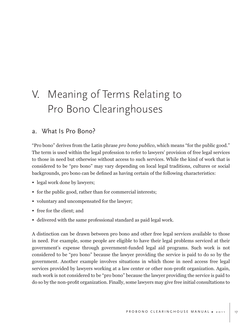# V. Meaning of Terms Relating to Pro Bono Clearinghouses

#### a. What Is Pro Bono?

"Pro bono" derives from the Latin phrase *pro bono publico*, which means "for the public good." The term is used within the legal profession to refer to lawyers' provision of free legal services to those in need but otherwise without access to such services. While the kind of work that is considered to be "pro bono" may vary depending on local legal traditions, cultures or social backgrounds, pro bono can be defined as having certain of the following characteristics:

- legal work done by lawyers;
- for the public good, rather than for commercial interests;
- voluntary and uncompensated for the lawyer;
- free for the client; and
- delivered with the same professional standard as paid legal work.

A distinction can be drawn between pro bono and other free legal services available to those in need. For example, some people are eligible to have their legal problems serviced at their government's expense through government-funded legal aid programs. Such work is not considered to be "pro bono" because the lawyer providing the service is paid to do so by the government. Another example involves situations in which those in need access free legal services provided by lawyers working at a law center or other non-profit organization. Again, such work is not considered to be "pro bono" because the lawyer providing the service is paid to do so by the non-profit organization. Finally, some lawyers may give free initial consultations to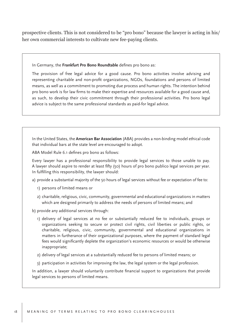prospective clients. This is not considered to be "pro bono" because the lawyer is acting in his/ her own commercial interests to cultivate new fee-paying clients.

In Germany, the Frankfurt Pro Bono Roundtable defines pro bono as:

The provision of free legal advice for a good cause. Pro bono activities involve advising and representing charitable and non-profit organizations, NGOs, foundations and persons of limited means, as well as a commitment to promoting due process and human rights. The intention behind pro bono work is for law firms to make their expertise and resources available for a good cause and, as such, to develop their civic commitment through their professional activities. Pro bono legal advice is subject to the same professional standards as paid-for legal advice.

In the United States, the **American Bar Association** (ABA) provides a non-binding model ethical code that individual bars at the state level are encouraged to adopt.

ABA Model Rule 6.1 defines pro bono as follows:

Every lawyer has a professional responsibility to provide legal services to those unable to pay. A lawyer should aspire to render at least fifty (50) hours of pro bono publico legal services per year. In fulfilling this responsibility, the lawyer should:

a) provide a substantial majority of the 50 hours of legal services without fee or expectation of fee to:

- 1) persons of limited means or
- 2) charitable, religious, civic, community, governmental and educational organizations in matters which are designed primarily to address the needs of persons of limited means; and
- b) provide any additional services through:
	- 1) delivery of legal services at no fee or substantially reduced fee to individuals, groups or organizations seeking to secure or protect civil rights, civil liberties or public rights, or charitable, religious, civic, community, governmental and educational organizations in matters in furtherance of their organizational purposes, where the payment of standard legal fees would significantly deplete the organization's economic resources or would be otherwise inappropriate;
	- 2) delivery of legal services at a substantially reduced fee to persons of limited means; or
	- 3) participation in activities for improving the law, the legal system or the legal profession.

In addition, a lawyer should voluntarily contribute financial support to organizations that provide legal services to persons of limited means.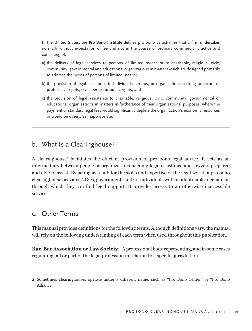In the United States, the **Pro Bono Institute** defines pro bono as activities that a firm undertakes normally without expectation of fee and not in the course of ordinary commercial practice and consisting of:

- a) the delivery of legal services to persons of limited means or to charitable, religious, civic, community, governmental and educational organizations in matters which are designed primarily to address the needs of persons of limited means;
- b) the provision of legal assistance to individuals, groups, or organizations seeking to secure or protect civil rights, civil liberties or public rights; and
- c) the provision of legal assistance to charitable, religious, civic, community, governmental or educational organizations in matters in furtherance of their organizational purposes, where the payment of standard legal fees would significantly deplete the organization's economic resources or would be otherwise inappropriate.

#### b. What Is a Clearinghouse?

A clearinghouse<sup>2</sup> facilitates the efficient provision of pro bono legal advice. It acts as an intermediary between people or organizations needing legal assistance and lawyers prepared and able to assist. By acting as a hub for the skills and expertise of the legal world, a pro bono clearinghouse provides NGOs, governments and/or individuals with an identifiable mechanism through which they can find legal support. It provides access to an otherwise inaccessible service.

#### c. Other Terms

This manual provides definitions for the following terms. Although definitions vary, the manual will rely on the following understanding of each term when used throughout this publication.

**Bar, Bar Association or Law Society**—A professional body representing, and in some cases regulating, all or part of the legal profession in relation to a specific jurisdiction.

<sup>2</sup> Sometimes clearinghouses operate under a different name, such as "Pro Bono Center" or "Pro Bono Alliance."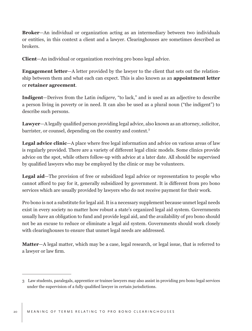**Broker**—An individual or organization acting as an intermediary between two individuals or entities, in this context a client and a lawyer. Clearinghouses are sometimes described as brokers.

**Client**—An individual or organization receiving pro bono legal advice.

**Engagement letter**—A letter provided by the lawyer to the client that sets out the relationship between them and what each can expect. This is also known as an **appointment letter**  or **retainer agreement**.

**Indigent**—Derives from the Latin *indigere*, "to lack," and is used as an adjective to describe a person living in poverty or in need. It can also be used as a plural noun ("the indigent") to describe such persons.

**Lawyer**—A legally qualified person providing legal advice, also known as an attorney, solicitor, barrister, or counsel, depending on the country and context.<sup>3</sup>

**Legal advice clinic**—A place where free legal information and advice on various areas of law is regularly provided. There are a variety of different legal clinic models. Some clinics provide advice on the spot, while others follow-up with advice at a later date. All should be supervised by qualified lawyers who may be employed by the clinic or may be volunteers.

**Legal aid**—The provision of free or subsidized legal advice or representation to people who cannot afford to pay for it, generally subsidized by government. It is different from pro bono services which are usually provided by lawyers who do not receive payment for their work.

Pro bono is not a substitute for legal aid. It is a necessary supplement because unmet legal needs exist in every society no matter how robust a state's organized legal aid system. Governments usually have an obligation to fund and provide legal aid, and the availability of pro bono should not be an excuse to reduce or eliminate a legal aid system. Governments should work closely with clearinghouses to ensure that unmet legal needs are addressed.

**Matter**—A legal matter, which may be a case, legal research, or legal issue, that is referred to a lawyer or law firm.

<sup>3</sup> Law students, paralegals, apprentice or trainee lawyers may also assist in providing pro bono legal services under the supervision of a fully qualified lawyer in certain jurisdictions.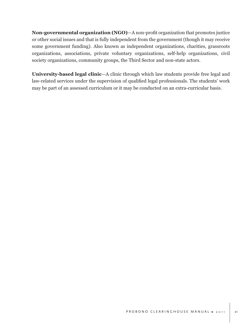**Non-governmental organization (NGO)**—A non-profit organization that promotes justice or other social issues and that is fully independent from the government (though it may receive some government funding). Also known as independent organizations, charities, grassroots organizations, associations, private voluntary organizations, self-help organizations, civil society organizations, community groups, the Third Sector and non-state actors.

**University-based legal clinic**—A clinic through which law students provide free legal and law-related services under the supervision of qualified legal professionals. The students' work may be part of an assessed curriculum or it may be conducted on an extra-curricular basis.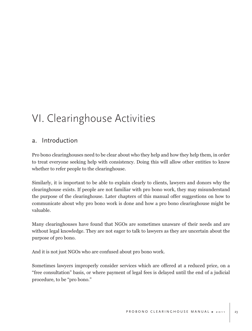# VI. Clearinghouse Activities

#### a. Introduction

Pro bono clearinghouses need to be clear about who they help and how they help them, in order to treat everyone seeking help with consistency. Doing this will allow other entities to know whether to refer people to the clearinghouse.

Similarly, it is important to be able to explain clearly to clients, lawyers and donors why the clearinghouse exists. If people are not familiar with pro bono work, they may misunderstand the purpose of the clearinghouse. Later chapters of this manual offer suggestions on how to communicate about why pro bono work is done and how a pro bono clearinghouse might be valuable.

Many clearinghouses have found that NGOs are sometimes unaware of their needs and are without legal knowledge. They are not eager to talk to lawyers as they are uncertain about the purpose of pro bono.

And it is not just NGOs who are confused about pro bono work.

Sometimes lawyers improperly consider services which are offered at a reduced price, on a "free consultation" basis, or where payment of legal fees is delayed until the end of a judicial procedure, to be "pro bono."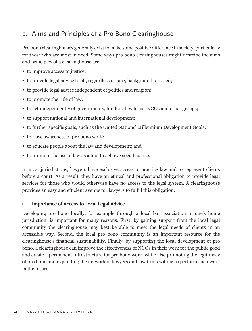#### b. Aims and Principles of a Pro Bono Clearinghouse

Pro bono clearinghouses generally exist to make some positive difference in society, particularly for those who are most in need. Some ways pro bono clearinghouses might describe the aims and principles of a clearinghouse are:

- to improve access to justice;
- to provide legal advice to all, regardless of race, background or creed;
- to provide legal advice independent of politics and religion;
- to promote the rule of law;
- to act independently of governments, funders, law firms, NGOs and other groups;
- to support national and international development;
- to further specific goals, such as the United Nations' Millennium Development Goals;
- to raise awareness of pro bono work;
- to educate people about the law and development; and
- to promote the use of law as a tool to achieve social justice.

In most jurisdictions, lawyers have exclusive access to practice law and to represent clients before a court. As a result, they have an ethical and professional obligation to provide legal services for those who would otherwise have no access to the legal system. A clearinghouse provides an easy and efficient avenue for lawyers to fulfill this obligation.

#### **i. Importance of Access to Local Legal Advice**

Developing pro bono locally, for example through a local bar association in one's home jurisdiction, is important for many reasons. First, by gaining support from the local legal community the clearinghouse may best be able to meet the legal needs of clients in an accessible way. Second, the local pro bono community is an important resource for the clearinghouse's financial sustainability. Finally, by supporting the local development of pro bono, a clearinghouse can improve the effectiveness of NGOs in their work for the public good and create a permanent infrastructure for pro bono work, while also promoting the legitimacy of pro bono and expanding the network of lawyers and law firms willing to perform such work in the future.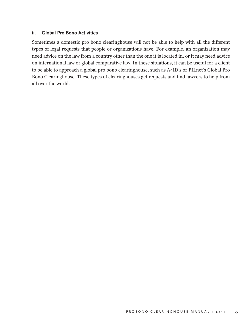#### **ii. Global Pro Bono Activities**

Sometimes a domestic pro bono clearinghouse will not be able to help with all the different types of legal requests that people or organizations have. For example, an organization may need advice on the law from a country other than the one it is located in, or it may need advice on international law or global comparative law. In these situations, it can be useful for a client to be able to approach a global pro bono clearinghouse, such as A4ID's or PILnet's Global Pro Bono Clearinghouse. These types of clearinghouses get requests and find lawyers to help from all over the world.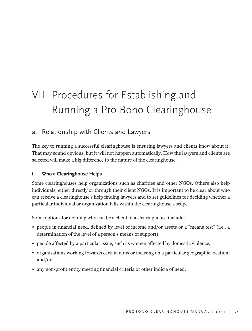# VII. Procedures for Establishing and Running a Pro Bono Clearinghouse

#### a. Relationship with Clients and Lawyers

The key to running a successful clearinghouse is ensuring lawyers and clients know about it! That may sound obvious, but it will not happen automatically. How the lawyers and clients are selected will make a big difference to the nature of the clearinghouse.

#### **i. Who a Clearinghouse Helps**

Some clearinghouses help organizations such as charities and other NGOs. Others also help individuals, either directly or through their client NGOs. It is important to be clear about who can receive a clearinghouse's help finding lawyers and to set guidelines for deciding whether a particular individual or organization falls within the clearinghouse's scope.

Some options for defining who can be a client of a clearinghouse include:

- people in financial need, defined by level of income and/or assets or a "means test" (i.e., a determination of the level of a person's means of support);
- people affected by a particular issue, such as women affected by domestic violence;
- organizations working towards certain aims or focusing on a particular geographic location; and/or
- any non-profit entity meeting financial criteria or other indicia of need.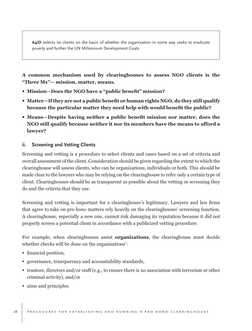A4ID selects its clients on the basis of whether the organization in some way seeks to eradicate poverty and further the UN Millennium Development Goals.

**A common mechanism used by clearinghouses to assess NGO clients is the "Three Ms"— mission, matter, means.**

- Mission-Does the NGO have a "public benefit" mission?
- Matter-If they are not a public benefit or human rights NGO, do they still qualify **because the particular matter they need help with would benefit the public?**
- Means—Despite having neither a public benefit mission nor matter, does the **NGO still qualify because neither it nor its members have the means to afford a lawyer?**

#### **ii. Screening and Vetting Clients**

Screening and vetting is a procedure to select clients and cases based on a set of criteria and overall assessment of the client. Consideration should be given regarding the extent to which the clearinghouse will assess clients, who can be organizations, individuals or both. This should be made clear to the lawyers who may be relying on the clearinghouse to refer only a certain type of client. Clearinghouses should be as transparent as possible about the vetting or screening they do and the criteria that they use.

Screening and vetting is important for a clearinghouse's legitimacy. Lawyers and law firms that agree to take on pro bono matters rely heavily on the clearinghouses' screening function. A clearinghouse, especially a new one, cannot risk damaging its reputation because it did not properly screen a potential client in accordance with a publicized vetting procedure.

For example, when clearinghouses assist **organizations**, the clearinghouse must decide whether checks will be done on the organizations':

- financial position,
- governance, transparency and accountability standards,
- trustees, directors and/or staff (e.g., to ensure there is no association with terrorism or other criminal activity), and/or
- aims and principles.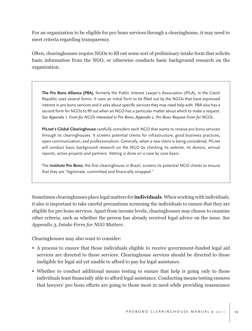For an organization to be eligible for pro bono services through a clearinghouse, it may need to meet criteria regarding transparency.

Often, clearinghouses require NGOs to fill out some sort of preliminary intake form that solicits basic information from the NGO, or otherwise conducts basic background research on the organization.

**The Pro Bono Alliance (PBA)**, formerly the Public Interest Lawyer's Association (PILA), in the Czech Republic uses several forms. It uses an initial form to be filled out by the NGOs that have expressed interest in pro bono services and it asks about specific services they may need help with. PBA also has a second form for NGOs to fill out when an NGO has a particular matter about which to make a request. *See Appendix 1, Form for NGOs Interested in Pro Bono; Appendix 2, Pro Bono Request Form for NGOs.*

**PILnet's Global Clearinghouse** carefully considers each NGO that wants to receive pro bono services through its clearinghouses. It screens potential clients for infrastructure, good business practices, open communication, and professionalism. Generally, when a new client is being considered, PILnet will conduct basic background research on the NGO by checking its website, its donors, annual reports, active projects and partners. Vetting is done on a case by case basis.

The Instituto Pro Bono, the first clearinghouse in Brazil, screens its potential NGO clients to ensure that they are "legitimate, committed and financially strapped."

Sometimes clearinghouses place legal matters for **individuals**. When working with individuals, it also is important to take careful precautions screening the individuals to ensure that they are eligible for pro bono services. Apart from income levels, clearinghouses may choose to examine other criteria, such as whether the person has already received legal advice on the issue. *See Appendix 3, Intake Form for NGO Matters*.

Clearinghouses may also want to consider:

- A process to ensure that those individuals eligible to receive government-funded legal aid services are directed to those services. Clearinghouse services should be directed to those ineligible for legal aid yet unable to afford to pay for legal assistance.
- Whether to conduct additional means testing to ensure that help is going only to those individuals least financially able to afford legal assistance. Conducting means testing ensures that lawyers' pro bono efforts are going to those most in need while providing reassurance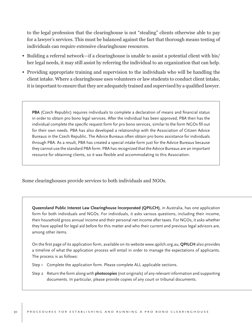to the legal profession that the clearinghouse is not "stealing" clients otherwise able to pay for a lawyer's services. This must be balanced against the fact that thorough means testing of individuals can require extensive clearinghouse resources.

- Building a referral network—if a clearinghouse is unable to assist a potential client with his/ her legal needs, it may still assist by referring the individual to an organization that can help.
- Providing appropriate training and supervision to the individuals who will be handling the client intake. Where a clearinghouse uses volunteers or law students to conduct client intake, it is important to ensure that they are adequately trained and supervised by a qualified lawyer.

PBA (Czech Republic) requires individuals to complete a declaration of means and financial status in order to obtain pro bono legal services. After the individual has been approved, PBA then has the individual complete the specific request form for pro bono services, similar to the form NGOs fill out for their own needs. PBA has also developed a relationship with the Association of Citizen Advice Bureaus in the Czech Republic. The Advice Bureaus often obtain pro bono assistance for individuals through PBA. As a result, PBA has created a special intake form just for the Advice Bureaus because they cannot use the standard PBA form. PBA has recognized that the Advice Bureaus are an important resource for obtaining clients, so it was flexible and accommodating to this Association.

Some clearinghouses provide services to both individuals and NGOs.

**Queensland Public Interest Law Clearinghouse Incorporated (QPILCH)**, in Australia, has one application form for both individuals and NGOs. For individuals, it asks various questions, including their income, their household gross annual income and their personal net income after taxes. For NGOs, it asks whether they have applied for legal aid before for this matter and who their current and previous legal advisors are, among other items.

On the first page of its application form, available on its website www.qpilch.org.au, **QPILCH** also provides a timeline of what the application process will entail in order to manage the expectations of applicants. The process is as follows:

Step 1 Complete the application form. Please complete ALL applicable sections.

Step 2 Return the form along with **photocopies** (not originals) of any relevant information and supporting documents. In particular, please provide copies of any court or tribunal documents.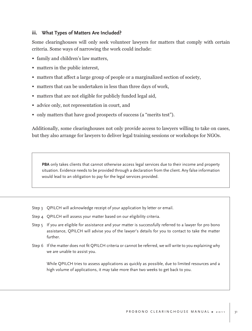#### **iii. What Types of Matters Are Included?**

Some clearinghouses will only seek volunteer lawyers for matters that comply with certain criteria. Some ways of narrowing the work could include:

- family and children's law matters,
- matters in the public interest,
- matters that affect a large group of people or a marginalized section of society,
- matters that can be undertaken in less than three days of work,
- matters that are not eligible for publicly funded legal aid,
- advice only, not representation in court, and
- only matters that have good prospects of success (a "merits test").

Additionally, some clearinghouses not only provide access to lawyers willing to take on cases, but they also arrange for lawyers to deliver legal training sessions or workshops for NGOs.

**PBA** only takes clients that cannot otherwise access legal services due to their income and property situation. Evidence needs to be provided through a declaration from the client. Any false information would lead to an obligation to pay for the legal services provided.

- Step 3 QPILCH will acknowledge receipt of your application by letter or email.
- Step 4 QPILCH will assess your matter based on our eligibility criteria.
- Step 5 If you are eligible for assistance and your matter is successfully referred to a lawyer for pro bono assistance, QPILCH will advise you of the lawyer's details for you to contact to take the matter further.
- Step 6 If the matter does not fit QPILCH criteria or cannot be referred, we will write to you explaining why we are unable to assist you.

While QPILCH tries to assess applications as quickly as possible, due to limited resources and a high volume of applications, it may take more than two weeks to get back to you.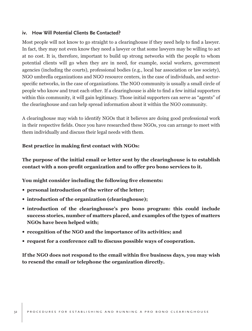#### **iv. How Will Potential Clients Be Contacted?**

Most people will not know to go straight to a clearinghouse if they need help to find a lawyer. In fact, they may not even know they need a lawyer or that some lawyers may be willing to act at no cost. It is, therefore, important to build up strong networks with the people to whom potential clients will go when they are in need, for example, social workers, government agencies (including the courts), professional bodies (e.g., local bar association or law society), NGO umbrella organizations and NGO resource centers, in the case of individuals, and sectorspecific networks, in the case of organizations. The NGO community is usually a small circle of people who know and trust each other. If a clearinghouse is able to find a few initial supporters within this community, it will gain legitimacy. Those initial supporters can serve as "agents" of the clearinghouse and can help spread information about it within the NGO community.

A clearinghouse may wish to identify NGOs that it believes are doing good professional work in their respective fields. Once you have researched these NGOs, you can arrange to meet with them individually and discuss their legal needs with them.

#### **Best practice in making first contact with NGOs:**

**The purpose of the initial email or letter sent by the clearinghouse is to establish**  contact with a non-profit organization and to offer pro bono services to it.

You might consider including the following five elements:

- **personal introduction of the writer of the letter;**
- **introduction of the organization (clearinghouse);**
- **introduction of the clearinghouse's pro bono program: this could include success stories, number of matters placed, and examples of the types of matters NGOs have been helped with;**
- **recognition of the NGO and the importance of its activities; and**
- **request for a conference call to discuss possible ways of cooperation.**

If the NGO does not respond to the email within five business days, you may wish **to resend the email or telephone the organization directly.**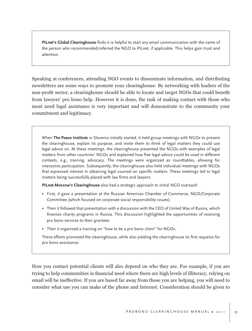**PILnet's Global Clearinghouse** finds it is helpful to start any email communication with the name of the person who recommended/referred the NGO to PILnet, if applicable. This helps gain trust and attention.

Speaking at conferences, attending NGO events to disseminate information, and distributing newsletters are some ways to promote your clearinghouse. By networking with leaders of the non-profit sector, a clearinghouse should be able to locate and target NGOs that could benefit from lawyers' pro bono help. However it is done, the task of making contact with those who most need legal assistance is very important and will demonstrate to the community your commitment and legitimacy.

When **The Peace Institute** in Slovenia initially started, it held group meetings with NGOs to present the clearinghouse, explain its purpose, and invite them to think of legal matters they could use legal advice on. At these meetings, the clearinghouse presented the NGOs with examples of legal matters from other countries' NGOs and explained how free legal advice could be used in different contexts, e.g., training, advocacy. The meetings were organized as roundtables, allowing for interactive participation. Subsequently, the clearinghouse also held individual meetings with NGOs that expressed interest in obtaining legal counsel on specific matters. These meetings led to legal matters being successfully placed with law firms and lawyers.

**PILnet-Moscow's Clearinghouse** also had a strategic approach to initial NGO outreach:

- First, it gave a presentation at the Russian American Chamber of Commerce, NGO/Corporate Committee (which focused on corporate social responsibility issues).
- Then it followed that presentation with a discussion with the CEO of United Way of Russia, which finances charity programs in Russia. This discussion highlighted the opportunities of receiving pro bono services to their grantees.
- Then it organized a training on "how to be a pro bono client" for NGOs.

These efforts promoted the clearinghouse, while also yielding the clearinghouse its first requests for pro bono assistance.

How you contact potential clients will also depend on who they are. For example, if you are trying to help communities in financial need where there are high levels of illiteracy, relying on email will be ineffective. If you are based far away from those you are helping, you will need to consider what use you can make of the phone and Internet. Consideration should be given to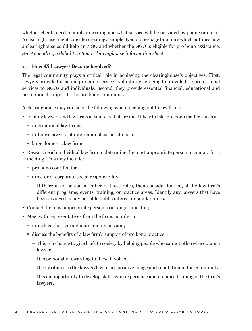whether clients need to apply in writing and what service will be provided by phone or email. A clearinghouse might consider creating a simple flyer or one-page brochure which outlines how a clearinghouse could help an NGO and whether the NGO is eligible for pro bono assistance. *See Appendix 4, Global Pro Bono Clearinghouse information sheet.*

#### **v. How Will Lawyers Become Involved?**

The legal community plays a critical role in achieving the clearinghouse's objectives. First, lawyers provide the actual pro bono service—voluntarily agreeing to provide free professional services to NGOs and individuals. Second, they provide essential financial, educational and promotional support to the pro bono community.

A clearinghouse may consider the following when reaching out to law firms:

- Identify lawyers and law firms in your city that are most likely to take pro bono matters, such as:
	- $\circ$  international law firms.
	- in-house lawyers at international corporations, or
	- $\circ$  large domestic law firms.
- Research each individual law firm to determine the most appropriate person to contact for a meeting. This may include:
	- pro bono coordinator
	- director of corporate social responsibility
		- $-$  If there is no person in either of these roles, then consider looking at the law firm's different programs, events, training, or practice areas. Identify any lawyers that have been involved in any possible public interest or similar areas.
- Contact the most appropriate person to arrange a meeting.
- Meet with representatives from the firms in order to:
	- introduce the clearinghouse and its mission;
	- $\circ$  discuss the benefits of a law firm's support of pro bono practice:
		- This is a chance to give back to society by helping people who cannot otherwise obtain a lawyer.
		- It is personally rewarding to those involved.
		- $-$  It contributes to the lawyer/law firm's positive image and reputation in the community.
		- It is an opportunity to develop skills, gain experience and enhance training of the firm's lawyers.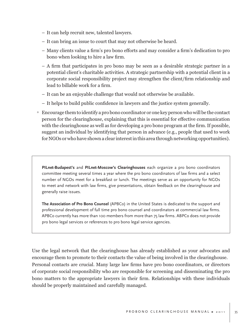- It can help recruit new, talented lawyers.
- It can bring an issue to court that may not otherwise be heard.
- Many clients value a firm's pro bono efforts and may consider a firm's dedication to pro bono when looking to hire a law firm.
- $-$  A firm that participates in pro bono may be seen as a desirable strategic partner in a potential client's charitable activities. A strategic partnership with a potential client in a corporate social responsibility project may strengthen the client/firm relationship and lead to billable work for a firm.
- It can be an enjoyable challenge that would not otherwise be available.
- It helps to build public confidence in lawyers and the justice system generally.
- Encourage them to identify a pro bono coordinator or one key person who will be the contact person for the clearinghouse, explaining that this is essential for effective communication with the clearinghouse as well as for developing a pro bono program at the firm. If possible, suggest an individual by identifying that person in advance (e.g., people that used to work for NGOs or who have shown a clear interest in this area through networking opportunities).

**PILnet-Budapest's** and **PILnet-Moscow's Clearinghouses** each organize a pro bono coordinators committee meeting several times a year where the pro bono coordinators of law firms and a select number of NGOs meet for a breakfast or lunch. The meetings serve as an opportunity for NGOs to meet and network with law firms, give presentations, obtain feedback on the clearinghouse and generally raise issues.

**The Association of Pro Bono Counsel** (APBCo) in the United States is dedicated to the support and professional development of full time pro bono counsel and coordinators at commercial law firms. APBCo currently has more than 100 members from more than 75 law firms. ABPCo does not provide pro bono legal services or references to pro bono legal service agencies.

Use the legal network that the clearinghouse has already established as your advocates and encourage them to promote to their contacts the value of being involved in the clearinghouse. Personal contacts are crucial. Many large law firms have pro bono coordinators, or directors of corporate social responsibility who are responsible for screening and disseminating the pro bono matters to the appropriate lawyers in their firm. Relationships with these individuals should be properly maintained and carefully managed.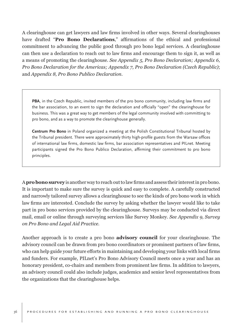A clearinghouse can get lawyers and law firms involved in other ways. Several clearinghouses have drafted "Pro Bono Declarations," affirmations of the ethical and professional commitment to advancing the public good through pro bono legal services. A clearinghouse can then use a declaration to reach out to law firms and encourage them to sign it, as well as a means of promoting the clearinghouse. *See Appendix 5, Pro Bono Declaration; Appendix 6, Pro Bono Declaration for the Americas; Appendix 7, Pro Bono Declaration (Czech Republic)*; and *Appendix 8, Pro Bono Publico Declaration*.

PBA, in the Czech Republic, invited members of the pro bono community, including law firms and the bar association, to an event to sign the declaration and officially "open" the clearinghouse for business. This was a great way to get members of the legal community involved with committing to pro bono, and as a way to promote the clearinghouse generally.

**Centrum Pro Bono** in Poland organized a meeting at the Polish Constitutional Tribunal hosted by the Tribunal president. There were approximately thirty high-profile guests from the Warsaw offices of international law firms, domestic law firms, bar association representatives and PILnet. Meeting participants signed the Pro Bono Publico Declaration, affirming their commitment to pro bono principles.

A **pro bono survey** is another way to reach out to law firms and assess their interest in pro bono. It is important to make sure the survey is quick and easy to complete. A carefully constructed and narrowly tailored survey allows a clearinghouse to see the kinds of pro bono work in which law firms are interested. Conclude the survey by asking whether the lawyer would like to take part in pro bono services provided by the clearinghouse. Surveys may be conducted via direct mail, email or online through surveying services like Survey Monkey. *See Appendix 9, Survey on Pro Bono and Legal Aid Practice*.

Another approach is to create a pro bono **advisory council** for your clearinghouse. The advisory council can be drawn from pro bono coordinators or prominent partners of law firms, who can help guide your future efforts in maintaining and developing your links with local firms and funders. For example, PILnet's Pro Bono Advisory Council meets once a year and has an honorary president, co-chairs and members from prominent law firms. In addition to lawyers, an advisory council could also include judges, academics and senior level representatives from the organizations that the clearinghouse helps.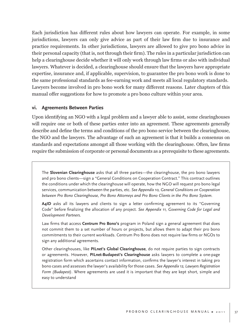Each jurisdiction has different rules about how lawyers can operate. For example, in some jurisdictions, lawyers can only give advice as part of their law firm due to insurance and practice requirements. In other jurisdictions, lawyers are allowed to give pro bono advice in their personal capacity (that is, not through their firm). The rules in a particular jurisdiction can help a clearinghouse decide whether it will only work through law firms or also with individual lawyers. Whatever is decided, a clearinghouse should ensure that the lawyers have appropriate expertise, insurance and, if applicable, supervision, to guarantee the pro bono work is done to the same professional standards as fee-earning work and meets all local regulatory standards. Lawyers become involved in pro bono work for many different reasons. Later chapters of this manual offer suggestions for how to promote a pro bono culture within your area.

#### **vi. Agreements Between Parties**

Upon identifying an NGO with a legal problem and a lawyer able to assist, some clearinghouses will require one or both of these parties enter into an agreement. These agreements generally describe and define the terms and conditions of the pro bono service between the clearinghouse, the NGO and the lawyers. The advantage of such an agreement is that it builds a consensus on standards and expectations amongst all those working with the clearinghouse. Often, law firms require the submission of corporate or personal documents as a prerequisite to these agreements.

The **Slovenian Clearinghouse** asks that all three parties—the clearinghouse, the pro bono lawyers and pro bono clients—sign a "General Conditions on Cooperation Contract." This contract outlines the conditions under which the clearinghouse will operate, how the NGO will request pro bono legal services, communication between the parties, etc. *See Appendix 10, General Conditions on Cooperation between Pro Bono Clearinghouse, Pro Bono Attorneys and Pro Bono Clients in the Pro Bono System.*

A4ID asks all its lawyers and clients to sign a letter confirming agreement to its "Governing Code" before finalizing the allocation of any project. See Appendix 11, Governing Code for Legal and *Development Partners*.

Law firms that access **Centrum Pro Bono's** program in Poland sign a general agreement that does not commit them to a set number of hours or projects, but allows them to adapt their pro bono commitments to their current workloads. Centrum Pro Bono does not require law firms or NGOs to sign any additional agreements.

Other clearinghouses, like **PILnet's Global Clearinghouse**, do not require parties to sign contracts or agreements. However, **PILnet-Budapest's Clearinghouse** asks lawyers to complete a one-page registration form which ascertains contact information, confirms the lawyer's interest in taking pro bono cases and assesses the lawyer's availability for those cases. *See Appendix 12, Lawyers Registration Form (Budapest)*. Where agreements are used it is important that they are kept short, simple and easy to understand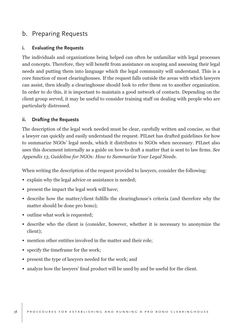### b. Preparing Requests

#### **i. Evaluating the Requests**

The individuals and organizations being helped can often be unfamiliar with legal processes and concepts. Therefore, they will benefit from assistance on scoping and assessing their legal needs and putting them into language which the legal community will understand. This is a core function of most clearinghouses. If the request falls outside the areas with which lawyers can assist, then ideally a clearinghouse should look to refer them on to another organization. In order to do this, it is important to maintain a good network of contacts. Depending on the client group served, it may be useful to consider training staff on dealing with people who are particularly distressed.

#### **ii. Drafting the Requests**

The description of the legal work needed must be clear, carefully written and concise, so that a lawyer can quickly and easily understand the request. PILnet has drafted guidelines for how to summarize NGOs' legal needs, which it distributes to NGOs when necessary. PILnet also uses this document internally as a guide on how to draft a matter that is sent to law firms. *See Appendix 13, Guideline for NGOs: How to Summarize Your Legal Needs*.

When writing the description of the request provided to lawyers, consider the following:

- explain why the legal advice or assistance is needed;
- present the impact the legal work will have;
- describe how the matter/client fulfills the clearinghouse's criteria (and therefore why the matter should be done pro bono);
- outline what work is requested;
- describe who the client is (consider, however, whether it is necessary to anonymize the client);
- mention other entities involved in the matter and their role;
- specify the timeframe for the work;
- present the type of lawyers needed for the work; and
- analyze how the lawyers' final product will be used by and be useful for the client.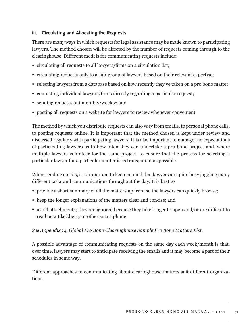#### **iii. Circulating and Allocating the Requests**

There are many ways in which requests for legal assistance may be made known to participating lawyers. The method chosen will be affected by the number of requests coming through to the clearinghouse. Different models for communicating requests include:

- circulating all requests to all lawyers/firms on a circulation list;
- circulating requests only to a sub-group of lawyers based on their relevant expertise;
- selecting lawyers from a database based on how recently they've taken on a pro bono matter;
- contacting individual lawyers/firms directly regarding a particular request;
- sending requests out monthly/weekly; and
- posting all requests on a website for lawyers to review whenever convenient.

The method by which you distribute requests can also vary from emails, to personal phone calls, to posting requests online. It is important that the method chosen is kept under review and discussed regularly with participating lawyers. It is also important to manage the expectations of participating lawyers as to how often they can undertake a pro bono project and, where multiple lawyers volunteer for the same project, to ensure that the process for selecting a particular lawyer for a particular matter is as transparent as possible.

When sending emails, it is important to keep in mind that lawyers are quite busy juggling many different tasks and communications throughout the day. It is best to

- provide a short summary of all the matters up front so the lawyers can quickly browse;
- keep the longer explanations of the matters clear and concise; and
- avoid attachments; they are ignored because they take longer to open and/or are difficult to read on a Blackberry or other smart phone.

#### *See Appendix 14, Global Pro Bono Clearinghouse Sample Pro Bono Matters List*.

A possible advantage of communicating requests on the same day each week/month is that, over time, lawyers may start to anticipate receiving the emails and it may become a part of their schedules in some way.

Different approaches to communicating about clearinghouse matters suit different organizations.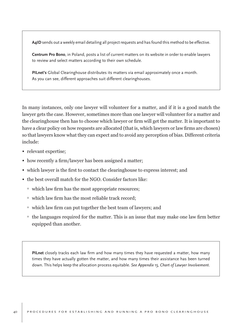A4ID sends out a weekly email detailing all project requests and has found this method to be effective.

**Centrum Pro Bono**, in Poland, posts a list of current matters on its website in order to enable lawyers to review and select matters according to their own schedule.

**PILnet's** Global Clearinghouse distributes its matters via email approximately once a month. As you can see, different approaches suit different clearinghouses.

In many instances, only one lawyer will volunteer for a matter, and if it is a good match the lawyer gets the case. However, sometimes more than one lawyer will volunteer for a matter and the clearinghouse then has to choose which lawyer or firm will get the matter. It is important to have a clear policy on how requests are allocated (that is, which lawyers or law firms are chosen) so that lawyers know what they can expect and to avoid any perception of bias. Different criteria include:

- relevant expertise;
- how recently a firm/lawyer has been assigned a matter;
- which lawyer is the first to contact the clearinghouse to express interest; and
- the best overall match for the NGO. Consider factors like:
	- which law firm has the most appropriate resources;
	- which law firm has the most reliable track record;
	- which law firm can put together the best team of lawyers; and
	- $\circ$  the languages required for the matter. This is an issue that may make one law firm better equipped than another.

PILnet closely tracks each law firm and how many times they have requested a matter, how many times they have actually gotten the matter, and how many times their assistance has been turned down. This helps keep the allocation process equitable. *See Appendix 15, Chart of Lawyer Involvement*.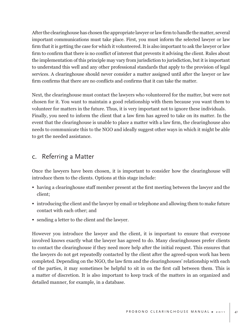After the clearinghouse has chosen the appropriate lawyer or law firm to handle the matter, several important communications must take place. First, you must inform the selected lawyer or law firm that it is getting the case for which it volunteered. It is also important to ask the lawyer or law firm to confirm that there is no conflict of interest that prevents it advising the client. Rules about the implementation of this principle may vary from jurisdiction to jurisdiction, but it is important to understand this well and any other professional standards that apply to the provision of legal services. A clearinghouse should never consider a matter assigned until after the lawyer or law firm confirms that there are no conflicts and confirms that it can take the matter.

Next, the clearinghouse must contact the lawyers who volunteered for the matter, but were not chosen for it. You want to maintain a good relationship with them because you want them to volunteer for matters in the future. Thus, it is very important not to ignore these individuals. Finally, you need to inform the client that a law firm has agreed to take on its matter. In the event that the clearinghouse is unable to place a matter with a law firm, the clearinghouse also needs to communicate this to the NGO and ideally suggest other ways in which it might be able to get the needed assistance.

## c. Referring a Matter

Once the lawyers have been chosen, it is important to consider how the clearinghouse will introduce them to the clients. Options at this stage include:

- having a clearinghouse staff member present at the first meeting between the lawyer and the client;
- introducing the client and the lawyer by email or telephone and allowing them to make future contact with each other; and
- sending a letter to the client and the lawyer.

However you introduce the lawyer and the client, it is important to ensure that everyone involved knows exactly what the lawyer has agreed to do. Many clearinghouses prefer clients to contact the clearinghouse if they need more help after the initial request. This ensures that the lawyers do not get repeatedly contacted by the client after the agreed-upon work has been completed. Depending on the NGO, the law firm and the clearinghouses' relationship with each of the parties, it may sometimes be helpful to sit in on the first call between them. This is a matter of discretion. It is also important to keep track of the matters in an organized and detailed manner, for example, in a database.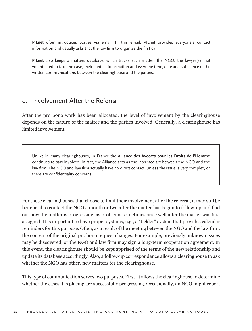**PILnet** often introduces parties via email. In this email, PILnet provides everyone's contact information and usually asks that the law firm to organize the first call.

**PILnet** also keeps a matters database, which tracks each matter, the NGO, the lawyer(s) that volunteered to take the case, their contact information and even the time, date and substance of the written communications between the clearinghouse and the parties.

## d. Involvement After the Referral

After the pro bono work has been allocated, the level of involvement by the clearinghouse depends on the nature of the matter and the parties involved. Generally, a clearinghouse has limited involvement.

Unlike in many clearinghouses, in France the **Alliance des Avocats pour les Droits de l'Homme** continues to stay involved. In fact, the Alliance acts as the intermediary between the NGO and the law firm. The NGO and law firm actually have no direct contact, unless the issue is very complex, or there are confidentiality concerns.

For those clearinghouses that choose to limit their involvement after the referral, it may still be beneficial to contact the NGO a month or two after the matter has begun to follow-up and find out how the matter is progressing, as problems sometimes arise well after the matter was first assigned. It is important to have proper systems, e.g., a "tickler" system that provides calendar reminders for this purpose. Often, as a result of the meeting between the NGO and the law firm, the content of the original pro bono request changes. For example, previously unknown issues may be discovered, or the NGO and law firm may sign a long-term cooperation agreement. In this event, the clearinghouse should be kept apprised of the terms of the new relationship and update its database accordingly. Also, a follow-up correspondence allows a clearinghouse to ask whether the NGO has other, new matters for the clearinghouse.

This type of communication serves two purposes. First, it allows the clearinghouse to determine whether the cases it is placing are successfully progressing. Occasionally, an NGO might report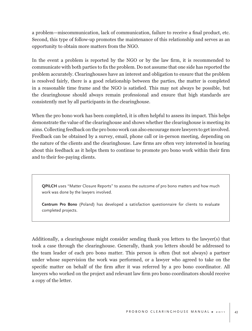a problem—miscommunication, lack of communication, failure to receive a final product, etc. Second, this type of follow-up promotes the maintenance of this relationship and serves as an opportunity to obtain more matters from the NGO.

In the event a problem is reported by the NGO or by the law firm, it is recommended to communicate with both parties to fix the problem. Do not assume that one side has reported the problem accurately. Clearinghouses have an interest and obligation to ensure that the problem is resolved fairly, there is a good relationship between the parties, the matter is completed in a reasonable time frame and the NGO is satisfied. This may not always be possible, but the clearinghouse should always remain professional and ensure that high standards are consistently met by all participants in the clearinghouse.

When the pro bono work has been completed, it is often helpful to assess its impact. This helps demonstrate the value of the clearinghouse and shows whether the clearinghouse is meeting its aims. Collecting feedback on the pro bono work can also encourage more lawyers to get involved. Feedback can be obtained by a survey, email, phone call or in-person meeting, depending on the nature of the clients and the clearing house. Law firms are often very interested in hearing about this feedback as it helps them to continue to promote pro bono work within their firm and to their fee-paying clients.

**QPILCH** uses "Matter Closure Reports" to assess the outcome of pro bono matters and how much work was done by the lawyers involved.

**Centrum Pro Bono** (Poland) has developed a satisfaction questionnaire for clients to evaluate completed projects.

Additionally, a clearinghouse might consider sending thank you letters to the lawyer(s) that took a case through the clearinghouse. Generally, thank you letters should be addressed to the team leader of each pro bono matter. This person is often (but not always) a partner under whose supervision the work was performed, or a lawyer who agreed to take on the specific matter on behalf of the firm after it was referred by a pro bono coordinator. All lawyers who worked on the project and relevant law firm pro bono coordinators should receive a copy of the letter.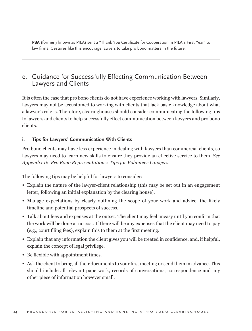PBA (formerly known as PILA) sent a "Thank You Certificate for Cooperation in PILA's First Year" to law firms. Gestures like this encourage lawyers to take pro bono matters in the future.

### e. Guidance for Successfully Effecting Communication Between Lawyers and Clients

It is often the case that pro bono clients do not have experience working with lawyers. Similarly, lawyers may not be accustomed to working with clients that lack basic knowledge about what a lawyer's role is. Therefore, clearinghouses should consider communicating the following tips to lawyers and clients to help successfully effect communication between lawyers and pro bono clients.

#### **i. Tips for Lawyers' Communication With Clients**

Pro bono clients may have less experience in dealing with lawyers than commercial clients, so lawyers may need to learn new skills to ensure they provide an effective service to them. *See Appendix 16, Pro Bono Representations: Tips for Volunteer Lawyers*.

The following tips may be helpful for lawyers to consider:

- Explain the nature of the lawyer-client relationship (this may be set out in an engagement letter, following an initial explanation by the clearing house).
- Manage expectations by clearly outlining the scope of your work and advice, the likely timeline and potential prospects of success.
- Talk about fees and expenses at the outset. The client may feel uneasy until you confirm that the work will be done at no cost. If there will be any expenses that the client may need to pay (e.g., court filing fees), explain this to them at the first meeting.
- Explain that any information the client gives you will be treated in confidence, and, if helpful, explain the concept of legal privilege.
- Be flexible with appointment times.
- Ask the client to bring all their documents to your first meeting or send them in advance. This should include all relevant paperwork, records of conversations, correspondence and any other piece of information however small.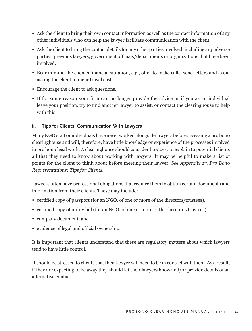- Ask the client to bring their own contact information as well as the contact information of any other individuals who can help the lawyer facilitate communication with the client.
- Ask the client to bring the contact details for any other parties involved, including any adverse parties, previous lawyers, government officials/departments or organizations that have been involved.
- Bear in mind the client's financial situation, e.g., offer to make calls, send letters and avoid asking the client to incur travel costs.
- Encourage the client to ask questions.
- If for some reason your firm can no longer provide the advice or if you as an individual leave your position, try to find another lawyer to assist, or contact the clearinghouse to help with this.

#### **ii. Tips for Clients' Communication With Lawyers**

Many NGO staff or individuals have never worked alongside lawyers before accessing a pro bono clearinghouse and will, therefore, have little knowledge or experience of the processes involved in pro bono legal work. A clearinghouse should consider how best to explain to potential clients all that they need to know about working with lawyers. It may be helpful to make a list of points for the client to think about before meeting their lawyer. *See Appendix 17, Pro Bono Representations: Tips for Clients*.

Lawyers often have professional obligations that require them to obtain certain documents and information from their clients. These may include:

- certified copy of passport (for an NGO, of one or more of the directors/trustees),
- certified copy of utility bill (for an NGO, of one or more of the directors/trustees),
- company document, and
- evidence of legal and official ownership.

It is important that clients understand that these are regulatory matters about which lawyers tend to have little control.

It should be stressed to clients that their lawyer will need to be in contact with them. As a result, if they are expecting to be away they should let their lawyers know and/or provide details of an alternative contact.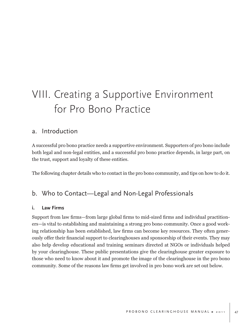# VIII. Creating a Supportive Environment for Pro Bono Practice

### a. Introduction

A successful pro bono practice needs a supportive environment. Supporters of pro bono include both legal and non-legal entities, and a successful pro bono practice depends, in large part, on the trust, support and loyalty of these entities.

The following chapter details who to contact in the pro bono community, and tips on how to do it.

## b. Who to Contact—Legal and Non-Legal Professionals

#### **i. Law Firms**

Support from law firms—from large global firms to mid-sized firms and individual practitioners—is vital to establishing and maintaining a strong pro bono community. Once a good working relationship has been established, law firms can become key resources. They often generously offer their financial support to clearinghouses and sponsorship of their events. They may also help develop educational and training seminars directed at NGOs or individuals helped by your clearinghouse. These public presentations give the clearinghouse greater exposure to those who need to know about it and promote the image of the clearinghouse in the pro bono community. Some of the reasons law firms get involved in pro bono work are set out below.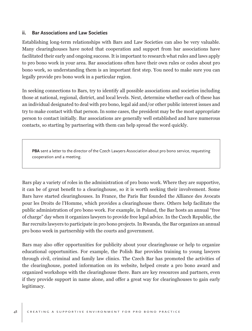#### **ii. Bar Associations and Law Societies**

Establishing long-term relationships with Bars and Law Societies can also be very valuable. Many clearinghouses have noted that cooperation and support from bar associations have facilitated their early and ongoing success. It is important to research what rules and laws apply to pro bono work in your area. Bar associations often have their own rules or codes about pro bono work, so understanding them is an important first step. You need to make sure you can legally provide pro bono work in a particular region.

In seeking connections to Bars, try to identify all possible associations and societies including those at national, regional, district, and local levels. Next, determine whether each of these has an individual designated to deal with pro bono, legal aid and/or other public interest issues and try to make contact with that person. In some cases, the president may be the most appropriate person to contact initially. Bar associations are generally well established and have numerous contacts, so starting by partnering with them can help spread the word quickly.

**PBA** sent a letter to the director of the Czech Lawyers Association about pro bono service, requesting cooperation and a meeting.

Bars play a variety of roles in the administration of pro bono work. Where they are supportive, it can be of great benefit to a clearinghouse, so it is worth seeking their involvement. Some Bars have started clearinghouses. In France, the Paris Bar founded the Alliance des Avocats pour les Droits de l'Homme, which provides a clearinghouse there. Others help facilitate the public administration of pro bono work. For example, in Poland, the Bar hosts an annual "free of charge" day when it organizes lawyers to provide free legal advice. In the Czech Republic, the Bar recruits lawyers to participate in pro bono projects. In Rwanda, the Bar organizes an annual pro bono week in partnership with the courts and government.

Bars may also offer opportunities for publicity about your clearinghouse or help to organize educational opportunities. For example, the Polish Bar provides training to young lawyers through civil, criminal and family law clinics. The Czech Bar has promoted the activities of the clearinghouse, posted information on its website, helped create a pro bono award and organized workshops with the clearinghouse there. Bars are key resources and partners, even if they provide support in name alone, and offer a great way for clearinghouses to gain early legitimacy.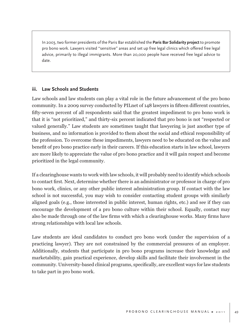In 2003, two former presidents of the Paris Bar established the **Paris Bar Solidarity project** to promote pro bono work. Lawyers visited "sensitive" areas and set up free legal clinics which offered free legal advice, primarily to illegal immigrants. More than 20,000 people have received free legal advice to date.

#### **iii. Law Schools and Students**

Law schools and law students can play a vital role in the future advancement of the pro bono community. In a 2009 survey conducted by PILnet of 148 lawyers in fifteen different countries, fifty-seven percent of all respondents said that the greatest impediment to pro bono work is that it is "not prioritized," and thirty-six percent indicated that pro bono is not "respected or valued generally." Law students are sometimes taught that lawyering is just another type of business, and no information is provided to them about the social and ethical responsibility of the profession. To overcome these impediments, lawyers need to be educated on the value and benefit of pro bono practice early in their careers. If this education starts in law school, lawyers are more likely to appreciate the value of pro bono practice and it will gain respect and become prioritized in the legal community.

If a clearinghouse wants to work with law schools, it will probably need to identify which schools to contact first. Next, determine whether there is an administrator or professor in charge of pro bono work, clinics, or any other public interest administration group. If contact with the law school is not successful, you may wish to consider contacting student groups with similarly aligned goals (e.g., those interested in public interest, human rights, etc.) and see if they can encourage the development of a pro bono culture within their school. Equally, contact may also be made through one of the law firms with which a clearinghouse works. Many firms have strong relationships with local law schools.

Law students are ideal candidates to conduct pro bono work (under the supervision of a practicing lawyer). They are not constrained by the commercial pressures of an employer. Additionally, students that participate in pro bono programs increase their knowledge and marketability, gain practical experience, develop skills and facilitate their involvement in the community. University-based clinical programs, specifically, are excellent ways for law students to take part in pro bono work.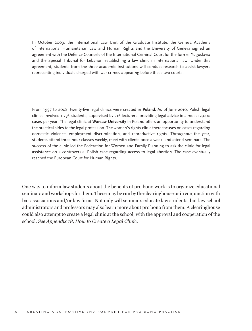In October 2009, the International Law Unit of the Graduate Institute, the Geneva Academy of International Humanitarian Law and Human Rights and the University of Geneva signed an agreement with the Defence Counsels of the International Criminal Court for the former Yugoslavia and the Special Tribunal for Lebanon establishing a law clinic in international law. Under this agreement, students from the three academic institutions will conduct research to assist lawyers representing individuals charged with war crimes appearing before these two courts.

From 1997 to 2008, twenty-five legal clinics were created in Poland. As of June 2010, Polish legal clinics involved 1,756 students, supervised by 216 lecturers, providing legal advice in almost 12,000 cases per year. The legal clinic at **Warsaw University** in Poland offers an opportunity to understand the practical sides to the legal profession. The women's rights clinic there focuses on cases regarding domestic violence, employment discrimination, and reproductive rights. Throughout the year, students attend three-hour classes weekly, meet with clients once a week, and attend seminars. The success of the clinic led the Federation for Women and Family Planning to ask the clinic for legal assistance on a controversial Polish case regarding access to legal abortion. The case eventually reached the European Court for Human Rights.

One way to inform law students about the benefits of pro bono work is to organize educational seminars and workshops for them. These may be run by the clearinghouse or in conjunction with bar associations and/or law firms. Not only will seminars educate law students, but law school administrators and professors may also learn more about pro bono from them. A clearinghouse could also attempt to create a legal clinic at the school, with the approval and cooperation of the school. *See Appendix 18, How to Create a Legal Clinic*.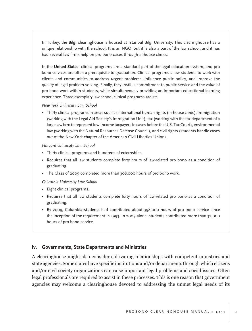In Turkey, the **Bilgi** clearinghouse is housed at Istanbul Bilgi University. This clearinghouse has a unique relationship with the school. It is an NGO, but it is also a part of the law school, and it has had several law firms help on pro bono cases through in-house clinics.

In the **United States**, clinical programs are a standard part of the legal education system, and pro bono services are often a prerequisite to graduation. Clinical programs allow students to work with clients and communities to address urgent problems, influence public policy, and improve the quality of legal problem-solving. Finally, they instill a commitment to public service and the value of pro bono work within students, while simultaneously providing an important educational learning experience. Three exemplary law school clinical programs are at:

#### *New York University Law School*

• Thirty clinical programs in areas such as international human rights (in-house clinic), immigration (working with the Legal Aid Society's Immigration Unit), tax (working with the tax department of a large law firm to represent low-income taxpayers in cases before the U.S. Tax Court), environmental law (working with the Natural Resources Defense Council), and civil rights (students handle cases out of the New York chapter of the American Civil Liberties Union).

#### *Harvard University Law School*

- Thirty clinical programs and hundreds of externships.
- Requires that all law students complete forty hours of law-related pro bono as a condition of graduating.
- The Class of 2009 completed more than 308,000 hours of pro bono work.

*Columbia University Law School*

- Eight clinical programs.
- Requires that all law students complete forty hours of law-related pro bono as a condition of graduating.
- By 2009, Columbia students had contributed about 398,000 hours of pro bono service since the inception of the requirement in 1993. In 2009 alone, students contributed more than 32,000 hours of pro bono service.

#### **iv. Governments, State Departments and Ministries**

A clearinghouse might also consider cultivating relationships with competent ministries and state agencies. Some states have specific institutions and/or departments through which citizens and/or civil society organizations can raise important legal problems and social issues. Often legal professionals are required to assist in these processes. This is one reason that government agencies may welcome a clearinghouse devoted to addressing the unmet legal needs of its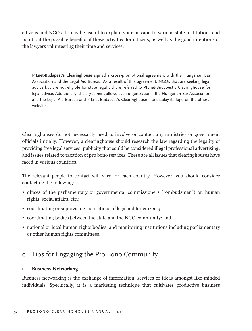citizens and NGOs. It may be useful to explain your mission to various state institutions and point out the possible benefits of these activities for citizens, as well as the good intentions of the lawyers volunteering their time and services.

**PILnet-Budapest's Clearinghouse** signed a cross-promotional agreement with the Hungarian Bar Association and the Legal Aid Bureau. As a result of this agreement, NGOs that are seeking legal advice but are not eligible for state legal aid are referred to PILnet-Budapest's Clearinghouse for legal advice. Additionally, the agreement allows each organization—the Hungarian Bar Association and the Legal Aid Bureau and PILnet-Budapest's Clearinghouse—to display its logo on the others' websites.

Clearinghouses do not necessarily need to involve or contact any ministries or government officials initially. However, a clearinghouse should research the law regarding the legality of providing free legal services; publicity that could be considered illegal professional advertising; and issues related to taxation of pro bono services. These are all issues that clearinghouses have faced in various countries.

The relevant people to contact will vary for each country. However, you should consider contacting the following:

- offices of the parliamentary or governmental commissioners ("ombudsmen") on human rights, social affairs, etc.;
- coordinating or supervising institutions of legal aid for citizens;
- coordinating bodies between the state and the NGO community; and
- national or local human rights bodies, and monitoring institutions including parliamentary or other human rights committees.

## c. Tips for Engaging the Pro Bono Community

#### **i. Business Networking**

Business networking is the exchange of information, services or ideas amongst like-minded individuals. Specifically, it is a marketing technique that cultivates productive business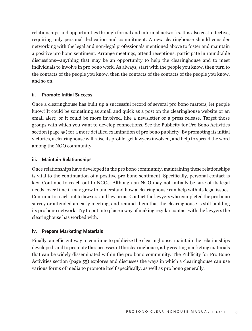relationships and opportunities through formal and informal networks. It is also cost-effective, requiring only personal dedication and commitment. A new clearinghouse should consider networking with the legal and non-legal professionals mentioned above to foster and maintain a positive pro bono sentiment. Arrange meetings, attend receptions, participate in roundtable discussions—anything that may be an opportunity to help the clearinghouse and to meet individuals to involve in pro bono work. As always, start with the people you know, then turn to the contacts of the people you know, then the contacts of the contacts of the people you know, and so on.

#### **ii. Promote Initial Success**

Once a clearinghouse has built up a successful record of several pro bono matters, let people know! It could be something as small and quick as a post on the clearinghouse website or an email alert; or it could be more involved, like a newsletter or a press release. Target those groups with which you want to develop connections. See the Publicity for Pro Bono Activities section (page 55) for a more detailed examination of pro bono publicity. By promoting its initial victories, a clearinghouse will raise its profile, get lawyers involved, and help to spread the word among the NGO community.

#### **iii. Maintain Relationships**

Once relationships have developed in the pro bono community, maintaining these relationships is vital to the continuation of a positive pro bono sentiment. Specifically, personal contact is key. Continue to reach out to NGOs. Although an NGO may not initially be sure of its legal needs, over time it may grow to understand how a clearinghouse can help with its legal issues. Continue to reach out to lawyers and law firms. Contact the lawyers who completed the pro bono survey or attended an early meeting, and remind them that the clearinghouse is still building its pro bono network. Try to put into place a way of making regular contact with the lawyers the clearinghouse has worked with.

#### **iv. Prepare Marketing Materials**

Finally, an efficient way to continue to publicize the clearinghouse, maintain the relationships developed, and to promote the successes of the clearinghouse, is by creating marketing materials that can be widely disseminated within the pro bono community. The Publicity for Pro Bono Activities section (page 55) explores and discusses the ways in which a clearinghouse can use various forms of media to promote itself specifically, as well as pro bono generally.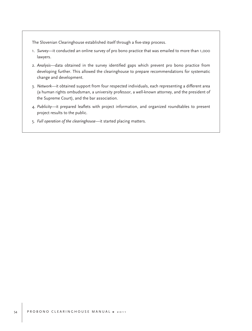The Slovenian Clearinghouse established itself through a five-step process.

- 1. *Survey*—it conducted an online survey of pro bono practice that was emailed to more than 1,000 lawyers.
- 2. Analysis—data obtained in the survey identified gaps which prevent pro bono practice from developing further. This allowed the clearinghouse to prepare recommendations for systematic change and development.
- 3. *Network*—it obtained support from four respected individuals, each representing a different area (a human rights ombudsman, a university professor, a well-known attorney, and the president of the Supreme Court), and the bar association.
- 4. Publicity-it prepared leaflets with project information, and organized roundtables to present project results to the public.
- 5. *Full operation of the clearinghouse*—it started placing matters.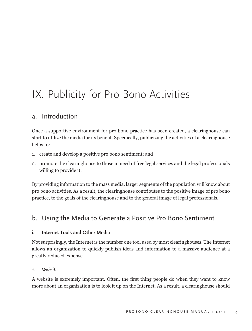## IX. Publicity for Pro Bono Activities

## a. Introduction

Once a supportive environment for pro bono practice has been created, a clearinghouse can start to utilize the media for its benefit. Specifically, publicizing the activities of a clearinghouse helps to:

- 1. create and develop a positive pro bono sentiment; and
- 2. promote the clearinghouse to those in need of free legal services and the legal professionals willing to provide it.

By providing information to the mass media, larger segments of the population will know about pro bono activities. As a result, the clearinghouse contributes to the positive image of pro bono practice, to the goals of the clearinghouse and to the general image of legal professionals.

## b. Using the Media to Generate a Positive Pro Bono Sentiment

#### **i. Internet Tools and Other Media**

Not surprisingly, the Internet is the number one tool used by most clearinghouses. The Internet allows an organization to quickly publish ideas and information to a massive audience at a greatly reduced expense.

#### *1. Website*

A website is extremely important. Often, the first thing people do when they want to know more about an organization is to look it up on the Internet. As a result, a clearinghouse should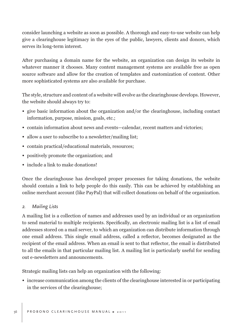consider launching a website as soon as possible. A thorough and easy-to-use website can help give a clearinghouse legitimacy in the eyes of the public, lawyers, clients and donors, which serves its long-term interest.

After purchasing a domain name for the website, an organization can design its website in whatever manner it chooses. Many content management systems are available free as open source software and allow for the creation of templates and customization of content. Other more sophisticated systems are also available for purchase.

The style, structure and content of a website will evolve as the clearinghouse develops. However, the website should always try to:

- give basic information about the organization and/or the clearinghouse, including contact information, purpose, mission, goals, etc.;
- contain information about news and events—calendar, recent matters and victories;
- allow a user to subscribe to a newsletter/mailing list;
- contain practical/educational materials, resources;
- positively promote the organization; and
- include a link to make donations!

Once the clearinghouse has developed proper processes for taking donations, the website should contain a link to help people do this easily. This can be achieved by establishing an online merchant account (like PayPal) that will collect donations on behalf of the organization.

#### *2. Mailing Lists*

A mailing list is a collection of names and addresses used by an individual or an organization to send material to multiple recipients. Specifically, an electronic mailing list is a list of email addresses stored on a mail server, to which an organization can distribute information through one email address. This single email address, called a reflector, becomes designated as the recipient of the email address. When an email is sent to that reflector, the email is distributed to all the emails in that particular mailing list. A mailing list is particularly useful for sending out e-newsletters and announcements.

Strategic mailing lists can help an organization with the following:

• increase communication among the clients of the clearinghouse interested in or participating in the services of the clearinghouse;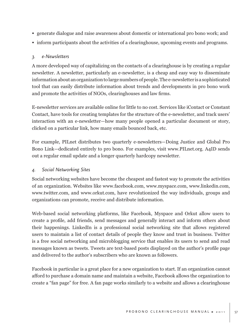- generate dialogue and raise awareness about domestic or international pro bono work; and
- inform participants about the activities of a clearinghouse, upcoming events and programs.

#### *3. e-Newsletters*

A more developed way of capitalizing on the contacts of a clearinghouse is by creating a regular newsletter. A newsletter, particularly an e-newsletter, is a cheap and easy way to disseminate information about an organization to large numbers of people. The e-newsletter is a sophisticated tool that can easily distribute information about trends and developments in pro bono work and promote the activities of NGOs, clearinghouses and law firms.

E-newsletter services are available online for little to no cost. Services like iContact or Constant Contact, have tools for creating templates for the structure of the e-newsletter, and track users' interaction with an e-newsletter—how many people opened a particular document or story, clicked on a particular link, how many emails bounced back, etc.

For example, PILnet distributes two quarterly e-newsletters—Doing Justice and Global Pro Bono Link—dedicated entirely to pro bono. For examples, visit www.PILnet.org. A4ID sends out a regular email update and a longer quarterly hardcopy newsletter.

#### *4. Social Networking Sites*

Social networking websites have become the cheapest and fastest way to promote the activities of an organization. Websites like www.facebook.com, www.myspace.com, www.linkedin.com, www.twitter.com, and www.orkut.com, have revolutionized the way individuals, groups and organizations can promote, receive and distribute information.

Web-based social networking platforms, like Facebook, Myspace and Orkut allow users to create a profile, add friends, send messages and generally interact and inform others about their happenings. LinkedIn is a professional social networking site that allows registered users to maintain a list of contact details of people they know and trust in business. Twitter is a free social networking and microblogging service that enables its users to send and read messages known as tweets. Tweets are text-based posts displayed on the author's profile page and delivered to the author's subscribers who are known as followers.

Facebook in particular is a great place for a new organization to start. If an organization cannot afford to purchase a domain name and maintain a website, Facebook allows the organization to create a "fan page" for free. A fan page works similarly to a website and allows a clearinghouse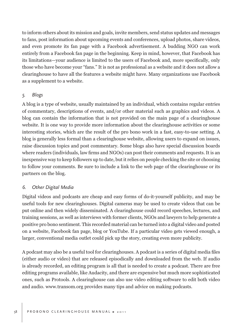to inform others about its mission and goals, invite members, send status updates and messages to fans, post information about upcoming events and conferences, upload photos, share videos, and even promote its fan page with a Facebook advertisement. A budding NGO can work entirely from a Facebook fan page in the beginning. Keep in mind, however, that Facebook has its limitations—your audience is limited to the users of Facebook and, more specifically, only those who have become your "fans." It is not as professional as a website and it does not allow a clearinghouse to have all the features a website might have. Many organizations use Facebook as a supplement to a website.

#### *5. Blogs*

A blog is a type of website, usually maintained by an individual, which contains regular entries of commentary, descriptions of events, and/or other material such as graphics and videos. A blog can contain the information that is not provided on the main page of a clearinghouse website. It is one way to provide more information about the clearinghouse activities or some interesting stories, which are the result of the pro bono work in a fast, easy-to-use setting. A blog is generally less formal than a clearinghouse website, allowing users to expand on issues, raise discussion topics and post commentary. Some blogs also have special discussion boards where readers (individuals, law firms and NGOs) can post their comments and requests. It is an inexpensive way to keep followers up to date, but it relies on people checking the site or choosing to follow your comments. Be sure to include a link to the web page of the clearinghouse or its partners on the blog.

#### *6. Other Digital Media*

Digital videos and podcasts are cheap and easy forms of do-it-yourself publicity, and may be useful tools for new clearinghouses. Digital cameras may be used to create videos that can be put online and then widely disseminated. A clearinghouse could record speeches, lectures, and training sessions, as well as interviews with former clients, NGOs and lawyers to help generate a positive pro bono sentiment. This recorded material can be turned into a digital video and posted on a website, Facebook fan page, blog or YouTube. If a particular video gets viewed enough, a larger, conventional media outlet could pick up the story, creating even more publicity.

A podcast may also be a useful tool for clearinghouses. A podcast is a series of digital media files (either audio or video) that are released episodically and downloaded from the web. If audio is already recorded, an editing program is all that is needed to create a podcast. There are free editing programs available, like Audacity, and there are expensive but much more sophisticated ones, such as Protools. A clearinghouse can also use video editing software to edit both video and audio. www.transom.org provides many tips and advice on making podcasts.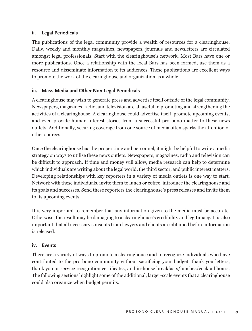#### **ii. Legal Periodicals**

The publications of the legal community provide a wealth of resources for a clearinghouse. Daily, weekly and monthly magazines, newspapers, journals and newsletters are circulated amongst legal professionals. Start with the clearinghouse's network. Most Bars have one or more publications. Once a relationship with the local Bars has been formed, use them as a resource and disseminate information to its audiences. These publications are excellent ways to promote the work of the clearinghouse and organization as a whole.

#### **iii. Mass Media and Other Non-Legal Periodicals**

A clearinghouse may wish to generate press and advertise itself outside of the legal community. Newspapers, magazines, radio, and television are all useful in promoting and strengthening the activities of a clearinghouse. A clearinghouse could advertise itself, promote upcoming events, and even provide human interest stories from a successful pro bono matter to these news outlets. Additionally, securing coverage from one source of media often sparks the attention of other sources.

Once the clearinghouse has the proper time and personnel, it might be helpful to write a media strategy on ways to utilize these news outlets. Newspapers, magazines, radio and television can be difficult to approach. If time and money will allow, media research can help to determine which individuals are writing about the legal world, the third sector, and public interest matters. Developing relationships with key reporters in a variety of media outlets is one way to start. Network with these individuals, invite them to lunch or coffee, introduce the clearinghouse and its goals and successes. Send these reporters the clearinghouse's press releases and invite them to its upcoming events.

It is very important to remember that any information given to the media must be accurate. Otherwise, the result may be damaging to a clearinghouse's credibility and legitimacy. It is also important that all necessary consents from lawyers and clients are obtained before information is released.

#### **iv. Events**

There are a variety of ways to promote a clearinghouse and to recognize individuals who have contributed to the pro bono community without sacrificing your budget: thank you letters, thank you or service recognition certificates, and in-house breakfasts/lunches/cocktail hours. The following sections highlight some of the additional, larger-scale events that a clearinghouse could also organize when budget permits.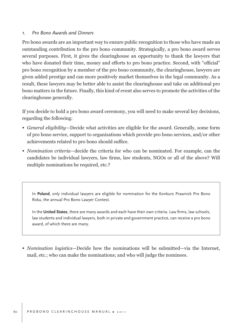#### *1. Pro Bono Awards and Dinners*

Pro bono awards are an important way to ensure public recognition to those who have made an outstanding contribution to the pro bono community. Strategically, a pro bono award serves several purposes. First, it gives the clearinghouse an opportunity to thank the lawyers that who have donated their time, money and efforts to pro bono practice. Second, with "official" pro bono recognition by a member of the pro bono community, the clearinghouse, lawyers are given added prestige and can more positively market themselves in the legal community. As a result, these lawyers may be better able to assist the clearinghouse and take on additional pro bono matters in the future. Finally, this kind of event also serves to promote the activities of the clearinghouse generally.

If you decide to hold a pro bono award ceremony, you will need to make several key decisions, regarding the following:

- *General eligibility*—Decide what activities are eligible for the award. Generally, some form of pro bono service, support to organizations which provide pro bono services, and/or other achievements related to pro bono should suffice.
- *Nomination criteria*—decide the criteria for who can be nominated. For example, can the candidates be individual lawyers, law firms, law students, NGOs or all of the above? Will multiple nominations be required, etc.?

In **Poland**, only individual lawyers are eligible for nomination for the Konkurs Prawnick Pro Bono Roku, the annual Pro Bono Lawyer Contest.

In the United States, there are many awards and each have their own criteria. Law firms, law schools, law students and individual lawyers, both in private and government practice, can receive a pro bono award, of which there are many.

• *Nomination logistics*—Decide how the nominations will be submitted—via the Internet, mail, etc.; who can make the nominations; and who will judge the nominees.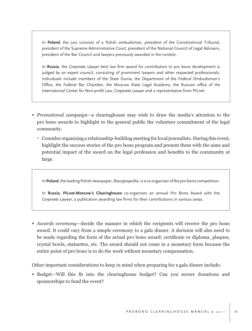In **Poland**, the jury consists of a Polish ombudsman, president of the Constitutional Tribunal, president of the Supreme Administrative Court, president of the National Council of Legal Advisers, president of the Bar Council and lawyers previously awarded in the contest.

In Russia, the *Corporate Lawyer* best law firm award for contribution to pro bono development is judged by an expert council, consisting of prominent lawyers and other respected professionals. Individuals include members of the State Duma, the Department of the Federal Ombudsman's Office, the Federal Bar Chamber, the Moscow State Legal Academy, the Russian office of the International Center for Non-profi t Law, *Corporate Lawyer* and a representative from PILnet.

- *Promotional campaign*—a clearinghouse may wish to draw the media's attention to the pro bono awards to highlight to the general public the volunteer commitment of the legal community.
	- Consider organizing a relationship-building meeting for local journalists. During this event, highlight the success stories of the pro bono program and present them with the aims and potential impact of the award on the legal profession and benefits to the community at large.

In **Poland**, the leading Polish newspaper, *Rzeczpospolita*, is a co-organizer of the pro bono competition.

In **Russia**, **PILnet-Moscow's Clearinghouse** co-organizes an annual Pro Bono Award with the *Corporate Lawyer*, a publication awarding law firms for their contributions in various areas.

• *Awards ceremony*—decide the manner in which the recipients will receive the pro bono award. It could vary from a simple ceremony to a gala dinner. A decision will also need to be made regarding the form of the actual pro bono award: certificate or diploma, plaques, crystal bowls, statuettes, etc. The award should not come in a monetary form because the entire point of pro bono is to do the work without monetary compensation.

Other important considerations to keep in mind when preparing for a gala dinner include:

• Budget—Will this fit into the clearinghouse budget? Can you secure donations and sponsorships to fund the event?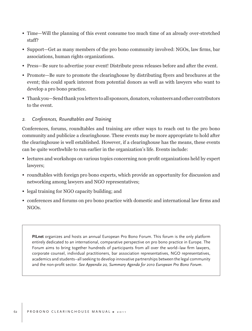- Time—Will the planning of this event consume too much time of an already over-stretched staff?
- Support—Get as many members of the pro bono community involved: NGOs, law firms, bar associations, human rights organizations.
- Press—Be sure to advertise your event! Distribute press releases before and after the event.
- Promote—Be sure to promote the clearinghouse by distributing flyers and brochures at the event; this could spark interest from potential donors as well as with lawyers who want to develop a pro bono practice.
- Thank you—Send thank you letters to all sponsors, donators, volunteers and other contributors to the event.

#### *2. Conferences, Roundtables and Training*

Conferences, forums, roundtables and training are other ways to reach out to the pro bono community and publicize a clearinghouse. These events may be more appropriate to hold after the clearinghouse is well established. However, if a clearinghouse has the means, these events can be quite worthwhile to run earlier in the organization's life. Events include:

- lectures and workshops on various topics concerning non-profit organizations held by expert lawyers;
- roundtables with foreign pro bono experts, which provide an opportunity for discussion and networking among lawyers and NGO representatives;
- legal training for NGO capacity building; and
- conferences and forums on pro bono practice with domestic and international law firms and NGOs.

**PILnet** organizes and hosts an annual European Pro Bono Forum. This forum is the only platform entirely dedicated to an international, comparative perspective on pro bono practice in Europe. The Forum aims to bring together hundreds of participants from all over the world–law firm lawyers, corporate counsel, individual practitioners, bar association representatives, NGO representatives, academics and students–all seeking to develop innovative partnerships between the legal community and the non-profi t sector. *See Appendix 20, Summary Agenda for 2010 European Pro Bono Forum*.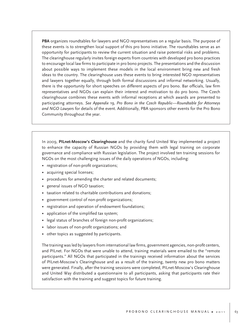**PBA** organizes roundtables for lawyers and NGO representatives on a regular basis. The purpose of these events is to strengthen local support of this pro bono initiative. The roundtables serve as an opportunity for participants to review the current situation and raise potential risks and problems. The clearinghouse regularly invites foreign experts from countries with developed pro bono practices to encourage local law firms to participate in pro bono projects. The presentations and the discussion about possible ways to implement these models in the local environment bring new and fresh ideas to the country. The clearinghouse uses these events to bring interested NGO representatives and lawyers together equally, through both formal discussions and informal networking. Usually, there is the opportunity for short speeches on different aspects of pro bono. Bar officials, law firm representatives and NGOs can explain their interest and motivation to do pro bono. The Czech clearinghouse combines these events with informal receptions at which awards are presented to participating attorneys. *See Appendix 19, Pro Bono in the Czech Republic—Roundtable for Attorneys and NGO Lawyers* for details of the event. Additionally, PBA sponsors other events for the Pro Bono Community throughout the year.

In 2009, **PILnet-Moscow's Clearinghouse** and the charity fund United Way implemented a project to enhance the capacity of Russian NGOs by providing them with legal training on corporate governance and compliance with Russian legislation. The project involved ten training sessions for NGOs on the most challenging issues of the daily operations of NGOs, including:

- registration of non-profit organizations;
- acquiring special licenses;
- procedures for amending the charter and related documents;
- general issues of NGO taxation;
- taxation related to charitable contributions and donations;
- government control of non-profit organizations;
- registration and operation of endowment foundations;
- application of the simplified tax system;
- legal status of branches of foreign non-profit organizations;
- labor issues of non-profit organizations; and
- other topics as suggested by participants.

The training was led by lawyers from international law firms, government agencies, non-profit centers, and PILnet. For NGOs that were unable to attend, training materials were emailed to the "remote participants." All NGOs that participated in the trainings received information about the services of PILnet-Moscow's Clearinghouse and as a result of the training, twenty new pro bono matters were generated. Finally, after the training sessions were completed, PILnet-Moscow's Clearinghouse and United Way distributed a questionnaire to all participants, asking that participants rate their satisfaction with the training and suggest topics for future training.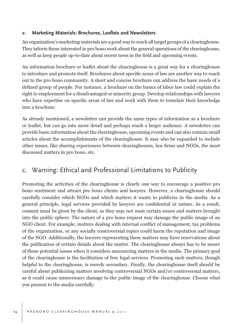#### **v.** Marketing Materials: Brochures, Leaflets and Newsletters

An organization's marketing materials are a good way to reach all target groups of a clearinghouse. They inform those interested in pro bono work about the general operations of the clearinghouse, as well as keep people up-to-date about recent news in the field and upcoming events.

An information brochure or leaflet about the clearinghouse is a great way for a clearinghouse to introduce and promote itself. Brochures about specific areas of law are another way to reach out to the pro bono community. A short and concise brochure can address the basic needs of a defined group of people. For instance, a brochure on the basics of labor law could explain the right to employment for a disadvantaged or minority group. Develop relationships with lawyers who have expertise on specific areas of law and work with them to translate their knowledge into a brochure.

As already mentioned, a newsletter can provide the same types of information as a brochure or leafl et, but can go into more detail and perhaps reach a larger audience. A newsletter can provide basic information about the clearinghouse, upcoming events and can also contain small articles about the accomplishments of the clearinghouse. It may also be expanded to include other issues, like sharing experiences between clearinghouses, law firms and NGOs, the most discussed matters in pro bono, etc.

### c. Warning: Ethical and Professional Limitations to Publicity

Promoting the activities of the clearinghouse is clearly one way to encourage a positive pro bono sentiment and attract pro bono clients and lawyers. However, a clearinghouse should carefully consider which NGOs and which matters it wants to publicize in the media. As a general principle, legal services provided by lawyers are confidential in nature. As a result, consent must be given by the client, as they may not want certain issues and matters brought into the public sphere. The nature of a pro bono request may damage the public image of an NGO client. For example, matters dealing with internal conflict of management, tax problems of the organization, or any socially controversial topics could harm the reputation and image of the NGO. Additionally, the lawyers representing these matters may have reservations about the publication of certain details about the matter. The clearinghouse always has to be aware of these potential issues when it considers announcing matters in the media. The primary goal of the clearinghouse is the facilitation of free legal services. Promoting such matters, though helpful to the clearinghouse, is merely secondary. Finally, the clearinghouse itself should be careful about publicizing matters involving controversial NGOs and/or controversial matters, as it could cause unnecessary damage to the public image of the clearinghouse. Choose what you present to the media carefully.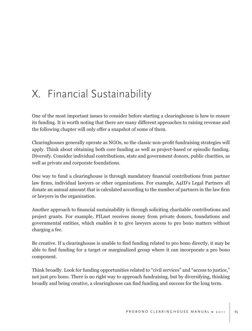## X. Financial Sustainability

One of the most important issues to consider before starting a clearinghouse is how to ensure its funding. It is worth noting that there are many different approaches to raising revenue and the following chapter will only offer a snapshot of some of them.

Clearinghouses generally operate as NGOs, so the classic non-profi t fundraising strategies will apply. Think about obtaining both core funding as well as project-based or episodic funding. Diversify. Consider individual contributions, state and government donors, public charities, as well as private and corporate foundations.

One way to fund a clearinghouse is through mandatory financial contributions from partner law firms, individual lawyers or other organizations. For example, A4ID's Legal Partners all donate an annual amount that is calculated according to the number of partners in the law firm or lawyers in the organization.

Another approach to financial sustainability is through soliciting charitable contributions and project grants. For example, PILnet receives money from private donors, foundations and governmental entities, which enables it to give lawyers access to pro bono matters without charging a fee.

Be creative. If a clearinghouse is unable to find funding related to pro bono directly, it may be able to find funding for a target or marginalized group where it can incorporate a pro bono component.

Think broadly. Look for funding opportunities related to "civil services" and "access to justice," not just pro bono. There is no right way to approach fundraising, but by diversifying, thinking broadly and being creative, a clearinghouse can find funding and success for the long term.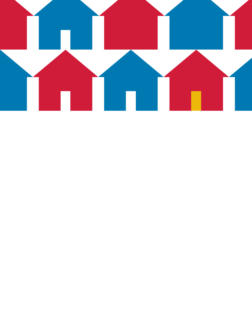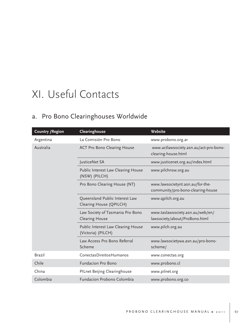## XI. Useful Contacts

## a. Pro Bono Clearinghouses Worldwide

| <b>Country / Region</b> | Clearinghouse                                             | Website                                                               |
|-------------------------|-----------------------------------------------------------|-----------------------------------------------------------------------|
| Argentina               | La Comisión Pro Bono                                      | www.probono.org.ar                                                    |
| Australia               | <b>ACT Pro Bono Clearing House</b>                        | www.actlawsociety.asn.au/act-pro-bono-<br>clearing-house.html         |
|                         | JusticeNet SA                                             | www.justicenet.org.au/index.html                                      |
|                         | Public Interest Law Clearing House<br>(NSW) (PILCH)       | www.pilchnsw.org.au                                                   |
|                         | Pro Bono Clearing House (NT)                              | www.lawsocietynt.asn.au/for-the-<br>community/pro-bono-clearing-house |
|                         | Queensland Public Interest Law<br>Clearing House (QPILCH) | www.qpilch.org.au                                                     |
|                         | Law Society of Tasmania Pro Bono<br><b>Clearing House</b> | www.taslawsociety.asn.au/web/en/<br>lawsociety/about/ProBono.html     |
|                         | Public Interest Law Clearing House<br>(Victoria) (PILCH)  | www.pilch.org.au                                                      |
|                         | Law Access Pro Bono Referral<br>Scheme                    | www.lawsocietywa.asn.au/pro-bono-<br>scheme/                          |
| Brazil                  | ConectasDireitosHumanos                                   | www.conectas.org                                                      |
| Chile                   | Fundacion Pro Bono                                        | www.probono.cl                                                        |
| China                   | PILnet Beijing Clearinghouse                              | www.pilnet.org                                                        |
| Colombia                | Fundacion Probono Colombia                                | www.probono.org.co                                                    |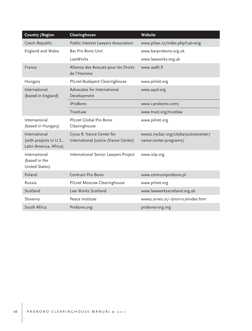| <b>Country / Region</b>                                            | Clearinghouse                                                     | Website                                                         |
|--------------------------------------------------------------------|-------------------------------------------------------------------|-----------------------------------------------------------------|
| Czech Republic                                                     | Public Interest Lawyers Association                               | www.pilaw.cz/index.php?cat=eng                                  |
| <b>England and Wales</b>                                           | Bar Pro Bono Unit                                                 | www.barprobono.org.uk                                           |
|                                                                    | LawWorks                                                          | www.lawworks.org.uk                                             |
| France                                                             | Alliance des Avocats pour les Droits<br>de l'Homme                | www.aadh.fr                                                     |
| Hungary                                                            | PILnet-Budapest Clearinghouse                                     | www.pilnet.org                                                  |
| International<br>(based in England)                                | Advocates for International<br>Development                        | www.a4id.org                                                    |
|                                                                    | iProBono                                                          | www.i-probono.com/                                              |
|                                                                    | TrustLaw                                                          | www.trust.org/trustlaw                                          |
| International<br>(based in Hungary)                                | PILnet Global Pro Bono<br>Clearinghouse                           | www.pilnet.org                                                  |
| International<br>(with projects in U.S.,<br>Latin America, Africa) | Cyrus R. Vance Center for<br>International Justice (Vance Center) | www2.nycbar.org/citybarjusticecenter/<br>vance-center-programs/ |
| International<br>(based in the<br>United States)                   | International Senior Lawyers Project                              | www.islp.org                                                    |
| Poland                                                             | Centrum Pro Bono                                                  | www.centrumprobono.pl                                           |
| Russia                                                             | PILnet Moscow Clearinghouse                                       | www.pilnet.org                                                  |
| Scotland                                                           | Law Works Scotland                                                | www.lawworksscotland.org.uk                                     |
| Slovenia                                                           | Peace Institute                                                   | www2.arnes.si/~ljmiri1s/eindex.htm                              |
| South Africa                                                       | Probono.org                                                       | probono-org.org                                                 |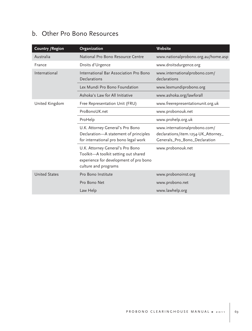## b. Other Pro Bono Resources

| <b>Country / Region</b> | Organization                                                                                                                               | Website                                                                                               |  |  |
|-------------------------|--------------------------------------------------------------------------------------------------------------------------------------------|-------------------------------------------------------------------------------------------------------|--|--|
| Australia               | National Pro Bono Resource Centre                                                                                                          | www.nationalprobono.org.au/home.asp                                                                   |  |  |
| France                  | Droits d'Urgence                                                                                                                           | www.droitsdurgence.org                                                                                |  |  |
| International           | International Bar Association Pro Bono<br>Declarations                                                                                     | www.internationalprobono.com/<br>declarations                                                         |  |  |
|                         | Lex Mundi Pro Bono Foundation                                                                                                              | www.lexmundiprobono.org                                                                               |  |  |
|                         | Ashoka's Law for All Initiative                                                                                                            | www.ashoka.org/lawforall                                                                              |  |  |
| United Kingdom          | Free Representation Unit (FRU)                                                                                                             | www.freerepresentationunit.org.uk                                                                     |  |  |
|                         | ProBonoUK.net                                                                                                                              | www.probonouk.net                                                                                     |  |  |
|                         | ProHelp                                                                                                                                    | www.prohelp.org.uk                                                                                    |  |  |
|                         | U.K. Attorney General's Pro Bono<br>Declaration-A statement of principles<br>for international pro bono legal work                         | www.internationalprobono.com/<br>declarations/item.1254-UK_Attorney_<br>Generals_Pro_Bono_Declaration |  |  |
|                         | U.K. Attorney General's Pro Bono<br>Toolkit-A toolkit setting out shared<br>experience for development of pro bono<br>culture and programs | www.probonouk.net                                                                                     |  |  |
| <b>United States</b>    | Pro Bono Institute                                                                                                                         | www.probonoinst.org                                                                                   |  |  |
|                         | Pro Bono Net                                                                                                                               | www.probono.net                                                                                       |  |  |
|                         | Law Help                                                                                                                                   | www.lawhelp.org                                                                                       |  |  |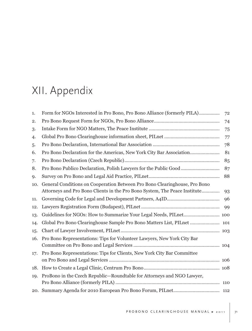# XII. Appendix

| 1.  | Form for NGOs Interested in Pro Bono, Pro Bono Alliance (formerly PILA)    | 72 |
|-----|----------------------------------------------------------------------------|----|
| 2.  |                                                                            | 74 |
| 3.  |                                                                            | 75 |
| 4.  |                                                                            | 77 |
| 5.  |                                                                            | 78 |
| 6.  | Pro Bono Declaration for the Americas, New York City Bar Association       | 81 |
| 7.  |                                                                            | 85 |
| 8.  |                                                                            | 87 |
| 9.  |                                                                            | 88 |
| 10. | General Conditions on Cooperation Between Pro Bono Clearinghouse, Pro Bono |    |
|     | Attorneys and Pro Bono Clients in the Pro Bono System, The Peace Institute | 93 |
| 11. |                                                                            | 96 |
| 12. |                                                                            |    |
| 13. |                                                                            |    |
| 14. | Global Pro Bono Clearinghouse Sample Pro Bono Matters List, PILnet  101    |    |
| 15. |                                                                            |    |
| 16. | Pro Bono Representations: Tips for Volunteer Lawyers, New York City Bar    |    |
|     |                                                                            |    |
| 17. | Pro Bono Representations: Tips for Clients, New York City Bar Committee    |    |
|     |                                                                            |    |
| 18. |                                                                            |    |
| 19. | ProBono in the Czech Republic-Roundtable for Attorneys and NGO Lawyer,     |    |
|     |                                                                            |    |
|     |                                                                            |    |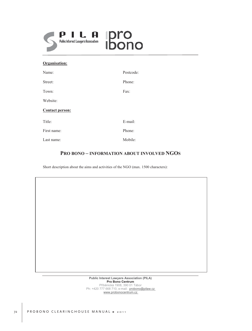

#### **Organisation:**

| Name:                  | Postcode: |
|------------------------|-----------|
| Street:                | Phone:    |
| Town:                  | Fax:      |
| Website:               |           |
|                        |           |
| <b>Contact person:</b> |           |
| Title:                 | E-mail:   |
| First name:            | Phone:    |

#### **PRO BONO – INFORMATION ABOUT INVOLVED NGOS**

Short description about the aims and activities of the NGO (max. 1500 characters):

**Public Interest Lawyers Association (PILA) Pro Bono Centrum** Příběnická 1908, 390 01 Tábor Ph: +420 777 668 710, e-mail: probono@pilaw.cz www.probonocentrum.cz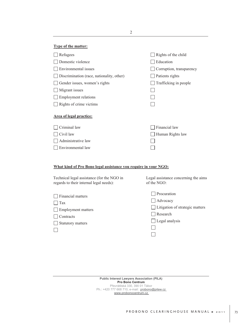#### 2

#### **Type of the matter:**

| Refugees                                  | Rights of the child      |
|-------------------------------------------|--------------------------|
| Domestic violence                         | Education                |
| Environmental issues                      | Corruption, transparency |
| Discrimination (race, nationality, other) | Patients rights          |
| Gender issues, women's rights             | Trafficking in people    |
| Migrant issues                            |                          |
| <b>Employment relations</b>               |                          |
| Rights of crime victims                   |                          |
| Area of legal practice:                   |                          |
| Criminal law                              | Financial law            |
| Civil law                                 | Human Rights law         |
| Administrative law                        |                          |
| Environmental law                         |                          |

#### **What kind of Pro Bono legal assistance you require in your NGO:**

| Technical legal assistance (for the NGO in | Legal assistance concerning the aims |
|--------------------------------------------|--------------------------------------|
| regards to their internal legal needs):    | of the NGO:                          |
| $\Box$ Financial matters                   | Procuration                          |
| Tax                                        | Advocacy                             |
| $\Box$ Employment matters                  | Litigation of strategic matters      |
| Contracts                                  | Research                             |
| Statutory matters                          | Legal analysis                       |

**Public Interest Lawyers Association (PILA) Pro Bono Centrum** Převrátilská 330, 390 01 Tábor Ph.: +420 777 668 710, e-mail: probono@pilaw.cz www.probonocentrum.cz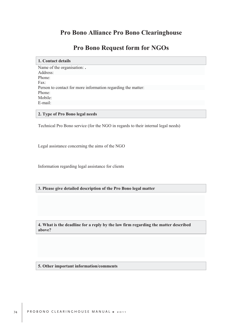## **Pro Bono Alliance Pro Bono Clearinghouse**

## **Pro Bono Request form for NGOs**

**1. Contact details** 

Name of the organisation: **.** Address: Phone: Fax: Person to contact for more information regarding the matter: Phone: Mobile: E-mail:

#### **2. Type of Pro Bono legal needs**

Technical Pro Bono service (for the NGO in regards to their internal legal needs)

Legal assistance concerning the aims of the NGO

Information regarding legal assistance for clients

**3. Please give detailed description of the Pro Bono legal matter** 

**4. What is the deadline for a reply by the law firm regarding the matter described above?** 

**5. Other important information/comments**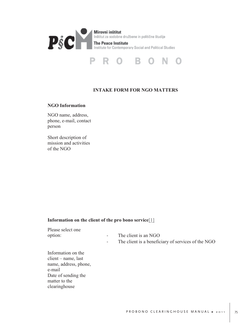

#### **INTAKE FORM FOR NGO MATTERS**

#### **NGO Information**

NGO name, address, phone, e-mail, contact person

Short description of mission and activities of the NGO

#### **Information on the client of the pro bono service**[1]

| Please select one     |                                                                  |
|-----------------------|------------------------------------------------------------------|
| option:               | The client is an NGO<br>$\overline{\phantom{a}}$                 |
|                       | The client is a beneficiary of services of the NGO<br>$\sim 100$ |
| Information on the    |                                                                  |
| $client - name, last$ |                                                                  |
|                       |                                                                  |

client – name, last name, address, phone, e-mail Date of sending the matter to the clearinghouse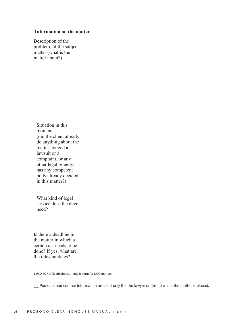#### **Information on the matter**

Description of the problem, of the subject matter (what is the matter about?)

Situation in this moment (did the client already do anything about the matter, lodged a lawsuit or a complaint, or any other legal remedy, has any competent body already decided in this matter?)

What kind of legal service does the client need?

Is there a deadline in the matter in which a certain act needs to be done? If yes, what are the relevant dates?

1 PRO BONO Clearinghouse – Intake form for NGO matters

<sup>[1]</sup> Personal and contact information are sent only the the lawyer or firm to which the matter is placed.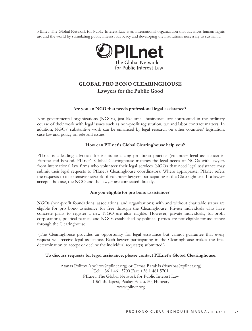PILnet: The Global Network for Public Interest Law is an international organization that advances human rights around the world by stimulating public interest advocacy and developing the institutions necessary to sustain it.



### **GLOBAL PRO BONO CLEARINGHOUSE Lawyers for the Public Good**

#### **Are you an NGO that needs professional legal assistance?**

Non-governmental organizations (NGOs), just like small businesses, are confronted in the ordinary course of their work with legal issues such as non-profit registration, tax and labor contract matters. In addition, NGOs' substantive work can be enhanced by legal research on other countries' legislation, case law and policy on relevant issues.

#### **How can PILnet's Global Clearinghouse help you?**

PILnet is a leading advocate for institutionalizing pro bono practice (volunteer legal assistance) in Europe and beyond. PILnet's Global Clearinghouse matches the legal needs of NGOs with lawyers from international law firms who volunteer their legal services. NGOs that need legal assistance may submit their legal requests to PILnet's Clearinghouse coordinators. Where appropriate, PILnet refers the requests to its extensive network of volunteer lawyers participating in the Clearinghouse. If a lawyer accepts the case, the NGO and the lawyer are connected directly.

#### **Are you eligible for pro bono assistance?**

NGOs (non-profit foundations, associations, and organizations) with and without charitable status are eligible for pro bono assistance for free through the Clearinghouse. Private individuals who have concrete plans to register a new NGO are also eligible. However, private individuals, for-profit corporations, political parties, and NGOs established by political parties are not eligible for assistance through the Clearinghouse.

 (The Clearinghouse provides an opportunity for legal assistance but cannot guarantee that every request will receive legal assistance. Each lawyer participating in the Clearinghouse makes the final determination to accept or decline the individual request(s) submitted.)

#### **To discuss requests for legal assistance, please contact PILnet's Global Clearinghouse:**

Atanas Politov (apolitov@pilnet.org) or Tamás Barabás (tbarabas@pilnet.org) Tel: +36 1 461 5700 Fax: +36 1 461 5701 PILnet: The Global Network for Public Interest Law 1061 Budapest, Paulay Ede u. 50, Hungary www.pilnet.org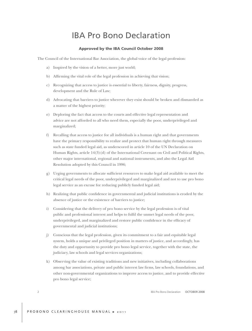## IBA Pro Bono Declaration

#### **Approved by the IBA Council October 2008**

The Council of the International Bar Association, the global voice of the legal profession:

- a) Inspired by the vision of a better, more just world;
- b) Affirming the vital role of the legal profession in achieving that vision;
- c) Recognizing that access to justice is essential to liberty, fairness, dignity, progress, development and the Rule of Law;
- d) Advocating that barriers to justice wherever they exist should be broken and dismantled as a matter of the highest priority;
- e) Deploring the fact that access to the courts and effective legal representation and advice are not afforded to all who need them, especially the poor, underprivileged and marginalized;
- f) Recalling that access to justice for all individuals is a human right and that governments have the primary responsibility to realize and protect that human right through measures such as state funded legal aid, as underscored in article 10 of the UN Declaration on Human Rights, article 14(3)(d) of the International Covenant on Civil and Political Rights, other major international, regional and national instruments, and also the Legal Aid Resolution adopted by this Council in 1996;
- g) Urging governments to allocate sufficient resources to make legal aid available to meet the critical legal needs of the poor, underprivileged and marginalized and not to use pro bono legal service as an excuse for reducing publicly funded legal aid;
- h) Realizing that public confidence in governmental and judicial institutions is eroded by the absence of justice or the existence of barriers to justice;
- i) Considering that the delivery of pro bono service by the legal profession is of vital public and professional interest and helps to fulfil the unmet legal needs of the poor, underprivileged, and marginalized and restore public confidence in the efficacy of governmental and judicial institutions;
- j) Conscious that the legal profession, given its commitment to a fair and equitable legal system, holds a unique and privileged position in matters of justice, and accordingly, has the duty and opportunity to provide pro bono legal service, together with the state, the judiciary, law schools and legal services organizations;
- k) Observing the value of existing traditions and new initiatives, including collaborations among bar associations, private and public interest law firms, law schools, foundations, and other non-governmental organizations to improve access to justice, and to provide effective pro bono legal service;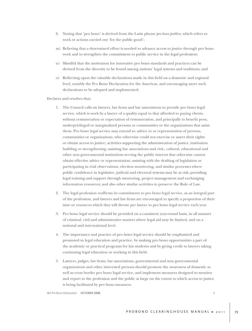- l) Noting that 'pro bono' is derived from the Latin phrase *pro bono publico*, which refers to work or actions carried out 'for the public good';
- m) Believing that a determined effort is needed to advance access to justice through pro bono work and to strengthen the commitment to public service in the legal profession;
- n) Mindful that the motivation for innovative pro bono standards and practices can be derived from the diversity to be found among nations' legal systems and traditions; and
- o) Reflecting upon the valuable declarations made in this field on a domestic and regional level, notably the Pro Bono Declaration for the Americas, and encouraging more such declarations to be adopted and implemented;

Declares and resolves that:

- 1. The Council calls on lawyers, law firms and bar associations to provide pro bono legal service, which is work by a lawyer of a quality equal to that afforded to paying clients, without remuneration or expectation of remuneration, and principally to benefit poor, underprivileged or marginalized persons or communities or the organizations that assist them. Pro bono legal service may extend to: advice to or representation of persons, communities or organizations, who otherwise could not exercise or assert their rights or obtain access to justice; activities supporting the administration of justice, institution building or strengthening; assisting bar associations and civic, cultural, educational and other non governmental institutions serving the public interest that otherwise cannot obtain effective advice or representation; assisting with the drafting of legislation or participating in trial observations, election monitoring, and similar processes where public confidence in legislative, judicial and electoral systems may be at risk; providing legal training and support through mentoring, project management and exchanging information resources; and also other similar activities to preserve the Rule of Law.
- 2. The legal profession reaffirms its commitment to pro bono legal service, as an integral part of the profession, and lawyers and law firms are encouraged to specify a proportion of their time or resources which they will devote per lawyer to pro bono legal service each year.
- 3. Pro bono legal service should be provided on a consistent year-round basis, in all manner of criminal, civil and administrative matters where legal aid may be limited, and on a national and international level.
- 4. The importance and practice of pro bono legal service should be emphasized and promoted in legal education and practice, by making pro bono opportunities a part of the academic or practical programs for law students and by giving credit to lawyers taking continuing legal education or working in this field.
- 5. Lawyers, judges, law firms, bar associations, governmental and non governmental organizations and other interested persons should promote the awareness of domestic as well as cross border pro bono legal service, and implement measures designed to monitor and report to the profession and the public at large on the extent to which access to justice is being facilitated by pro bono measures.

IBA Pro Bono Declaration **OCTOBER 2008** 3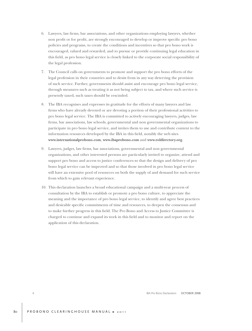- 6. Lawyers, law firms, bar associations, and other organizations employing lawyers, whether non profit or for profit, are strongly encouraged to develop or improve specific pro bono policies and programs, to create the conditions and incentives so that pro bono work is encouraged, valued and rewarded, and to pursue or provide continuing legal education in this field, as pro bono legal service is closely linked to the corporate social responsibility of the legal profession.
- 7. The Council calls on governments to promote and support the pro bono efforts of the legal profession in their countries and to desist from in any way deterring the provision of such service. Further, governments should assist and encourage pro bono legal service, through measures such as treating it as not being subject to tax, and where such service is presently taxed, such taxes should be rescinded.
- 8. The IBA recognises and expresses its gratitude for the efforts of many lawyers and law firms who have already devoted or are devoting a portion of their professional activities to pro bono legal service. The IBA is committed to actively encouraging lawyers, judges, law firms, bar associations, law schools, governmental and non governmental organizations to participate in pro bono legal service, and invites them to use and contribute content to the information resources developed by the IBA in this field, notably the web sites **www.internationalprobono.com**, **www.ibaprobono.com** and **www.roldirectory.org**.
- 9. Lawyers, judges, law firms, bar associations, governmental and non governmental organizations, and other interested persons are particularly invited to organize, attend and support pro bono and access to justice conferences so that the design and delivery of pro bono legal service can be improved and so that those involved in pro bono legal service will have an extensive pool of resources on both the supply of and demand for such service from which to gain relevant experience.
- 10. This declaration launches a broad educational campaign and a multi-year process of consultation by the IBA to establish or promote a pro bono culture, to appreciate the meaning and the importance of pro bono legal service, to identify and agree best practices and desirable specific commitments of time and resources, to deepen the consensus and to make further progress in this field. The Pro Bono and Access to Justice Committee is charged to continue and expand its work in this field and to monitor and report on the application of this declaration.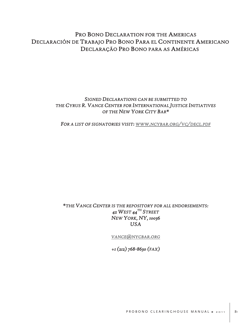## PRO BONO DECLARATION FOR THE AMERICAS DECLARACIÓN DE TRABAJO PRO BONO PARA EL CONTINENTE AMERICANO DECLARAÇÃO PRO BONO PARA AS AMÉRICAS

## *SIGNED DECLARATIONS CAN BE SUBMITTED TO OF THE NEW YORK CITY BAR\**

### *FOR A LIST OF SIGNATORIES VISIT: WWW.NCYBAR.ORG/VC/DECL.PDF*

### \*THE VANCE CENTER IS THE REPOSITORY FOR ALL ENDORSEMENTS: *A2 WEST 44<sup>TH</sup> STREET A*<br>*New York NY 10026*  $USA$ *USA*

*VANCE@NYCBAR.ORG VANCE@NYCBAR.ORG*

 *+1 (212) 768-8630 (FAX)*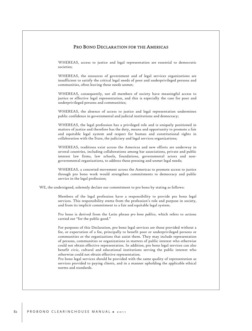#### PRO BONO DECLARATION FOR THE AMERICAS

WHEREAS, access to justice and legal representation are essential to democratic societies;

WHEREAS, the resources of government and of legal services organizations are insufficient to satisfy the critical legal needs of poor and underprivileged persons and communities, often leaving these needs unmet;

WHEREAS, consequently, not all members of society have meaningful access to justice or effective legal representation, and this is especially the case for poor and underprivileged persons and communities;

WHEREAS, the absence of access to justice and legal representation undermines public confidence in governmental and judicial institutions and democracy;

WHEREAS, the legal profession has a privileged role and is uniquely positioned in matters of justice and therefore has the duty, means and opportunity to promote a fair and equitable legal system and respect for human and constitutional rights in collaboration with the State, the judiciary and legal services organizations;

WHEREAS, traditions exist across the Americas and new efforts are underway in several countries, including collaborations among bar associations, private and public interest law firms, law schools, foundations, governmental actors and nongovernmental organizations, to address these pressing and unmet legal needs;

WHEREAS, a concerted movement across the Americas to promote access to justice through pro bono work would strengthen commitments to democracy and public service in the legal profession;

WE, the undersigned, solemnly declare our commitment to pro bono by stating as follows:

Members of the legal profession have a responsibility to provide pro bono legal services. This responsibility stems from the profession's role and purpose in society, and from its implicit commitment to a fair and equitable legal system.

Pro bono is derived from the Latin phrase *pro bono publico*, which refers to actions carried out "for the public good."

For purposes of this Declaration, pro bono legal services are those provided without a fee, or expectation of a fee, principally to benefit poor or underprivileged persons or communities or the organizations that assist them. They may include representation of persons, communities or organizations in matters of public interest who otherwise could not obtain effective representation. In addition, pro bono legal services can also benefit civic, cultural and educational institutions serving the public interest who otherwise could not obtain effective representation.

Pro bono legal services should be provided with the same quality of representation as services provided to paying clients, and in a manner upholding the applicable ethical norms and standards.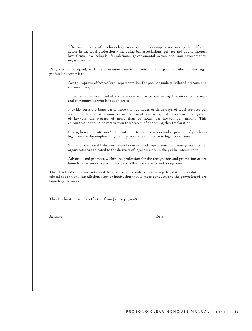Effective delivery of pro bono legal services requires cooperation among the different actors in the legal profession – including bar associations, private and public interest law firms, law schools, foundations, governmental actors and non-governmental organizations.

WE, the undersigned, each in a manner consistent with our respective roles in the legal profession, commit to:

> Act to improve effective legal representation for poor or underprivileged persons and communities;

> Enhance widespread and effective access to justice and to legal services for persons and communities who lack such access;

> Provide, on a pro bono basis, more than 20 hours or three days of legal services per individual lawyer per annum, or in the case of law firms, institutions or other groups of lawyers, an average of more than 20 hours per lawyer per annum. This commitment should be met within three years of endorsing this Declaration;

> Strengthen the profession's commitment to the provision and expansion of pro bono legal services by emphasizing its importance and practice in legal education;

> Support the establishment, development and operations of non-governmental organizations dedicated to the delivery of legal services in the public interest; and

> Advocate and promote within the profession for the recognition and promotion of pro bono legal services as part of lawyers´ ethical standards and obligations.

This Declaration is not intended to alter or supersede any existing legislation, resolution or ethical code in any jurisdiction, firm or institution that is more conducive to the provision of pro bono legal services.

This Declaration will be effective from January 1, 2008.

\_\_\_\_\_\_\_\_\_\_\_\_\_\_\_\_\_\_\_\_\_\_\_\_\_\_\_\_\_\_\_\_\_\_\_\_\_\_\_\_\_\_\_\_ \_\_\_\_\_\_\_\_\_\_\_\_\_\_\_\_\_\_\_\_\_\_\_\_\_

*Signatory Date*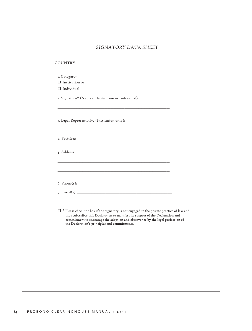### *SIGNATORY DATA SHEET*

#### COUNTRY:

| I. Category:                                                                                                                                                                                                                                                                                                              |  |
|---------------------------------------------------------------------------------------------------------------------------------------------------------------------------------------------------------------------------------------------------------------------------------------------------------------------------|--|
| $\Box$ Institution or                                                                                                                                                                                                                                                                                                     |  |
| $\Box$ Individual                                                                                                                                                                                                                                                                                                         |  |
| 2. Signatory* (Name of Institution or Individual):                                                                                                                                                                                                                                                                        |  |
|                                                                                                                                                                                                                                                                                                                           |  |
| 3. Legal Representative (Institution only):                                                                                                                                                                                                                                                                               |  |
|                                                                                                                                                                                                                                                                                                                           |  |
|                                                                                                                                                                                                                                                                                                                           |  |
|                                                                                                                                                                                                                                                                                                                           |  |
| 5. Address:                                                                                                                                                                                                                                                                                                               |  |
|                                                                                                                                                                                                                                                                                                                           |  |
|                                                                                                                                                                                                                                                                                                                           |  |
|                                                                                                                                                                                                                                                                                                                           |  |
|                                                                                                                                                                                                                                                                                                                           |  |
|                                                                                                                                                                                                                                                                                                                           |  |
|                                                                                                                                                                                                                                                                                                                           |  |
|                                                                                                                                                                                                                                                                                                                           |  |
| $\Box$<br>* Please check the box if the signatory is not engaged in the private practice of law and<br>thus subscribes this Declaration to manifest its support of the Declaration and<br>commitment to encourage the adoption and observance by the legal profession of<br>the Declaration's principles and commitments. |  |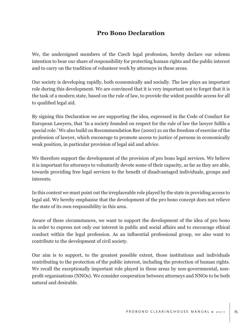## **Pro Bono Declaration**

We, the undersigned members of the Czech legal profession, hereby declare our solemn intention to bear our share of responsibility for protecting human rights and the public interest and to carry on the tradition of volunteer work by attorneys in these areas.

Our society is developing rapidly, both economically and socially. The law plays an important role during this development. We are convinced that it is very important not to forget that it is the task of a modern state, based on the rule of law, to provide the widest possible access for all to qualified legal aid.

By signing this Declaration we are supporting the idea, expressed in the Code of Conduct for European Lawyers, that 'In a society founded on respect for the rule of law the lawyer fulfils a special role.' We also build on Recommendation Rec (2000) 21 on the freedom of exercise of the profession of lawyer, which encourage to promote access to justice of persons in economically weak position, in particular provision of legal aid and advice.

We therefore support the development of the provision of pro bono legal services. We believe it is important for attorneys to voluntarily devote some of their capacity, as far as they are able, towards providing free legal services to the benefit of disadvantaged individuals, groups and interests.

In this context we must point out the irreplaceable role played by the state in providing access to legal aid. We hereby emphasise that the development of the pro bono concept does not relieve the state of its own responsibility in this area.

Aware of these circumstances, we want to support the development of the idea of pro bono in order to express not only our interest in public and social affairs and to encourage ethical conduct within the legal profession. As an influential professional group, we also want to contribute to the development of civil society.

Our aim is to support, to the greatest possible extent, those institutions and individuals contributing to the protection of the public interest, including the protection of human rights. We recall the exceptionally important role played in these areas by non-governmental, nonprofi t organisations (NNOs). We consider cooperation between attorneys and NNOs to be both natural and desirable.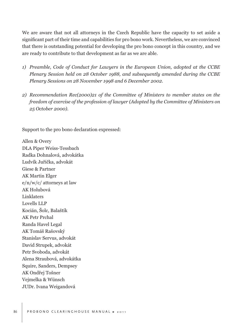We are aware that not all attorneys in the Czech Republic have the capacity to set aside a significant part of their time and capabilities for pro bono work. Nevertheless, we are convinced that there is outstanding potential for developing the pro bono concept in this country, and we are ready to contribute to that development as far as we are able.

- *1) Preamble, Code of Conduct for Lawyers in the European Union, adopted at the CCBE Plenary Session held on 28 October 1988, and subsequently amended during the CCBE Plenary Sessions on 28 November 1998 and 6 December 2002.*
- *2) Recommendation Rec(2000)21 of the Committee of Ministers to member states on the freedom of exercise of the profession of lawyer (Adopted by the Committee of Ministers on 25 October 2000).*

Support to the pro bono declaration expressed:

Allen & Overy DLA Piper Weiss-Tessbach Radka Dohnalová, advokátka Ludvík Juřička, advokát Giese & Partner AK Martin Elger e/n/w/c/ attorneys at law AK Holubová Linklaters Lovells LLP Kocián, Šolc, Balaštík AK Petr Prchal Randa Havel Legal AK Tomáš Rašovský Stanislav Servus, advokát David Strupek, advokát Petr Svoboda, advokát Alena Straubová, advokátka Squire, Sanders, Dempsey AK Ondřej Tošner Vejmelka & Wünsch JUDr. Ivana Weigandová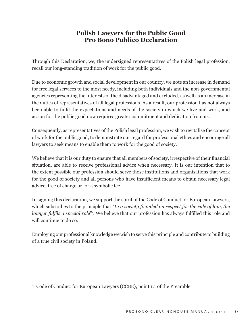## **Polish Lawyers for the Public Good Pro Bono Publico Declaration**

Through this Declaration, we, the undersigned representatives of the Polish legal profession, recall our long-standing tradition of work for the public good.

Due to economic growth and social development in our country, we note an increase in demand for free legal services to the most needy, including both individuals and the non-governmental agencies representing the interests of the disadvantaged and excluded, as well as an increase in the duties of representatives of all legal professions. As a result, our profession has not always been able to fulfil the expectations and needs of the society in which we live and work, and action for the public good now requires greater commitment and dedication from us.

Consequently, as representatives of the Polish legal profession, we wish to revitalize the concept of work for the public good, to demonstrate our regard for professional ethics and encourage all lawyers to seek means to enable them to work for the good of society.

We believe that it is our duty to ensure that all members of society, irrespective of their financial situation, are able to receive professional advice when necessary. It is our intention that to the extent possible our profession should serve those institutions and organisations that work for the good of society and all persons who have insufficient means to obtain necessary legal advice, free of charge or for a symbolic fee.

In signing this declaration, we support the spirit of the Code of Conduct for European Lawyers, which subscribes to the principle that "*In a society founded on respect for the rule of law, the lawyer fulfils a special role*"<sup>1</sup>. We believe that our profession has always fulfilled this role and will continue to do so.

Employing our professional knowledge we wish to serve this principle and contribute to building of a true civil society in Poland.

1 Code of Conduct for European Lawyers (CCBE), point 1.1 of the Preamble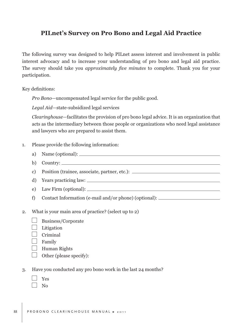## **PILnet's Survey on Pro Bono and Legal Aid Practice**

The following survey was designed to help PILnet assess interest and involvement in public interest advocacy and to increase your understanding of pro bono and legal aid practice. The survey should take you *approximately five minutes* to complete. Thank you for your participation.

Key definitions:

 *Pro Bono—*uncompensated legal service for the public good.

 *Legal Aid—*state-subsidized legal services

 *Clearinghouse—*facilitates the provision of pro bono legal advice. It is an organization that acts as the intermediary between those people or organizations who need legal assistance and lawyers who are prepared to assist them.

#### 1. Please provide the following information:

| Name (optional): |  |  |
|------------------|--|--|
|                  |  |  |

b) Country:

c) Position (trainee, associate, partner, etc.):

- d) Years practicing law:
- e) Law Firm (optional):
- f) Contact Information (e-mail and/or phone) (optional):

#### 2. What is your main area of practice? (select up to 2)

- $\Box$  Business/Corporate
- $\Box$  Litigation
- $\Box$  Criminal
- $\Box$  Family
- $\Box$  Human Rights
- $\Box$  Other (please specify):
- 3. Have you conducted any pro bono work in the last 24 months?
	- Yes
	- $\Box$  No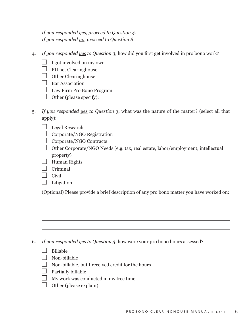*If you responded yes, proceed to Question 4. If you responded no, proceed to Question 8.*

4. *If you responded yes to Question 3*, how did you first get involved in pro bono work?

- $\Box$  I got involved on my own
- $\Box$  PILnet Clearinghouse
- $\Box$  Other Clearinghouse
- Bar Association
- Law Firm Pro Bono Program
- $\Box$  Other (please specify):  $\Box$
- 5. *If you responded yes to Question 3*, what was the nature of the matter? (select all that apply):
	- $\Box$  Legal Research
	- $\Box$  Corporate/NGO Registration
	- Corporate/NGO Contracts
	- $\Box$  Other Corporate/NGO Needs (e.g. tax, real estate, labor/employment, intellectual property)
	- $\Box$  Human Rights
	- Criminal
	- Civil
	- Litigation

(Optional) Please provide a brief description of any pro bono matter you have worked on:

6. *If you responded yes to Question 3*, how were your pro bono hours assessed?

|  | Billable |  |
|--|----------|--|
|  |          |  |

 $\Box$  Non-billable

- $\Box$  Non-billable, but I received credit for the hours
- $\Box$  Partially billable
- $\Box$  My work was conducted in my free time
- $\Box$  Other (please explain)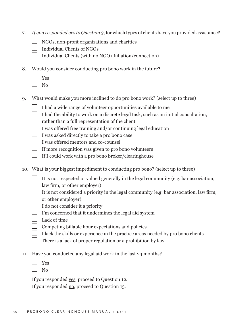- 7. *If you responded yes to Question 3*, for which types of clients have you provided assistance?
	- $\Box$  NGOs, non-profit organizations and charities
	- $\Box$  Individual Clients of NGOs
	- $\Box$  Individual Clients (with no NGO affiliation/connection)
- 8. Would you consider conducting pro bono work in the future?
	- Yes No
- 9. What would make you more inclined to do pro bono work? (select up to three)
	- $\Box$  I had a wide range of volunteer opportunities available to me
	- $\Box$  I had the ability to work on a discrete legal task, such as an initial consultation, rather than a full representation of the client
	- $\Box$  I was offered free training and/or continuing legal education
	- $\Box$  I was asked directly to take a pro bono case
	- $\Box$  I was offered mentors and co-counsel
	- $\Box$  If more recognition was given to pro bono volunteers
	- $\Box$  If I could work with a pro bono broker/clearinghouse
- 10. What is your biggest impediment to conducting pro bono? (select up to three)
	- It is not respected or valued generally in the legal community (e.g. bar association, law firm, or other employer)
	- It is not considered a priority in the legal community (e.g. bar association, law firm, or other employer)
	- $\Box$  I do not consider it a priority
	- $\Box$  I'm concerned that it undermines the legal aid system
	- $\Box$  Lack of time
	- $\Box$  Competing billable hour expectations and policies
	- $\Box$  I lack the skills or experience in the practice areas needed by pro bono clients
		- There is a lack of proper regulation or a prohibition by law
- 11. Have you conducted any legal aid work in the last 24 months?
	- Yes
	- No

 If you responded yes, proceed to Question 12. If you responded no, proceed to Question 15.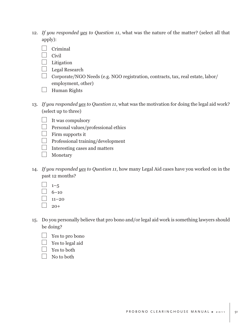- 12. *If you responded yes to Question 11*, what was the nature of the matter? (select all that apply):
	- $\Box$  Criminal
	- Civil
	- $\Box$  Litigation
	- $\Box$  Legal Research
	- Corporate/NGO Needs (e.g. NGO registration, contracts, tax, real estate, labor/
		- employment, other)
	- $\Box$  Human Rights
- 13. *If you responded yes to Question 11*, what was the motivation for doing the legal aid work? (select up to three)
	- $\Box$  It was compulsory
	- $\Box$  Personal values/professional ethics
	- $\Box$  Firm supports it
	- $\Box$  Professional training/development
	- $\Box$  Interesting cases and matters
	- $\Box$  Monetary
- 14. *If you responded yes to Question 11*, how many Legal Aid cases have you worked on in the past 12 months?
	- $1 5$ 6–10
	- $11-20$
	- 20+
- 15. Do you personally believe that pro bono and/or legal aid work is something lawyers should be doing?
	- Yes to pro bono
	- $\Box$  Yes to legal aid
	- $\Box$  Yes to both
	- $\Box$  No to both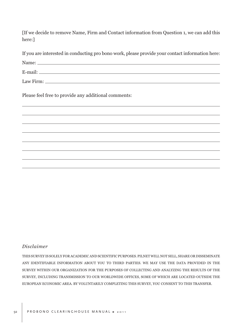[If we decide to remove Name, Firm and Contact information from Question 1, we can add this here:]

If you are interested in conducting pro bono work, please provide your contact information here: Name:

E-mail:

Law Firm:

Please feel free to provide any additional comments:

#### *Disclaimer*

THIS SURVEY IS SOLELY FOR ACADEMIC AND SCIENTIFIC PURPOSES. PILNET WILL NOT SELL, SHARE OR DISSEMINATE ANY IDENTIFIABLE INFORMATION ABOUT YOU TO THIRD PARTIES. WE MAY USE THE DATA PROVIDED IN THE SURVEY WITHIN OUR ORGANIZATION FOR THE PURPOSES OF COLLECTING AND ANALYZING THE RESULTS OF THE SURVEY, INCLUDING TRANSMISSION TO OUR WORLDWIDE OFFICES, SOME OF WHICH ARE LOCATED OUTSIDE THE EUROPEAN ECONOMIC AREA. BY VOLUNTARILY COMPLETING THIS SURVEY, YOU CONSENT TO THIS TRANSFER.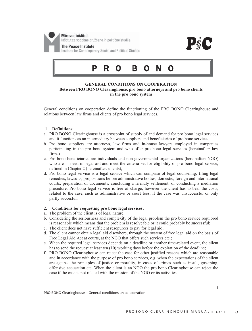



## P R O B O N O

#### **GENERAL CONDITIONS ON COOPERATION Between PRO BONO Clearinghouse, pro bono attorneys and pro bono clients in the pro bono system**

General conditions on cooperation define the functioning of the PRO BONO Clearinghouse and relations between law firms and clients of pro bono legal services.

#### 1. **Definitions**:

- a. PRO BONO Clearinghouse is a crosspoint of supply of and demand for pro bono legal services and it functions as an intermediary between suppliers and beneficiaries of pro bono services;
- b. Pro bono suppliers are attorneys, law firms and in-house lawyers employed in companies participating in the pro bono system and who offer pro bono legal services (hereinafter: law firms)
- c. Pro bono beneficiaries are individuals and non-governmental organizations (hereinafter: NGO) who are in need of legal aid and meet the criteria set for eligibility of pro bono legal service, defined in Chapter 2 (hereinafter: clients):
- d. Pro bono legal service is a legal service which can comprise of legal counseling, filing legal remedies, lawsuits, propositions before administrative bodies, domestic, foreign and international courts, preparation of documents, concluding a friendly settlement, or conducting a mediation procedure. Pro bono legal service is free of charge, however the client has to bear the costs, related to the case, such as administrative or court fees, if the case was unsuccessful or only partly succesful.

#### **2. Conditions for requesting pro bono legal services:**

- a. The problem of the client is of legal nature;
- b. Considering the seriousness and complexity of the legal problem the pro bono service requiored is reasonable which means that the problem is resolveable or it could probably be successful;
- c. The client does not have sufficient resopurces to pay for legal aid;
- d. The client cannot obtain legal aid elsewhere, through the system of free legal aid on the basis of Free Legal Aid Act at courts, at the NGO that offers such services etc.;
- e. When the required legal services depends on a deadline or another time-related event, the client has to send the request at least ten (10) working days before the expiration of the deadline;
- f. PRO BONO Clearinghouse can reject the case for other justified reasons which are reasonable and in accordance with the purpose of pro bono services, e.g. when the expectations of the client are against the principles of justice or morality, in cases of crimes such as insult, gossiping, offensive accusation etc. When the client is an NGO the pro bono Clearinghouse can reject the case if the case is not related with the mission of the NGO or its activities.

PRO BONO Clearinghouse – General conditions on co-operation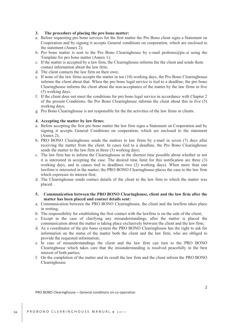#### **3. The procedure of placing the pro bono matter:**

- a. Before requesting pro bono services for the first matter the Pro Bono client signs a Statement on Cooperation and by signing it accepts General conditions on cooperation, which are enclosed to the statement (Annex 2);
- b. Pro bono matter is sent to the Pro Bono Clearinghouse by e-mail probono@pic.si using the Template for pro bono matter (Annex 1);
- c. If the matter is accepted by a law firm, the Clearinghouse informs the the client and sends them contact information about the law firm;
- d. The client contacts the law firm on their own;
- e. If none of the law firms accepts the matter in ten (10) working days, the Pro Bono Clearinghouse informs the client about that. When the pro bono legal service is tied to a deadline, the pro bono Clearinghouse informs the client about the non-acceptance of the matter by the law firms in five (5) working days.
- f. If the client does not meet the conditions for pro bono legal service in accordance with Chapter 2 of the present Conditions, the Pro Bono Clearinghouse informs the client about this in five (5) working days;
- g. Pro Bono Clearinghouse is not responsible for the the activities of the law firms or clients.

#### **4. Accepting the matter by law firms:**

- a. Before accepting the first pro bono matter the law firm signs a Statement on Cooperation and by signing it accepts General Conditions on cooperation, which are enclosed to the statement (Annex 2);
- b. PRO BONO Clearinghouse sends the matters to law firms by e-mail in seven (7) days after receiving the matter from the client. In cases tied to a deadline, the Pro Bono Clearinghouse sends the matter to the law firm in three (3) working days;
- c. The law firm has to inform the Clearinghouse in the shortest time possible about whether or not it is interested in accepting the case. The desired time limit for this notification are three (3) working days, and in caases tied to deadlines two (2) working days). When more than one lawfirm is interested in the matter, the PRO BONO Clearinghouse places the case to the law firm which expresses its interest first;
- d. The Clearinghouse sends contact details of the client to the law firm to which the matter was placed.
- **5. Communication between the PRO BONO Clearinghouse, client and the law firm after the matter has been placed and contact details sent:**
- a. Communication between the PRO BONO Clearinghouse, the client and the lawfirm takes place in writing;
- b. The responsibility for establishing the first contact with the lawfirm is on the side of the client;
- c. Except in the case of clarifying any misunderstandings, after the matter is placed the communication about the matter is taking place exclusively between the client and the law firm;
- d. As a coordinator of the pro bono system the PRO BONO Clearinghouse has the right to ask for information on the status of the matter both the client and the law firm, who are obliged to provide the requested information;
- e. In case of misunderstandings the client and the law firm can turn to the PRO BONO Clearinghouse which takes care that the misunderstanding is resolved peacefully in the best interest of both parties;
- f. On the completion of the matter and its result the law firm and the client inform the PRO BONO Clearinghouse.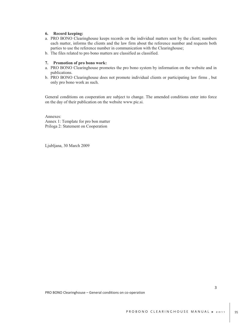#### **6. Record keeping:**

- a. PRO BONO Clearinghouse keeps records on the individual matters sent by the client; numbers each matter, informs the clients and the law firm about the reference number and requests both parties to use the reference number in communication with the Clearinghouse;
- b. The files related to pro bono matters are classified as classified.

#### **7. Promotion of pro bono work:**

- a. PRO BONO Clearinghouse promotes the pro bono system by information on the website and in publications.
- b. PRO BONO Clearinghouse does not promote individual clients or participating law firms , but only pro bono work as such.

General conditions on cooperation are subject to change. The amended conditions enter into force on the day of their publication on the website www.pic.si.

Annexes: Annex 1: Template for pro bon matter Priloga 2: Statement on Cooperation

Ljubljana, 30 March 2009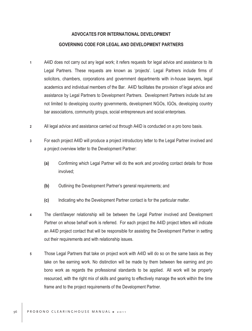## ADVOCATES FOR INTERNATIONAL DEVELOPMENT **GOVERNING CODE FOR LEGAL AND DEVELOPMENT PARTNERS**

- A4ID does not carry out any legal work; it refers requests for legal advice and assistance to its  $\overline{1}$ Legal Partners. These requests are known as 'projects'. Legal Partners include firms of solicitors, chambers, corporations and government departments with in-house lawyers, legal academics and individual members of the Bar. A4ID facilitates the provision of legal advice and assistance by Legal Partners to Development Partners. Development Partners include but are not limited to developing country governments, development NGOs, IGOs, developing country bar associations, community groups, social entrepreneurs and social enterprises.
- All legal advice and assistance carried out through A4ID is conducted on a pro bono basis.  $\overline{2}$
- For each project A4ID will produce a project introductory letter to the Legal Partner involved and  $\overline{3}$ a project overview letter to the Development Partner:
	- $(a)$ Confirming which Legal Partner will do the work and providing contact details for those involved;
	- Outlining the Development Partner's general requirements; and  $(b)$
	- $(c)$ Indicating who the Development Partner contact is for the particular matter.
- The client/lawyer relationship will be between the Legal Partner involved and Development  $\overline{\mathbf{4}}$ Partner on whose behalf work is referred. For each project the A4ID project letters will indicate an A4ID project contact that will be responsible for assisting the Development Partner in setting out their requirements and with relationship issues.
- Those Legal Partners that take on project work with A4ID will do so on the same basis as they  $\overline{5}$ take on fee earning work. No distinction will be made by them between fee earning and pro bono work as regards the professional standards to be applied. All work will be properly resourced, with the right mix of skills and gearing to effectively manage the work within the time frame and to the project requirements of the Development Partner.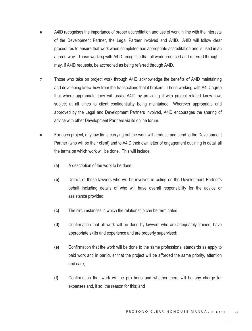- 6 A4ID recognises the importance of proper accreditation and use of work in line with the interests of the Development Partner, the Legal Partner involved and A4ID. A4ID will follow clear procedures to ensure that work when completed has appropriate accreditation and is used in an agreed way. Those working with A4ID recognise that all work produced and referred through it may, if A4ID requests, be accredited as being referred through A4ID.
- $\overline{7}$ Those who take on project work through A4ID acknowledge the benefits of A4ID maintaining and developing know-how from the transactions that it brokers. Those working with A4ID agree that where appropriate they will assist A4ID by providing it with project related know-how, subject at all times to client confidentiality being maintained. Wherever appropriate and approved by the Legal and Development Partners involved, A4ID encourages the sharing of advice with other Development Partners via its online forum.
- 8 For each project, any law firms carrying out the work will produce and send to the Development Partner (who will be their client) and to A4ID their own letter of engagement outlining in detail all the terms on which work will be done. This will include:
	- $(a)$ A description of the work to be done;
	- $(b)$ Details of those lawyers who will be involved in acting on the Development Partner's behalf including details of who will have overall responsibility for the advice or assistance provided;
	- $(c)$ The circumstances in which the relationship can be terminated;
	- Confirmation that all work will be done by lawyers who are adequately trained, have  $(d)$ appropriate skills and experience and are properly supervised;
	- Confirmation that the work will be done to the same professional standards as apply to  $(e)$ paid work and in particular that the project will be afforded the same priority, attention and care:
	- $(f)$ Confirmation that work will be pro bono and whether there will be any charge for expenses and, if so, the reason for this; and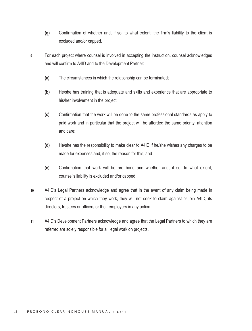- $(g)$ Confirmation of whether and, if so, to what extent, the firm's liability to the client is excluded and/or capped.
- $\overline{9}$ For each project where counsel is involved in accepting the instruction, counsel acknowledges and will confirm to A4ID and to the Development Partner:
	- $(a)$ The circumstances in which the relationship can be terminated;
	- He/she has training that is adequate and skills and experience that are appropriate to  $(b)$ his/her involvement in the project;
	- $(c)$ Confirmation that the work will be done to the same professional standards as apply to paid work and in particular that the project will be afforded the same priority, attention and care:
	- $(d)$ He/she has the responsibility to make clear to A4ID if he/she wishes any charges to be made for expenses and, if so, the reason for this; and
	- $(e)$ Confirmation that work will be pro bono and whether and, if so, to what extent, counsel's liability is excluded and/or capped.
- $10$ A4ID's Legal Partners acknowledge and agree that in the event of any claim being made in respect of a project on which they work, they will not seek to claim against or join A4ID, its directors, trustees or officers or their employers in any action.
- A4ID's Development Partners acknowledge and agree that the Legal Partners to which they are  $11$ referred are solely responsible for all legal work on projects.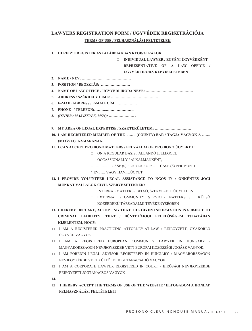### **LAWYERS REGISTRATION FORM / ÜGYVÉDEK REGISZTRÁCIÓJA TERMS OF USE / FELHASZNÁLÁSI FELTÉTELEK**

**1. HEREBY I REGISTER AS / ALÁBBIAKBAN REGISZTRÁLOK**

- **INDIVIDUAL LAWYER / EGYÉNI ÜGYVÉDKÉNT**

- **REPRESENTATIVE OF A LAW OFFICE / ÜGYVÉDI IRODA KÉPVISELETÉBEN**

- **2. NAME / NÉV: ……………… …………………**
- **3. POSITION / BEOSZTÁS: ……………………**
- **4. NAME OF LAW OFFICE / ÜGYVÉDI IRODA NEVE: …………………………………**
- **5. ADDRESS / SZÉKHELY CÍME: …………………………………**
- **6. E-MAIL ADDRESS / E-MAIL CÍM: …………………**
- **7. PHONE / TELEFON:………..…………………..**
- *8. (OTHER / MÁS (SKYPE, MSN): ………………… )*
- **9. MY AREA OF LEGAL EXPERTISE / SZAKTERÜLETEM: …………………………**
- **10. I AM REGISTERED MEMBER OF THE ……. (COUNTY) BAR / TAGJA VAGYOK A ……. (MEGYEI) KAMARÁNAK.**
- **11. I CAN ACCEPT PRO BONO MATTERS / FELVÁLLALOK PRO BONO ÜGYEKET:**
	- ON A REGULAR BASIS / ÁLLANDÓ JELLEGGEL
	- OCCASSIONALLY / ALKALMANKÉNT,
	- ………….. CASE (S) PER YEAR OR: … CASE (S) PER MONTH
	- / ÉVI …, VAGY HAVI…ÜGYET
- **12. I PROVIDE VOLUNTEER LEGAL ASSISTANCE TO NGOS IN / ÖNKÉNTES JOGI MUNKÁT VÁLLALOK CIVIL SZERVEZETEKNEK:**
	- □ INTERNAL MATTERS / BELSŐ, SZERVEZETI ÜGYEKBEN
	- □ EXTERNAL (COMMUNITY SERVICE) MATTERS / KÜLSŐ KÖZÉRDEKŰ TÁRSADALMI TEVÉKENYSÉGBEN
- **13. I HEREBY DECLARE, ACCEPTING THAT THE GIVEN INFORMATION IS SUBJECT TO**   $\blacksquare$ **CRIMINAL LIABILITY, THAT / BÜNTETŐJOGI FELELŐSÉGEM TUDATÁBAN KIJELENTEM, HOGY:**
- I AM A REGISTERED PRACTICING ATTORNEY-AT-LAW / BEJEGYZETT, GYAKORLÓ ÜGYVÉD VAGYOK
- I AM A REGISTERED EUROPEAN COMMUNITY LAWYER IN HUNGARY / MAGYARORSZÁGON NÉVJEGYZÉKBE VETT EURÓPAI KÖZÖSSÉGI JOGÁSZ VAGYOK
- I AM FOREIGN LEGAL ADVISOR REGISTERED IN HUNGARY / MAGYARORSZÁGON NÉVJEGYZÉKBE VETT KÜLFÖLDI JOGI TANÁCSADÓ VAGYOK
- □ I AM A CORPORATE LAWYER REGISTERED IN COURT / BÍRÓSÁGI NÉVJEGYZÉKBE BEJEGYZETT JOGTANÁCSOS VAGYOK
- **14.**
- □ **I HEREBY ACCEPT THE TERMS OF USE OF THE WEBSITE / ELFOGADOM A HONLAP FELHASZNÁLÁSI FELTÉTELEIT**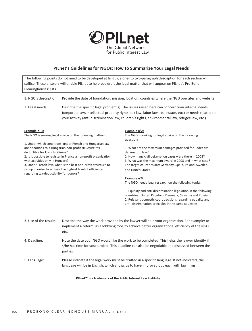

#### PILnet's Guidelines for NGOs: How to Summarize Your Legal Needs

The following points do not need to be developed at length: a one-to two-paragraph description for each section will suffice. These answers will enable PILnet to help you draft the legal matter that will appear on PILnet's Pro Bono Clearinghouses' lists.

- 1. NGO's description: Provide the date of foundation, mission, location, countries where the NGO operates and website.
- 2. Legal needs: Describe the specific legal problem(s). The issues raised here can concern your internal needs (corporate law, intellectual property rights, tax law, labor law, real estate, etc.) or needs related to your activity (anti-discrimination law, children's rights, environmental law, refugee law, etc.).

#### Example n° 1:

 $1OC$ 

The NGO is seeking legal advice on the following matters:

1. Under which conditions, under French and Hungarian law, are donations to a Hungarian non-profit structure taxdeductible for French citizens?

2. Is it possible to register in France a non-profit organization with activities only in Hungary?

3. Under French law, what is the best non-profit structure to set up in order to achieve the highest level of efficiency regarding tax-deductibility for donors?

#### Example n°2:

The NGO is looking for legal advice on the following questions:

1. What are the maximum damages provided for under civil defamation law?

2. How many civil defamation cases were there in 2008? 3. What was the maximum award in 2008 and in what case? The target countries are: Germany, Spain, Poland, Sweden and United States.

#### Example n°3:

The NGO needs legal research on the following topics:

1. Equality and anti-discrimination legislation in the following countries: United Kingdom, Denmark, Slovenia and Russia. 2. Relevant domestic court decisions regarding equality and anti-discrimination principles in the same countries.

Describe the way the work provided by the lawyer will help your organization. For example: to 3. Use of the results: implement a reform, as a lobbying tool, to achieve better organizational efficiency of the NGO, etc. 4. Deadline: Note the date your NGO would like the work to be completed. This helps the lawyer identify if s/he has time for your project. This deadline can also be negotiable and discussed between the parties. 5. Language: Please indicate if the legal work must be drafted in a specific language. If not indicated, the language will be in English, which allows us to have improved outreach with law firms.

PlLnet™ is a trademark of the Public Interest Law Institute.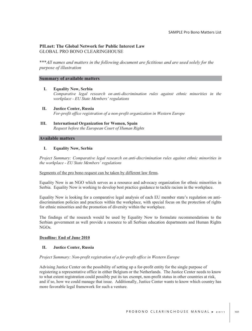#### **PILnet: The Global Network for Public Interest Law**  GLOBAL PRO BONO CLEARINGHOUSE

\*\*\**All names and matters in the following document are fictitious and are used solely for the purpose of illustration*

#### **Summary of available matters**

- **I. Equality Now, Serbia**  *Comparative legal research on anti-discrimination rules against ethnic minorities in the workplace - EU State Members' regulations*
- **II. Justice Center, Russia**  *For-profit office registration of a non-profit organization in Western Europe*
- **III. International Organization for Women, Spain**  *Request before the European Court of Human Rights*

#### **Available matters**

#### **I. Equality Now, Serbia**

*Project Summary: Comparative legal research on anti-discrimination rules against ethnic minorities in the workplace - EU State Members' regulations* 

#### Segments of the pro bono request can be taken by different law firms.

Equality Now is an NGO which serves as a resource and advocacy organization for ethnic minorities in Serbia. Equality Now is working to develop best practice guidance to tackle racism in the workplace.

Equality Now is looking for a comparative legal analysis of each EU member state's regulation on antidiscrimination policies and practices within the workplace, with special focus on the protection of rights for ethnic minorities and the promotion of diversity within the workplace.

The findings of the research would be used by Equality Now to formulate recommendations to the Serbian government as well provide a resource to all Serbian education departments and Human Rights NGOs.

#### **Deadline: End of June 2010**

#### **II. Justice Center, Russia**

#### *Project Summary: Non-profit registration of a for-profit office in Western Europe*

Advising Justice Center on the possibility of setting up a for-profit entity for the single purpose of registering a representative office in either Belgium or the Netherlands. The Justice Center needs to know to what extent registration could possibly put its tax exempt, non-profit status in other countries at risk, and if so, how we could manage that issue. Additionally, Justice Center wants to know which country has more favorable legal framework for such a venture.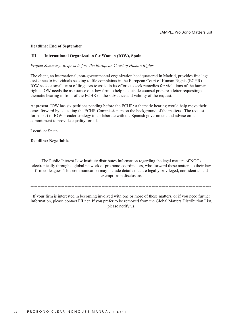#### **Deadline: End of September**

#### **III. International Organization for Women (IOW), Spain**

#### *Project Summary: Request before the European Court of Human Rights*

The client, an international, non-governmental organization headquartered in Madrid, provides free legal assistance to individuals seeking to file complaints in the European Court of Human Rights (ECHR). IOW seeks a small team of litigators to assist in its efforts to seek remedies for violations of the human rights. IOW needs the assistance of a law firm to help its outside counsel prepare a letter requesting a thematic hearing in front of the ECHR on the substance and validity of the request.

At present, IOW has six petitions pending before the ECHR; a thematic hearing would help move their cases forward by educating the ECHR Commissioners on the background of the matters. The request forms part of IOW broader strategy to collaborate with the Spanish government and advise on its commitment to provide equality for all.

Location: Spain.

#### **Deadline: Negotiable**

The Public Interest Law Institute distributes information regarding the legal matters of NGOs electronically through a global network of pro bono coordinators, who forward these matters to their law firm colleagues. This communication may include details that are legally privileged, confidential and exempt from disclosure.

#### -------------------------------------------------------------------------------------------------------------------------------

If your firm is interested in becoming involved with one or more of these matters, or if you need further information, please contact PILnet. If you prefer to be removed from the Global Matters Distribution List, please notify us.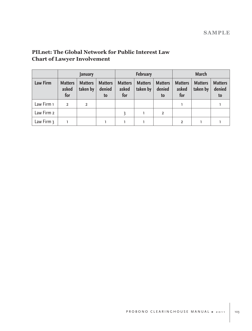## **PILnet: The Global Network for Public Interest Law Chart of Lawyer Involvement**

|                 | <b>January</b>                 |                            |                                | <b>February</b>                |                            |                                | <b>March</b>                   |                            |                                |
|-----------------|--------------------------------|----------------------------|--------------------------------|--------------------------------|----------------------------|--------------------------------|--------------------------------|----------------------------|--------------------------------|
| <b>Law Firm</b> | <b>Matters</b><br>asked<br>for | <b>Matters</b><br>taken by | <b>Matters</b><br>denied<br>to | <b>Matters</b><br>asked<br>for | <b>Matters</b><br>taken by | <b>Matters</b><br>denied<br>to | <b>Matters</b><br>asked<br>for | <b>Matters</b><br>taken by | <b>Matters</b><br>denied<br>to |
| Law Firm 1      | $\mathfrak{D}$                 | $\overline{2}$             |                                |                                |                            |                                |                                |                            |                                |
| Law Firm 2      |                                |                            |                                |                                |                            | $\overline{2}$                 |                                |                            |                                |
| Law Firm 3      |                                |                            |                                |                                |                            |                                | $\mathfrak{p}$                 |                            |                                |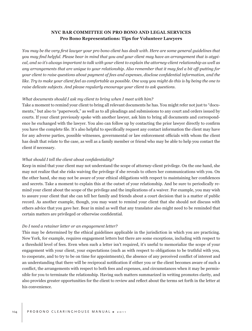#### **NYC BAR COMMITTEE ON PRO BONO AND LEGAL SERVICES Pro Bono Representations: Tips for Volunteer Lawyers**

*You may be the very first lawyer your pro bono client has dealt with. Here are some general quidelines that* you may find helpful. Please bear in mind that you and your client may have an arrangement that is atypi*cal, and so it's always important to talk with your client to explain the attorney-client relationship as well as any arrangements that are unique to your relationship. Also remember that it may feel a bit off-putting for your client to raise questions about payment of fees and expenses, disclose confidential information, and the like. Try to make your client feel as comfortable as possible. One way you might do this is by being the one to raise delicate subjects. And please regularly encourage your client to ask questions.*

#### *What documents should I ask my client to bring when I meet with him?*

Take a moment to remind your client to bring all relevant documents he has. You might refer not just to "documents," but also to "paperwork," as well as to all pleadings and submissions to any court and orders issued by courts. If your client previously spoke with another lawyer, ask him to bring all documents and correspondence he exchanged with the lawyer. You also can follow up by contacting the prior lawyer directly to confirm you have the complete file. It's also helpful to specifically request any contact information the client may have for any adverse parties, possible witnesses, governmental or law enforcement officials with whom the client has dealt that relate to the case, as well as a family member or friend who may be able to help you contact the client if necessary.

#### *What should I tell the client about confidentiality?*

Keep in mind that your client may not understand the scope of attorney-client privilege. On the one hand, she may not realize that she risks waiving the privilege if she reveals to others her communications with you. On the other hand, she may not be aware of your ethical obligations with respect to maintaining her confidences and secrets. Take a moment to explain this at the outset of your relationship. And be sure to periodically remind your client about the scope of the privilege and the implications of a waiver. For example, you may wish to assure your client that she can tell her family and friends about a court decision that is a matter of public record. As another example, though, you may want to remind your client that she should not discuss with others advice that you gave her. Bear in mind as well that any translator also might need to be reminded that certain matters are privileged or otherwise confidential.

#### *Do I need a retainer letter or an engagement letter?*

This may be determined by the ethical guidelines applicable in the jurisdiction in which you are practicing. New York, for example, requires engagement letters but there are some exceptions, including with respect to a threshold level of fees. Even when such a letter isn't required, it's useful to memorialize the scope of your engagement with your client, your expectations (such as with respect to obligations to be truthful with you, to cooperate, and to try to be on time for appointments), the absence of any perceived conflict of interest and an understanding that there will be reciprocal notification if either you or the client becomes aware of such a conflict, the arrangements with respect to both fees and expenses, and circumstances when it may be permissible for you to terminate the relationship. Having such matters summarized in writing promotes clarity, and also provides greater opportunities for the client to review and reflect about the terms set forth in the letter at his convenience.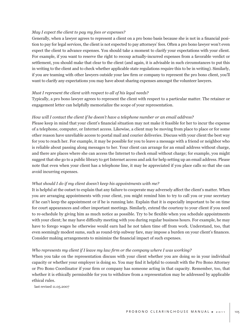## *May I expect the client to pay my fees or expenses?*

Generally, when a lawyer agrees to represent a client on a pro bono basis because she is not in a financial position to pay for legal services, the client is not expected to pay attorneys' fees. Often a pro bono lawyer won't even expect the client to advance expenses. You should take a moment to clarify your expectations with your client. For example, if you want to reserve the right to recoup actually-incurred expenses from a favorable verdict or settlement, you should make that clear to the client (and again, it is advisable in such circumstances to put this in writing to the client and to check whether applicable state regulations require this to be in writing). Similarly, if you are teaming with other lawyers outside your law firm or company to represent the pro bono client, you'll want to clarify any expectations you may have about sharing expenses amongst the volunteer lawyers.

## *Must I represent the client with respect to all of his legal needs?*

Typically, a pro bono lawyer agrees to represent the client with respect to a particular matter. The retainer or engagement letter can helpfully memorialize the scope of your representation.

## *How will I contact the client if he doesn't have a telephone number or an email address?*

Please keep in mind that your client's financial situation may not make it feasible for her to incur the expense of a telephone, computer, or Internet access. Likewise, a client may be moving from place to place or for some other reason have unreliable access to postal mail and courier deliveries. Discuss with your client the best way for you to reach her. For example, it may be possible for you to leave a message with a friend or neighbor who is reliable about passing along messages to her. Your client can arrange for an email address without charge, and there are places where she can access the Internet to check email without charge; for example, you might suggest that she go to a public library to get Internet access and ask for help setting up an email address. Please note that even when your client has a telephone line, it may be appreciated if you place calls so that she can avoid incurring expenses.

## *What should I do if my client doesn't keep his appointments with me?*

It is helpful at the outset to explain that any failure to cooperate may adversely affect the client's matter. When you are arranging appointments with your client, you might remind him to try to call you or your secretary if he can't keep the appointment or if he is running late. Explain that it is especially important to be on time for court appearances and other important meetings. Similarly, extend the courtesy to your client if you need to re-schedule by giving him as much notice as possible. Try to be flexible when you schedule appointments with your client; he may have difficulty meeting with you during regular business hours. For example, he may have to forego wages he otherwise would earn had he not taken time off from work. Understand, too, that even seemingly modest sums, such as round-trip subway fare, may impose a burden on your client's finances. Consider making arrangements to minimize the financial impact of such expenses.

## *Who represents my client if I leave my law firm or the company where I was working?*

When you take on the representation discuss with your client whether you are doing so in your individual capacity or whether your employer is doing so. You may find it helpful to consult with the Pro Bono Attorney or Pro Bono Coordinator if your firm or company has someone acting in that capacity. Remember, too, that whether it is ethically permissible for you to withdraw from a representation may be addressed by applicable ethical rules.

last revised 11.05.2007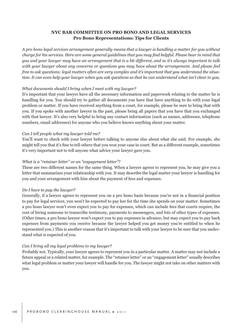## **NYC BAR COMMITTEE ON PRO BONO AND LEGAL SERVICES Pro Bono Representations: Tips for Clients**

*A pro bono legal services arrangement generally means that a lawyer is handling a matter for you without charge for his services. Here are some general guidelines that you may find helpful. Please bear in mind that you and your lawyer may have an arrangement that is a bit different, and so it's always important to talk with your lawyer about any concerns or questions you may have about the arrangement. And please feel free to ask questions; legal matters often are very complex and it's important that you understand the situation. It can even help your lawyer when you ask questions so that he can understand what isn't clear to you.*

## *What documents should I bring when I meet with my lawyer?*

It's important that your lawyer have all the necessary information and paperwork relating to the matter he is handling for you. You should try to gather all documents you have that have anything to do with your legal problem or matter. If you have received anything from a court, for example, please be sure to bring that with you. If you spoke with another lawyer in the past, please bring all papers that you have that you exchanged with that lawyer. It's also very helpful to bring any contact information (such as names, addresses, telephone numbers, email addresses) for anyone who you believe knows anything about your matter.

## *Can I tell people what my lawyer told me?*

You'll want to check with your lawyer before talking to anyone else about what she said. For example, she might tell you that it's fine to tell others that you won your case in court. But as a different example, sometimes it's very important not to tell anyone what advice your lawyer gave you.

## *What is a "retainer letter" or an "engagement letter"?*

These are two different names for the same thing. When a lawyer agrees to represent you, he may give you a letter that summarizes your relationship with you. It may describe the legal matter your lawyer is handling for you and your arrangement with him about the payment of fees and expenses.

## *Do I have to pay the lawyer?*

Generally, if a lawyer agrees to represent you on a pro bono basis because you're not in a financial position to pay for legal services, you won't be expected to pay her for the time she spends on your matter. Sometimes a pro bono lawyer won't even expect you to pay for expenses, which can include fees that courts require, the cost of hiring someone to transcribe testimony, payments to messengers, and lots of other types of expenses. (Other times, a pro bono lawyer won't expect you to pay expenses in advance, but may expect you to pay back expenses from payments you receive because the lawyer helped you get money you're entitled to when he represented you.) This is another reason that it's important to talk with your lawyer to be sure that you understand what is expected of you.

## *Can I bring all my legal problems to my lawyer?*

Probably not. Typically, your lawyer agrees to represent you in a particular matter. A matter may not include a future appeal or a related matter, for example. The "retainer letter" or an "engagement letter" usually describes what legal problem or matter your lawyer will handle for you. The lawyer might not take on other matters with you.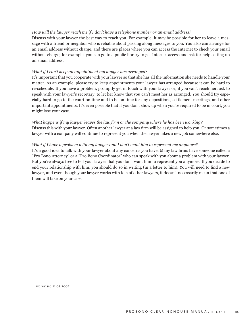## *How will the lawyer reach me if I don't have a telephone number or an email address?*

Discuss with your lawyer the best way to reach you. For example, it may be possible for her to leave a message with a friend or neighbor who is reliable about passing along messages to you. You also can arrange for an email address without charge, and there are places where you can access the Internet to check your email without charge; for example, you can go to a public library to get Internet access and ask for help setting up an email address.

## *What if I can't keep an appointment my lawyer has arranged?*

It's important that you cooperate with your lawyer so that she has all the information she needs to handle your matter. As an example, please try to keep appointments your lawyer has arranged because it can be hard to re-schedule. If you have a problem, promptly get in touch with your lawyer or, if you can't reach her, ask to speak with your lawyer's secretary, to let her know that you can't meet her as arranged. You should try especially hard to go to the court on time and to be on time for any depositions, settlement meetings, and other important appointments. It's even possible that if you don't show up when you're required to be in court, you might lose your case.

## *What happens if my lawyer leaves the law firm or the company where he has been working?* Discuss this with your lawyer. Often another lawyer at a law firm will be assigned to help you. Or sometimes a lawyer with a company will continue to represent you when the lawyer takes a new job somewhere else.

## *What if I have a problem with my lawyer and I don't want him to represent me anymore?*

It's a good idea to talk with your lawyer about any concerns you have. Many law firms have someone called a "Pro Bono Attorney" or a "Pro Bono Coordinator" who can speak with you about a problem with your lawyer. But you're always free to tell your lawyer that you don't want him to represent you anymore. If you decide to end your relationship with him, you should do so in writing (in a letter to him). You will need to find a new lawyer, and even though your lawyer works with lots of other lawyers, it doesn't necessarily mean that one of them will take on your case.

last revised 11.05.2007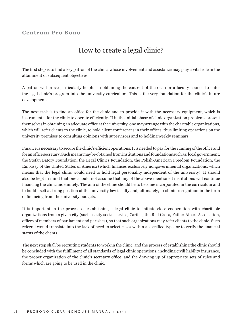## **Centrum Pro Bono**

## How to create a legal clinic?

The first step is to find a key patron of the clinic, whose involvement and assistance may play a vital role in the attainment of subsequent objectives.

A patron will prove particularly helpful in obtaining the consent of the dean or a faculty council to enter the legal clinic's program into the university curriculum. This is the very foundation for the clinic's future development.

The next task is to find an office for the clinic and to provide it with the necessary equipment, which is instrumental for the clinic to operate efficiently. If in the initial phase of clinic organization problems present themselves in obtaining an adequate office at the university, one may arrange with the charitable organizations, which will refer clients to the clinic, to hold client conferences in their offices, thus limiting operations on the university premises to consulting opinions with supervisors and to holding weekly seminars.

Finance is necessary to secure the clinic's efficient operations. It is needed to pay for the running of the office and for an office secretary. Such means may be obtained from institutions and foundations such as: local government, the Stefan Batory Foundation, the Legal Clinics Foundation, the Polish-American Freedom Foundation, the Embassy of the United States of America (which finances exclusively nongovernmental organizations, which means that the legal clinic would need to hold legal personality independent of the university). It should also be kept in mind that one should not assume that any of the above mentioned institutions will continue financing the clinic indefinitely. The aim of the clinic should be to become incorporated in the curriculum and to build itself a strong position at the university law faculty and, ultimately, to obtain recognition in the form of financing from the university budgets.

It is important in the process of establishing a legal clinic to initiate close cooperation with charitable organizations from a given city (such as city social service, Caritas, the Red Cross, Father Albert Association, offices of members of parliament and parishes), so that such organizations may refer clients to the clinic. Such referral would translate into the lack of need to select cases within a specified type, or to verify the financial status of the clients.

The next step shall be recruiting students to work in the clinic, and the process of establishing the clinic should be concluded with the fulfillment of all standards of legal clinic operations, including civili liability insurance, the proper organization of the clinic's secretary office, and the drawing up of appropriate sets of rules and forms which are going to be used in the clinic.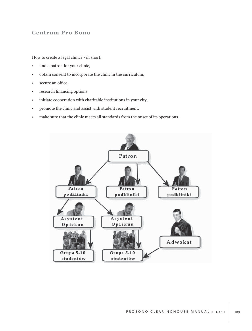## **Centrum Pro Bono**

How to create a legal clinic? - in short:

- find a patron for your clinic,
- obtain consent to incorporate the clinic in the curriculum,
- secure an office,
- research financing options,
- initiate cooperation with charitable institutions in your city,
- promote the clinic and assist with student recruitment,
- make sure that the clinic meets all standards from the onset of its operations.

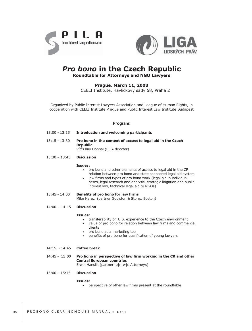



## **Pro bono in the Czech Republic**

**Roundtable for Attorneys and NGO Lawyers** 

## Prague, March 11, 2008

CEELI Institute, Havlíčkovy sady 58, Praha 2

Organized by Public Interest Lawyers Association and League of Human Rights, in cooperation with CEELI Institute Prague and Public Interest Law Institute Budapest

## Program:

- $13:00 13:15$ **Introduction and welcoming participants**
- $13:15 13:30$ Pro bono in the context of access to legal aid in the Czech **Republic** Vítězslav Dohnal (PILA director)
- $13:30 13:45$ **Discussion**

### Issues:

- pro bono and other elements of access to legal aid in the CR: relation between pro bono and state sponsored legal aid system
- law firms and types of pro bono work (legal aid in individual cases, legal research and analysis, strategic litigation and public interest law, technical legal aid to NGOs)

#### $13:45 - 14:00$ Benefits of pro bono for law firms

Mike Haroz (partner Goulston & Storrs, Boston)

 $14:00 - 14:15$ **Discussion** 

### **Issues:**

- transferability of U.S. experience to the Czech environment
- value of pro bono for relation between law firms and commercial clients
- pro bono as a marketing tool
- benefits of pro bono for qualification of young lawyers  $\bullet$
- 14:15 14:45 Coffee break
- $14:45 15:00$ Pro bono in perspective of law firm working in the CR and other **Central European countries** Erwin Hanslik (partner e|n|w|c Attorneys)
- $15:00 15:15$ **Discussion**

### **Issues:**

• perspective of other law firms present at the roundtable

110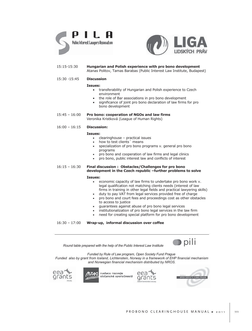



#### 15:15-15:30 Hungarian and Polish experience with pro bono development Atanas Politov, Tamas Barabas (Public Interest Law Institute, Budapest)

#### 15:30 -15:45 **Discussion**

### **Tssues:**

- transferability of Hungarian and Polish experience to Czech environment
- the role of Bar associations in pro bono development
- significance of joint pro bono declaration of law firms for pro bono development

#### $15:45 - 16:00$ Pro bono: cooperation of NGOs and law firms Veronika Kristková (League of Human Rights)

#### **Discussion:**  $16:00 - 16:15$

## Issues:

- clearinghouse practical issues
- how to test clients' means
- specialization of pro bono programs v. general pro bono  $\sim$ programs
- pro bono and cooperation of law firms and legal clinics
- pro bono, public interest law and conflicts of interest

#### $16:15 - 16:30$ Final discussion: Obstacles/Challenges for pro bono development in the Czech republic -further problems to solve

## **Tssues:**

- economic capacity of law firms to undertake pro bono work v. legal qualification not matching clients needs (interest of law firms in training in other legal fields and practical lawyering skills)
- duty to pay VAT from legal services provided free of charge
- pro bono and court fees and proceedings cost as other obstacles to access to justice
- quarantees against abuse of pro bono legal services
- institutionalization of pro bono legal services in the law firm
- need for creating special platform for pro bono development

#### $16:30 - 17:00$ Wrap-up, informal discussion over coffee

Round table prepared with the help of the Public Interest Law Institute



Funded by Rule of Law program, Open Society Fund Prague Funded also by grant from Iceland, Lichtenstein, Norway in a framework of EHP financial mechanism and Norwegian financial mechanism distributed by NROS.







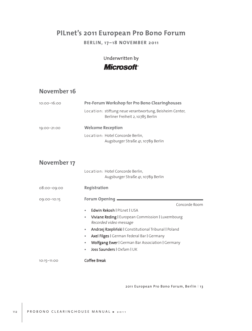**PILnet's 2011 European Pro Bono Forum**

**BERLIN, 17–18 NOVEMBER 2011**

Underwritten by



## **November 16**

| $10:00 - 16:00$ | Pre-Forum Workshop for Pro Bono Clearinghouses                                               |  |
|-----------------|----------------------------------------------------------------------------------------------|--|
|                 | Location: stiftung neue verantwortung, Beisheim Center,<br>Berliner Freiheit 2, 10785 Berlin |  |
| 19:00-21:00     | <b>Welcome Reception</b>                                                                     |  |
|                 | Location: Hotel Concorde Berlin,<br>Augsburger Straße 41, 10789 Berlin                       |  |

## **November 17**

|                 | Location: Hotel Concorde Berlin,<br>Augsburger Straße 41, 10789 Berlin           |
|-----------------|----------------------------------------------------------------------------------|
| $08:00 - 09:00$ | Registration                                                                     |
| 09:00-10:15     | Forum Opening.                                                                   |
|                 | Concorde Room                                                                    |
|                 | Edwin Rekosh   PILnet   USA<br>٠                                                 |
|                 | Viviane Reding   European Commission   Luxembourg<br>۰<br>Recorded video message |
|                 | Andrzej Rzepliński   Constitutional Tribunal   Poland<br>٠                       |
|                 | Axel Filges   German Federal Bar   Germany<br>۰                                  |
|                 | Wolfgang Ewer   German Bar Association   Germany<br>۰                            |
|                 | Joss Saunders   Oxfam   UK<br>٠                                                  |
| $10:15 - 11:00$ | Coffee Break                                                                     |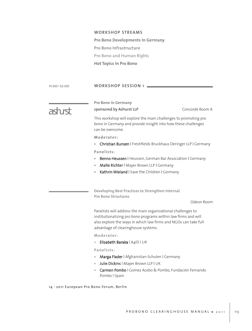## **WORKSHOP STREAMS**

**Pro Bono Developments in Germany Pro Bono Infrastructure Pro Bono and Human Rights Hot Topics in Pro Bono**

## 11:00–12:00 **WORKSHOP SESSION 1**

and  $\overrightarrow{r}$  sponsored by Ashurst LLP Concorde Room A

**Pro Bono in Germany** 

This workshop will explore the main challenges to promoting pro bono in Germany and provide insight into how these challenges can be overcome.

**Moderator:**

**•** Christian Bunsen l Freshfields Bruckhaus Deringer LLP l Germany

**Panelists:** 

- **•** Benno Heussen l Heussen, German Bar Association l Germany
- **•** Malte Richter l Mayer Brown LLP l Germany
- **•** Kathrin Wieland l Save the Children l Germany

**Developing Best Practices to Strengthen Internal Pro Bono Structures**

Odeon Room

 Panelists will address the main organizational challenges to institutionalizing pro bono programs within law firms and will also explore the ways in which law firms and NGOs can take full advantage of clearinghouse systems.

 **Moderator:**

**•** Elisabeth Baraka l A4ID l UK

 **Panelists:** 

- **•** Marga Flader l Afghanistan-Schulen l Germany
- **•** Julie Dickins l Mayer Brown LLP l UK
- **•** Carmen Pombo l Gomez Acebo & Pombo, Fundación Fernando Pombo l Spain

14 l 2011 European Pro Bono Forum, Berlin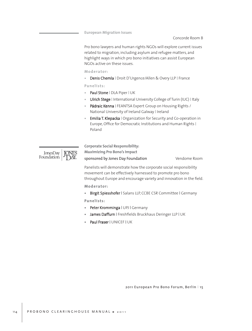**European Migration Issues** 

Concorde Room B

 Pro bono lawyers and human rights NGOs will explore current issues related to migration, including asylum and refugee matters, and highlight ways in which pro bono initiatives can assist European NGOs active on these issues.

 **Moderator:**

**•** Denis Chemla l Droit D'Urgence/Allen & Overy LLP l France

 **Panelists:** 

- **•** Paul Stone l DLA Piper l UK
- **•** Ulrich Stege l International University College of Turin (IUC) l Italy
- **•** Pádraic Kenna l FEANTSA Expert Group on Housing Rights / National University of Ireland Galway l Ireland
- **•** Emilia T. Klepacka l Organization for Security and Co-operation in Europe, Office for Democratic Institutions and Human Rights l Poland



**Corporate Social Responsibility:** 

sponsored by Jones Day Foundation Vendome Room

 Panelists will demonstrate how the corporate social responsibility movement can be effectively harnessed to promote pro bono throughout Europe and encourage variety and innovation in the field.

 **Moderator:**

**•** Birgit Spiesshofer l Salans LLP, CCBE CSR Committee l Germany

 **Panelists:** 

- **•** Peter Kromminga l UPJ l Germany
- **•** James Daffurn l Freshfields Bruckhaus Deringer LLP l UK
- **•** Paul Fraser l UNICEF l UK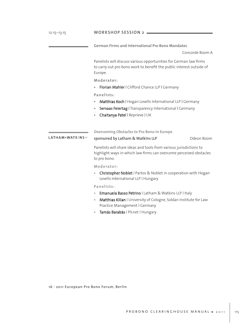| 12:15-13:15               | <b>WORKSHOP SESSION 2</b>                                                                                                                                |                 |  |
|---------------------------|----------------------------------------------------------------------------------------------------------------------------------------------------------|-----------------|--|
|                           | <b>German Firms and International Pro Bono Mandates</b>                                                                                                  | Concorde Room A |  |
|                           | Panelists will discuss various opportunities for German law firms<br>to carry out pro bono work to benefit the public interest outside of<br>Europe.     |                 |  |
|                           | Moderator:                                                                                                                                               |                 |  |
|                           | Florian Mahler   Clifford Chance LLP   Germany                                                                                                           |                 |  |
|                           | Panelists:                                                                                                                                               |                 |  |
|                           | Matthias Koch   Hogan Lovells International LLP   Germany                                                                                                |                 |  |
|                           | Servaas Feiertag   Transparency International   Germany                                                                                                  |                 |  |
|                           | Chaitanya Patel   Reprieve   UK                                                                                                                          |                 |  |
|                           |                                                                                                                                                          |                 |  |
|                           | <b>Overcoming Obstacles to Pro Bono in Europe</b>                                                                                                        |                 |  |
| <b>LATHAM&amp;WATKINS</b> | sponsored by Latham & Watkins LLP                                                                                                                        | Odeon Room      |  |
|                           | Panelists will share ideas and tools from various jurisdictions to<br>highlight ways in which law firms can overcome perceived obstacles<br>to pro bono. |                 |  |
|                           | Moderator:                                                                                                                                               |                 |  |
|                           | Christopher Noblet   Partos & Noblet in cooperation with Hogan<br>Lovells International LLP   Hungary                                                    |                 |  |
|                           | Panelists:                                                                                                                                               |                 |  |
|                           | Emanuela Basso Petrino   Latham & Watkins LLP   Italy                                                                                                    |                 |  |
|                           | Matthias Kilian   University of Cologne, Soldan Institute for Law<br>Practice Management   Germany                                                       |                 |  |
|                           | Tamás Barabás   PILnet   Hungary<br>$\bullet$                                                                                                            |                 |  |
|                           |                                                                                                                                                          |                 |  |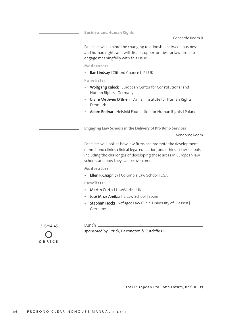**Business and Human Rights**

## Concorde Room B

 Panelists will explore the changing relationship between business and human rights and will discuss opportunities for law firms to engage meaningfully with this issue.

 **Moderator:**

**•** Rae Lindsay l Clifford Chance LLP l UK

 **Panelists:** 

- **•** Wolfgang Kaleck l European Center for Constitutional and Human Rights l Germany
- **•** Claire Methven O'Brien l Danish Institute for Human Rights l Denmark
- **•** Adam Bodnar l Helsinki Foundation for Human Rights l Poland

**Engaging Law Schools in the Delivery of Pro Bono Services**

Vendome Room

 Panelists will look at how law firms can promote the development of pro bono clinics, clinical legal education, and ethics in law schools, including the challenges of developing these areas in European law schools and how they can be overcome.

 **Moderator:**

**•** Ellen P. Chapnick l Columbia Law School l USA

 **Panelists:** 

- **•** Martin Curtis l LawWorks l UK
- **•** José M. de Areilza l IE Law School l Spain
- **Stephan Hocks | Refugee Law Clinic, University of Giessen |** Germany



sponsored by Orrick, Herrington & Sutcliffe LLP

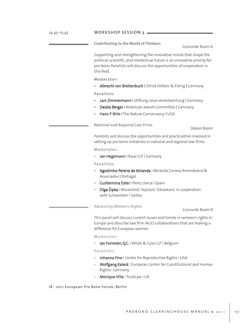| 14:45-15:45 | WORKSHOP SESSION 3                                                                                                                                                                                                                      |                 |
|-------------|-----------------------------------------------------------------------------------------------------------------------------------------------------------------------------------------------------------------------------------------|-----------------|
|             | <b>Contributing to the World of Thinkers</b>                                                                                                                                                                                            | Concorde Room A |
|             | Supporting and strengthening the innovative minds that shape the<br>political, scientific, and intellectual future is an innovative priority for<br>pro bono. Panelists will discuss the opportunities of cooperation in<br>this field. |                 |
|             | Moderator:                                                                                                                                                                                                                              |                 |
|             | Albrecht von Breitenbuch   Orrick Hölters & Elsing   Germany                                                                                                                                                                            |                 |
|             | Panelists:                                                                                                                                                                                                                              |                 |
|             | Lars Zimmermann I stiftung neue verantwortung I Germany                                                                                                                                                                                 |                 |
|             | Deidre Berger   American Jewish Committee   Germany<br>۰                                                                                                                                                                                |                 |
|             | Hans P. Birle   The Nature Conservancy   USA<br>۰                                                                                                                                                                                       |                 |
|             | <b>National and Regional Law Firms</b>                                                                                                                                                                                                  | Odeon Room      |
|             | Panelists will discuss the opportunities and practicalities involved in<br>setting up pro bono initiatives in national and regional law firms.                                                                                          |                 |
|             | Moderator:                                                                                                                                                                                                                              |                 |
|             | Jan Hegemann   Raue LLP   Germany                                                                                                                                                                                                       |                 |
|             | Panelists:                                                                                                                                                                                                                              |                 |
|             | Agostinho Pereira de Miranda   Miranda Correia Amendoeira &<br>۰<br>Associados   Portugal                                                                                                                                               |                 |
|             | Guillermina Ester   Perez Llorca   Spain                                                                                                                                                                                                |                 |
|             | Olga Šipka   Moravčević Vojnović Zdravković in cooperation<br>with Schoenherr   Serbia                                                                                                                                                  |                 |
|             | <b>Advancing Women's Rights</b>                                                                                                                                                                                                         | Concorde Room B |
|             | This panel will discuss current issues and trends in women's rights in<br>Europe and describe law firm-NGO collaborations that are making a<br>difference for European women.                                                           |                 |
|             | Moderator:                                                                                                                                                                                                                              |                 |
|             | lan Forrester, Q.C.   White & Case LLP   Belgium                                                                                                                                                                                        |                 |
|             | Panelists:                                                                                                                                                                                                                              |                 |
|             | Johanna Fine   Center for Reproductive Rights   USA                                                                                                                                                                                     |                 |
|             | Wolfgang Kaleck   European Center for Constitutional and Human<br>$\bullet$<br>Rights   Germany                                                                                                                                         |                 |
|             | Monique Villa   TrustLaw   UK<br>$\bullet$                                                                                                                                                                                              |                 |

18 l 2011 European Pro Bono Forum, Berlin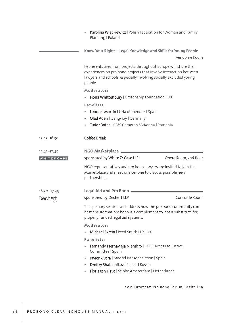|                          | Karolina Więckiewicz   Polish Federation for Women and Family<br>Planning   Poland                                                                                                                                    |                       |  |
|--------------------------|-----------------------------------------------------------------------------------------------------------------------------------------------------------------------------------------------------------------------|-----------------------|--|
|                          | Know Your Rights-Legal Knowledge and Skills for Young People                                                                                                                                                          | Vendome Room          |  |
|                          | Representatives from projects throughout Europe will share their<br>experiences on pro bono projects that involve interaction between<br>lawyers and schools, especially involving socially excluded young<br>people. |                       |  |
|                          | Moderator:                                                                                                                                                                                                            |                       |  |
|                          | Fiona Whittenbury   Citizenship Foundation   UK                                                                                                                                                                       |                       |  |
|                          | Panelists:                                                                                                                                                                                                            |                       |  |
|                          | Lourdes Martín   Uría Menéndez   Spain                                                                                                                                                                                |                       |  |
|                          | Olad Aden   Gangway   Germany<br>۰                                                                                                                                                                                    |                       |  |
|                          | Tudor Botea   CMS Cameron McKenna   Romania                                                                                                                                                                           |                       |  |
| 15:45-16.30              | Coffee Break                                                                                                                                                                                                          |                       |  |
| 15:45-17:45              | NGO Marketplace -                                                                                                                                                                                                     |                       |  |
|                          | sponsored by White & Case LLP                                                                                                                                                                                         | Opera Room, 2nd floor |  |
| <b>WHITE &amp; CASE</b>  |                                                                                                                                                                                                                       |                       |  |
|                          | NGO representatives and pro bono lawyers are invited to join the<br>Marketplace and meet one-on-one to discuss possible new<br>partnerships.                                                                          |                       |  |
|                          |                                                                                                                                                                                                                       |                       |  |
| $16:30-17:45$<br>Dechert | Legal Aid and Pro Bono .<br>sponsored by Dechert LLP                                                                                                                                                                  | Concorde Room         |  |
|                          | This plenary session will address how the pro bono community can<br>best ensure that pro bono is a complement to, not a substitute for,<br>properly funded legal aid systems.                                         |                       |  |
|                          | Moderator:                                                                                                                                                                                                            |                       |  |
|                          | Michael Skrein   Reed Smith LLP   UK                                                                                                                                                                                  |                       |  |
|                          | Panelists:                                                                                                                                                                                                            |                       |  |
|                          | Fernando Piernavieja Niembro   CCBE Access to Justice<br>Committee   Spain                                                                                                                                            |                       |  |
|                          | Javier Rivera   Madrid Bar Association   Spain<br>$\bullet$                                                                                                                                                           |                       |  |
|                          | Dmitry Shabelnikov   PILnet   Russia<br>$\bullet$                                                                                                                                                                     |                       |  |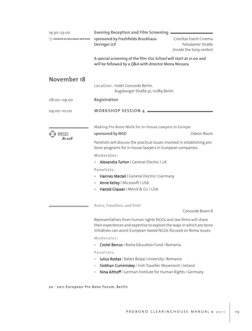| FRESHFIELDS BRUCKHAUS DERINGER<br>sponsored by Freshfields Bruckhaus<br>CineStar Event Cinema<br>Deringer LLP<br>Potsdamer Straße<br>(inside the Sony center)<br>A special screening of the film Our School will start at 21:00 and<br>will be followed by a Q&A with director Mona Nicoara.<br>November 18<br>Location: Hotel Concorde Berlin,<br>Augsburger Straße 41, 10789 Berlin<br>Registration<br>08:00-09:00<br>WORKSHOP SESSION 4<br>09:00-10:00<br>Making Pro Bono Work for In-House Lawyers in Europe<br>Odeon Room<br>sponsored by MSD<br>MSD<br><b>Be well</b><br>Panelists will discuss the practical issues involved in establishing pro<br>bono programs for in-house lawyers in European companies.<br>Moderator:<br>Alexandra Turton   General Electric   UK<br>Panelists:<br>Hannes Meckel   General Electric   Germany<br>Anne Kelley   Microsoft   USA<br>$\bullet$<br>Harold Glasser   Merck & Co.   USA<br>Roma, Travellers, and Sinti<br>Concorde Room B<br>Representatives from human rights NGOs and law firms will share<br>their experiences and expertise to explore the ways in which pro bono<br>initiatives can assist European-based NGOs focused on Roma issues.<br>Moderator:<br><b>Costel Bercus</b>   Roma Education Fund   Romania<br>Panelists:<br>Iulius Rostas   Babes Bolyai University   Romania<br>Siobhan Cummiskey   Irish Traveller Movement   Ireland<br>$\circ$<br>Nina Althoff   German Institute for Human Rights   Germany | 19:30-23:00 | <b>Evening Reception and Film Screening.</b> |  |  |
|--------------------------------------------------------------------------------------------------------------------------------------------------------------------------------------------------------------------------------------------------------------------------------------------------------------------------------------------------------------------------------------------------------------------------------------------------------------------------------------------------------------------------------------------------------------------------------------------------------------------------------------------------------------------------------------------------------------------------------------------------------------------------------------------------------------------------------------------------------------------------------------------------------------------------------------------------------------------------------------------------------------------------------------------------------------------------------------------------------------------------------------------------------------------------------------------------------------------------------------------------------------------------------------------------------------------------------------------------------------------------------------------------------------------------------------------------------------------------------|-------------|----------------------------------------------|--|--|
|                                                                                                                                                                                                                                                                                                                                                                                                                                                                                                                                                                                                                                                                                                                                                                                                                                                                                                                                                                                                                                                                                                                                                                                                                                                                                                                                                                                                                                                                                |             |                                              |  |  |
|                                                                                                                                                                                                                                                                                                                                                                                                                                                                                                                                                                                                                                                                                                                                                                                                                                                                                                                                                                                                                                                                                                                                                                                                                                                                                                                                                                                                                                                                                |             |                                              |  |  |
|                                                                                                                                                                                                                                                                                                                                                                                                                                                                                                                                                                                                                                                                                                                                                                                                                                                                                                                                                                                                                                                                                                                                                                                                                                                                                                                                                                                                                                                                                |             |                                              |  |  |
|                                                                                                                                                                                                                                                                                                                                                                                                                                                                                                                                                                                                                                                                                                                                                                                                                                                                                                                                                                                                                                                                                                                                                                                                                                                                                                                                                                                                                                                                                |             |                                              |  |  |
|                                                                                                                                                                                                                                                                                                                                                                                                                                                                                                                                                                                                                                                                                                                                                                                                                                                                                                                                                                                                                                                                                                                                                                                                                                                                                                                                                                                                                                                                                |             |                                              |  |  |
|                                                                                                                                                                                                                                                                                                                                                                                                                                                                                                                                                                                                                                                                                                                                                                                                                                                                                                                                                                                                                                                                                                                                                                                                                                                                                                                                                                                                                                                                                |             |                                              |  |  |
|                                                                                                                                                                                                                                                                                                                                                                                                                                                                                                                                                                                                                                                                                                                                                                                                                                                                                                                                                                                                                                                                                                                                                                                                                                                                                                                                                                                                                                                                                |             |                                              |  |  |
|                                                                                                                                                                                                                                                                                                                                                                                                                                                                                                                                                                                                                                                                                                                                                                                                                                                                                                                                                                                                                                                                                                                                                                                                                                                                                                                                                                                                                                                                                |             |                                              |  |  |
|                                                                                                                                                                                                                                                                                                                                                                                                                                                                                                                                                                                                                                                                                                                                                                                                                                                                                                                                                                                                                                                                                                                                                                                                                                                                                                                                                                                                                                                                                |             |                                              |  |  |
|                                                                                                                                                                                                                                                                                                                                                                                                                                                                                                                                                                                                                                                                                                                                                                                                                                                                                                                                                                                                                                                                                                                                                                                                                                                                                                                                                                                                                                                                                |             |                                              |  |  |
|                                                                                                                                                                                                                                                                                                                                                                                                                                                                                                                                                                                                                                                                                                                                                                                                                                                                                                                                                                                                                                                                                                                                                                                                                                                                                                                                                                                                                                                                                |             |                                              |  |  |
|                                                                                                                                                                                                                                                                                                                                                                                                                                                                                                                                                                                                                                                                                                                                                                                                                                                                                                                                                                                                                                                                                                                                                                                                                                                                                                                                                                                                                                                                                |             |                                              |  |  |
|                                                                                                                                                                                                                                                                                                                                                                                                                                                                                                                                                                                                                                                                                                                                                                                                                                                                                                                                                                                                                                                                                                                                                                                                                                                                                                                                                                                                                                                                                |             |                                              |  |  |
|                                                                                                                                                                                                                                                                                                                                                                                                                                                                                                                                                                                                                                                                                                                                                                                                                                                                                                                                                                                                                                                                                                                                                                                                                                                                                                                                                                                                                                                                                |             |                                              |  |  |
|                                                                                                                                                                                                                                                                                                                                                                                                                                                                                                                                                                                                                                                                                                                                                                                                                                                                                                                                                                                                                                                                                                                                                                                                                                                                                                                                                                                                                                                                                |             |                                              |  |  |
|                                                                                                                                                                                                                                                                                                                                                                                                                                                                                                                                                                                                                                                                                                                                                                                                                                                                                                                                                                                                                                                                                                                                                                                                                                                                                                                                                                                                                                                                                |             |                                              |  |  |
|                                                                                                                                                                                                                                                                                                                                                                                                                                                                                                                                                                                                                                                                                                                                                                                                                                                                                                                                                                                                                                                                                                                                                                                                                                                                                                                                                                                                                                                                                |             |                                              |  |  |
|                                                                                                                                                                                                                                                                                                                                                                                                                                                                                                                                                                                                                                                                                                                                                                                                                                                                                                                                                                                                                                                                                                                                                                                                                                                                                                                                                                                                                                                                                |             |                                              |  |  |

20 l 2011 European Pro Bono Forum, Berlin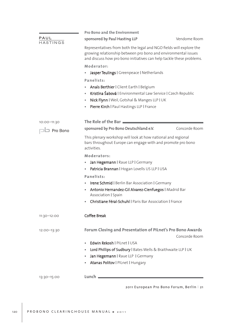|                         | Pro Bono and the Environment                                                                                                                                                                                  |               |  |
|-------------------------|---------------------------------------------------------------------------------------------------------------------------------------------------------------------------------------------------------------|---------------|--|
| PAUL<br><b>HASTINGS</b> | sponsored by Paul Hasting LLP                                                                                                                                                                                 | Vendome Room  |  |
|                         | Representatives from both the legal and NGO fields will explore the<br>growing relationship between pro bono and environmental issues<br>and discuss how pro bono initiatives can help tackle these problems. |               |  |
|                         | Moderator:                                                                                                                                                                                                    |               |  |
|                         | Jasper Teulings   Greenpeace   Netherlands                                                                                                                                                                    |               |  |
|                         | Panelists:                                                                                                                                                                                                    |               |  |
|                         | Anaïs Berthier   Client Earth   Belgium                                                                                                                                                                       |               |  |
|                         | Kristína Šabová   Environmental Law Service   Czech Republic                                                                                                                                                  |               |  |
|                         | Nick Flynn   Weil, Gotshal & Manges LLP   UK<br>۰                                                                                                                                                             |               |  |
|                         | Pierre Kirch   Paul Hastings LLP   France                                                                                                                                                                     |               |  |
| 10:00-11:30             | The Role of the Bar $\blacksquare$                                                                                                                                                                            |               |  |
| Pro Bono                | sponsored by Pro Bono Deutschland e.V.                                                                                                                                                                        | Concorde Room |  |
|                         | This plenary workshop will look at how national and regional<br>bars throughout Europe can engage with and promote pro bono<br>activities.                                                                    |               |  |
|                         | Moderators:                                                                                                                                                                                                   |               |  |
|                         | Jan Hegemann   Raue LLP   Germany                                                                                                                                                                             |               |  |
|                         | Patricia Brannan   Hogan Lovells US LLP   USA                                                                                                                                                                 |               |  |
|                         | Panelists:                                                                                                                                                                                                    |               |  |
|                         | Irene Schmid   Berlin Bar Association   Germany                                                                                                                                                               |               |  |
|                         | Antonio Hernandez-Gil Alvarez-Cienfuegos   Madrid Bar<br>Association   Spain                                                                                                                                  |               |  |
|                         | <b>Christiane Féral-Schuhl   Paris Bar Association   France</b>                                                                                                                                               |               |  |
| $11:30-12:00$           | <b>Coffee Break</b>                                                                                                                                                                                           |               |  |
| 12:00-13:30             | Forum Closing and Presentation of PILnet's Pro Bono Awards                                                                                                                                                    |               |  |
|                         |                                                                                                                                                                                                               | Concorde Room |  |
|                         | Edwin Rekosh   PILnet   USA                                                                                                                                                                                   |               |  |
|                         | Lord Phillips of Sudbury   Bates Wells & Braithwaite LLP   UK                                                                                                                                                 |               |  |
|                         | Jan Hegemann   Raue LLP   Germany                                                                                                                                                                             |               |  |
|                         | Atanas Politov   PILnet   Hungary                                                                                                                                                                             |               |  |
| 13:30-15:00             | Lunch                                                                                                                                                                                                         |               |  |
|                         |                                                                                                                                                                                                               |               |  |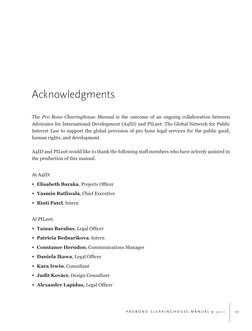# Acknowledgments

The *Pro Bono Clearinghouse Manual* is the outcome of an ongoing collaboration between Advocates for International Development (A4ID) and PILnet: The Global Network for Public Interest Law to support the global provision of pro bono legal services for the public good, human rights, and development.

A4ID and PILnet would like to thank the following staff members who have actively assisted in the production of this manual.

## At A4ID:

- Elisabeth Baraka, Projects Officer
- **Yasmin Batliwala**, Chief Executive
- **Binti Patel**, Intern

## At PILnet:

- Tamas Barabas, Legal Officer
- **Patricia Bednarikova**, Intern
- **Constance Herndon**, Communications Manager
- Daniela Ikawa, Legal Officer
- **Kara Irwin**, Consultant
- **Judit Kovács**, Design Consultant
- Alexander Lapidus, Legal Officer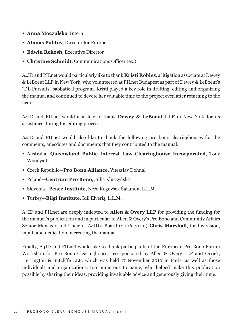- **Anna Moczulska**, Intern
- **Atanas Politov**, Director for Europe
- **Edwin Rekosh**, Executive Director
- **Christine Schmidt**, Communications Officer (ex.)

A4ID and PILnet would particularly like to thank **Kristi Robles**, a litigation associate at Dewey & LeBoeuf LLP in New York, who volunteered at PILnet Budapest as part of Dewey & LeBoeuf's "DL Pursuits" sabbatical program. Kristi played a key role in drafting, editing and organizing the manual and continued to devote her valuable time to the project even after returning to the fi rm.

A4ID and PILnet would also like to thank **Dewey & LeBoeuf LLP** in New York for its assistance during the editing process.

A4ID and PILnet would also like to thank the following pro bono clearinghouses for the comments, anecdotes and documents that they contributed to the manual:

- Australia—**Queensland Public Interest Law Clearinghouse Incorporated**, Tony Woodyatt
- Czech Republic—**Pro Bono Alliance**, Vítězslav Dohnal
- Poland—**Centrum Pro Bono**, Julia Kluczyńska
- Slovenia—**Peace Institute**, Neža Kogovšek Šalamon, L.L.M.
- Turkey—**Bilgi Institute**, İdil Elveriş, L.L.M.

A4ID and PILnet are deeply indebted to **Allen & Overy LLP** for providing the funding for the manual's publication and in particular to Allen & Overy's Pro Bono and Community Affairs Senior Manager and Chair of A4ID's Board (2006–2010) **Chris Marshall**, for his vision, input, and dedication in creating the manual.

Finally, A4ID and PILnet would like to thank participants of the European Pro Bono Forum Workshop for Pro Bono Clearinghouses, co-sponsored by Allen & Overy LLP and Orrick, Herrington & Sutcliffe LLP, which was held 17 November 2010 in Paris, as well as those individuals and organizations, too numerous to name, who helped make this publication possible by sharing their ideas, providing invaluable advice and generously giving their time.